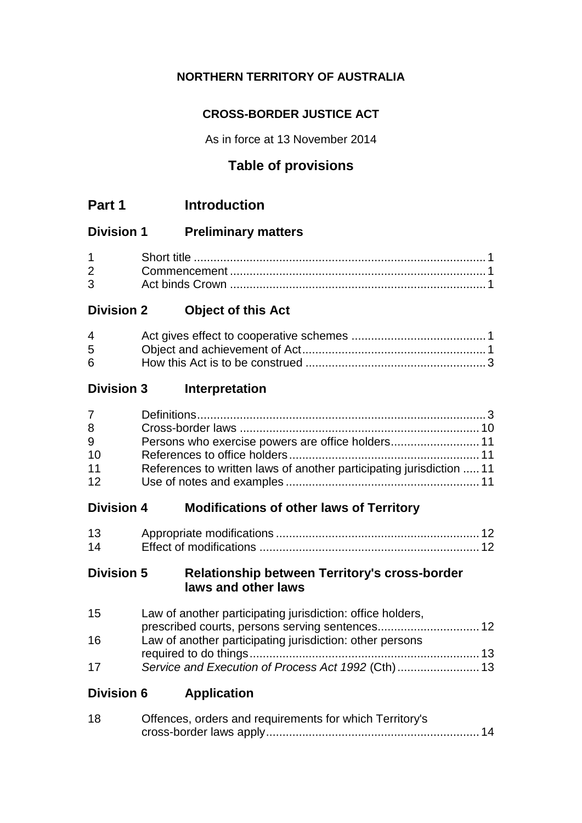# **NORTHERN TERRITORY OF AUSTRALIA**

## **CROSS-BORDER JUSTICE ACT**

As in force at 13 November 2014

# **Table of provisions**

## **Division 1 Preliminary matters**

# **Division 2 Object of this Act**

| 4  |  |
|----|--|
| 5  |  |
| 6. |  |

## **Division 3 Interpretation**

| $7 \quad$ |                                                                      |  |
|-----------|----------------------------------------------------------------------|--|
| 8         |                                                                      |  |
| 9         |                                                                      |  |
| 10        |                                                                      |  |
| 11        | References to written laws of another participating jurisdiction  11 |  |
| 12        |                                                                      |  |

# **Division 4 Modifications of other laws of Territory**

| 13 |  |
|----|--|
| 14 |  |

## **Division 5 Relationship between Territory's cross-border laws and other laws**

| 15 | Law of another participating jurisdiction: office holders, |  |
|----|------------------------------------------------------------|--|
|    |                                                            |  |
| 16 | Law of another participating jurisdiction: other persons   |  |
|    |                                                            |  |
| 17 |                                                            |  |

**Division 6 Application**

| 18 | Offences, orders and requirements for which Territory's |  |
|----|---------------------------------------------------------|--|
|    |                                                         |  |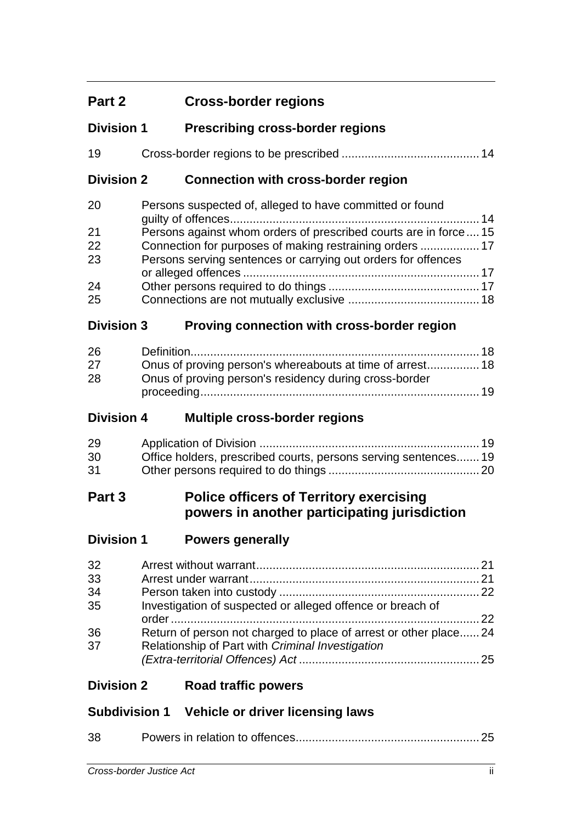# **Part 2 Cross-border regions**

| <b>Division 1</b> | <b>Prescribing cross-border regions</b> |  |
|-------------------|-----------------------------------------|--|
|                   |                                         |  |

| 19 |  |  |
|----|--|--|
|    |  |  |

## **Division 2 Connection with cross-border region**

| 20 | Persons suspected of, alleged to have committed or found         |  |
|----|------------------------------------------------------------------|--|
|    |                                                                  |  |
| 21 | Persons against whom orders of prescribed courts are in force 15 |  |
| 22 | Connection for purposes of making restraining orders  17         |  |
| 23 | Persons serving sentences or carrying out orders for offences    |  |
|    |                                                                  |  |
| 24 |                                                                  |  |
| 25 |                                                                  |  |

## **Division 3 Proving connection with cross-border region**

| 26 |                                                        |  |
|----|--------------------------------------------------------|--|
| 27 |                                                        |  |
| 28 | Onus of proving person's residency during cross-border |  |
|    |                                                        |  |

## **Division 4 Multiple cross-border regions**

| 29 |                                                                 |  |
|----|-----------------------------------------------------------------|--|
| 30 | Office holders, prescribed courts, persons serving sentences 19 |  |
| 31 |                                                                 |  |

# **Part 3 Police officers of Territory exercising powers in another participating jurisdiction**

| <b>Division 1</b> | <b>Powers generally</b> |
|-------------------|-------------------------|
|                   |                         |

| 32<br>33 |                                                                  |  |
|----------|------------------------------------------------------------------|--|
| 34       |                                                                  |  |
| 35       | Investigation of suspected or alleged offence or breach of       |  |
| 36       | Return of person not charged to place of arrest or other place24 |  |
| 37       | Relationship of Part with Criminal Investigation                 |  |
|          |                                                                  |  |

## **Division 2 Road traffic powers**

# **Subdivision 1 Vehicle or driver licensing laws**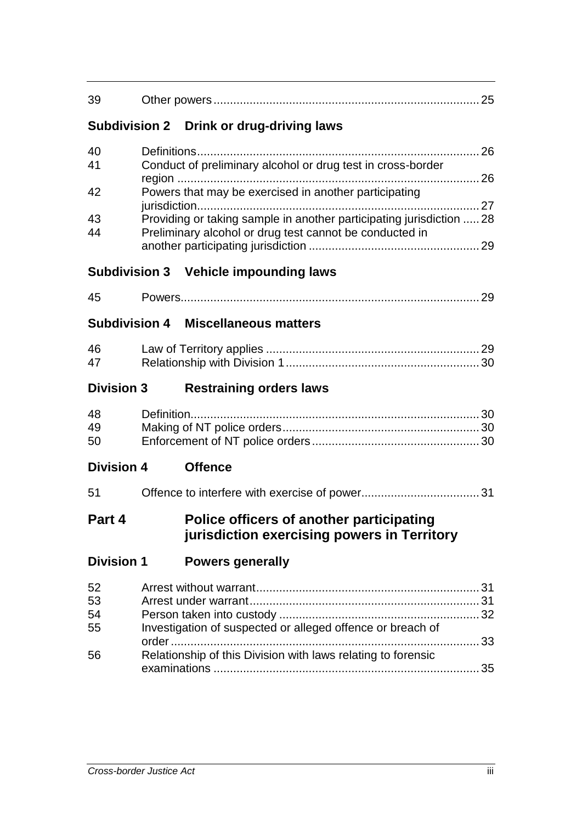| 39                         |                                                                                                                                                                                                                                                         |  |
|----------------------------|---------------------------------------------------------------------------------------------------------------------------------------------------------------------------------------------------------------------------------------------------------|--|
|                            | Subdivision 2 Drink or drug-driving laws                                                                                                                                                                                                                |  |
| 40<br>41<br>42<br>43<br>44 | Conduct of preliminary alcohol or drug test in cross-border<br>Powers that may be exercised in another participating<br>Providing or taking sample in another participating jurisdiction  28<br>Preliminary alcohol or drug test cannot be conducted in |  |
|                            | <b>Subdivision 3 Vehicle impounding laws</b>                                                                                                                                                                                                            |  |
| 45                         | <b>Subdivision 4 Miscellaneous matters</b>                                                                                                                                                                                                              |  |
| 46<br>47                   |                                                                                                                                                                                                                                                         |  |
| <b>Division 3</b>          | <b>Restraining orders laws</b>                                                                                                                                                                                                                          |  |
| 48<br>49<br>50             |                                                                                                                                                                                                                                                         |  |
| <b>Division 4</b>          | <b>Offence</b>                                                                                                                                                                                                                                          |  |
| 51                         |                                                                                                                                                                                                                                                         |  |
| Part 4                     | Police officers of another participating<br>jurisdiction exercising powers in Territory                                                                                                                                                                 |  |
| <b>Division 1</b>          | <b>Powers generally</b>                                                                                                                                                                                                                                 |  |
| 52<br>53<br>54<br>55<br>56 | Investigation of suspected or alleged offence or breach of<br>. 33<br>Relationship of this Division with laws relating to forensic                                                                                                                      |  |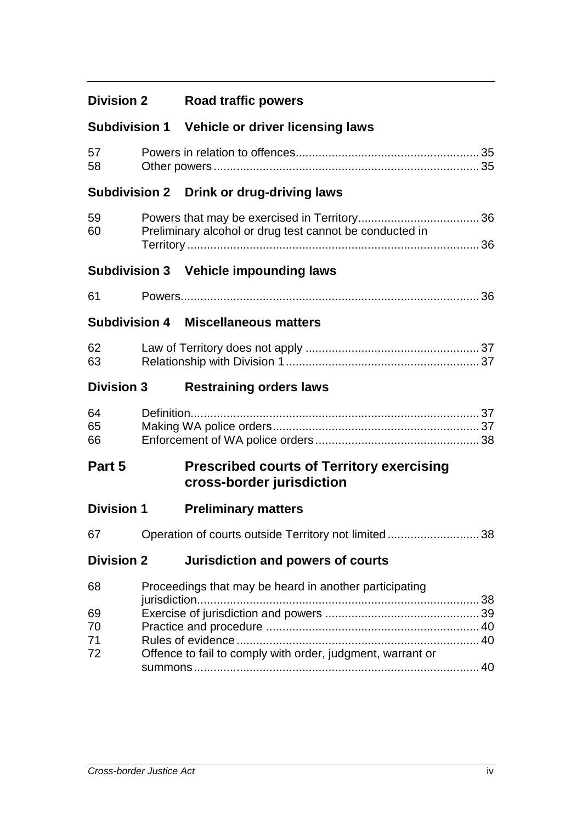# **Division 2 Road traffic powers**

## **Subdivision 1 Vehicle or driver licensing laws**

| 57 |  |
|----|--|
| 58 |  |

## **Subdivision 2 Drink or drug-driving laws**

| 59 |                                                         |  |
|----|---------------------------------------------------------|--|
| 60 | Preliminary alcohol or drug test cannot be conducted in |  |
|    |                                                         |  |

## **Subdivision 3 Vehicle impounding laws**

| C. |  |
|----|--|
|----|--|

## **Subdivision 4 Miscellaneous matters**

| 62 |  |
|----|--|
| 63 |  |

## **Division 3 Restraining orders laws**

| 64 |  |
|----|--|
| 65 |  |
| 66 |  |

# **Part 5 Prescribed courts of Territory exercising cross-border jurisdiction**

| <b>Division 1</b> | <b>Preliminary matters</b> |  |
|-------------------|----------------------------|--|
|                   |                            |  |

| 67 |  | Operation of courts outside Territory not limited38 |  |
|----|--|-----------------------------------------------------|--|
|----|--|-----------------------------------------------------|--|

## **Division 2 Jurisdiction and powers of courts**

| 68 | Proceedings that may be heard in another participating     |  |
|----|------------------------------------------------------------|--|
|    |                                                            |  |
| 69 |                                                            |  |
| 70 |                                                            |  |
| 71 |                                                            |  |
| 72 | Offence to fail to comply with order, judgment, warrant or |  |
|    |                                                            |  |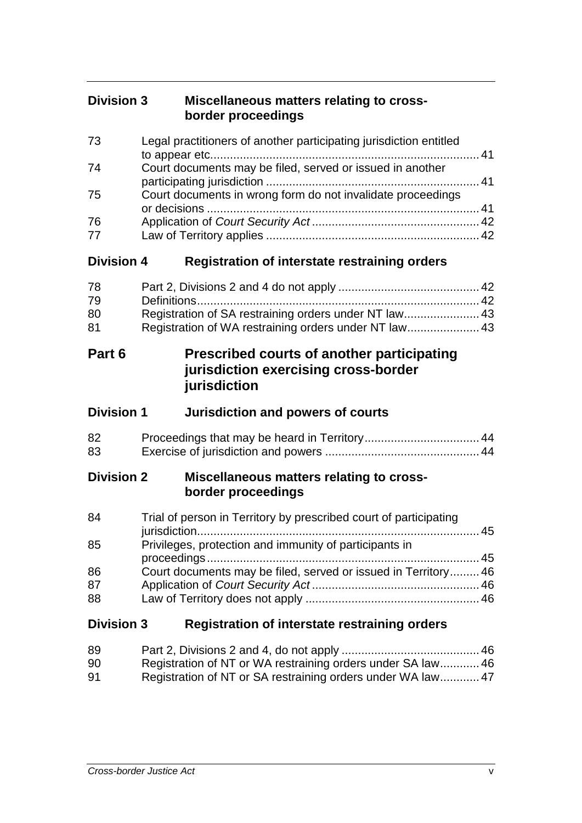| <b>Division 3</b> | Miscellaneous matters relating to cross- |
|-------------------|------------------------------------------|
|                   | border proceedings                       |

| 73<br>74<br>75<br>76<br>77 | Legal practitioners of another participating jurisdiction entitled<br>Court documents may be filed, served or issued in another<br>Court documents in wrong form do not invalidate proceedings |
|----------------------------|------------------------------------------------------------------------------------------------------------------------------------------------------------------------------------------------|
| <b>Division 4</b>          | Registration of interstate restraining orders                                                                                                                                                  |
| 78<br>79<br>80<br>81       | Registration of SA restraining orders under NT law 43<br>Registration of WA restraining orders under NT law 43                                                                                 |
| Part 6                     | <b>Prescribed courts of another participating</b><br>jurisdiction exercising cross-border<br>jurisdiction                                                                                      |
| <b>Division 1</b>          | <b>Jurisdiction and powers of courts</b>                                                                                                                                                       |
| 82<br>83                   |                                                                                                                                                                                                |
| <b>Division 2</b>          | Miscellaneous matters relating to cross-<br>border proceedings                                                                                                                                 |
| 84                         | Trial of person in Territory by prescribed court of participating                                                                                                                              |
| 85                         | Privileges, protection and immunity of participants in                                                                                                                                         |
| 86<br>87<br>88             | Court documents may be filed, served or issued in Territory 46                                                                                                                                 |
| <b>Division 3</b>          | <b>Registration of interstate restraining orders</b>                                                                                                                                           |

| 89 |                                                            |  |
|----|------------------------------------------------------------|--|
| 90 | Registration of NT or WA restraining orders under SA law46 |  |
| 91 | Registration of NT or SA restraining orders under WA law47 |  |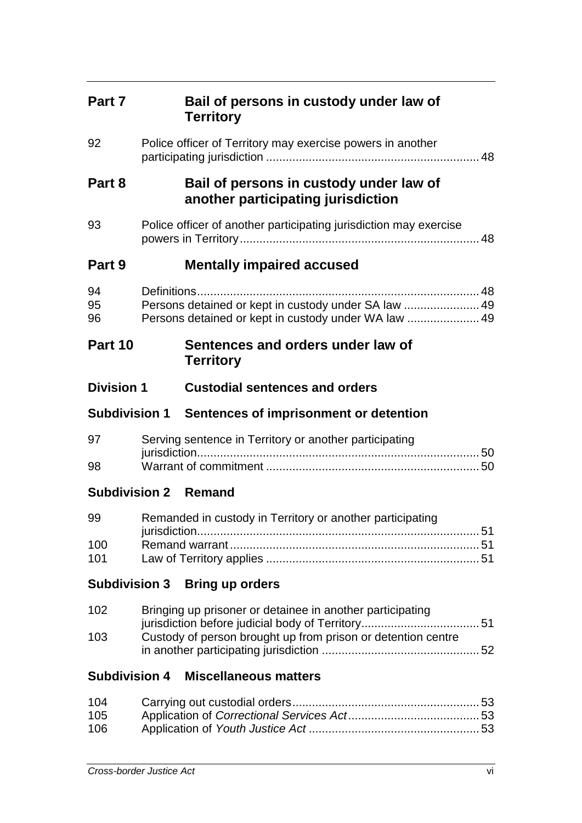| Part 7               | Bail of persons in custody under law of<br><b>Territory</b>                                                               |  |
|----------------------|---------------------------------------------------------------------------------------------------------------------------|--|
| 92                   | Police officer of Territory may exercise powers in another                                                                |  |
| Part 8               | Bail of persons in custody under law of<br>another participating jurisdiction                                             |  |
| 93                   | Police officer of another participating jurisdiction may exercise                                                         |  |
| Part 9               | <b>Mentally impaired accused</b>                                                                                          |  |
| 94<br>95<br>96       | Persons detained or kept in custody under SA law  49<br>Persons detained or kept in custody under WA law  49              |  |
| Part 10              | Sentences and orders under law of<br><b>Territory</b>                                                                     |  |
| <b>Division 1</b>    | <b>Custodial sentences and orders</b>                                                                                     |  |
|                      | Subdivision 1 Sentences of imprisonment or detention                                                                      |  |
| 97<br>98             | Serving sentence in Territory or another participating                                                                    |  |
|                      |                                                                                                                           |  |
|                      | <b>Subdivision 2 Remand</b>                                                                                               |  |
| 99<br>100<br>101     | Remanded in custody in Territory or another participating                                                                 |  |
| <b>Subdivision 3</b> | <b>Bring up orders</b>                                                                                                    |  |
| 102<br>103           | Bringing up prisoner or detainee in another participating<br>Custody of person brought up from prison or detention centre |  |
| <b>Subdivision 4</b> | <b>Miscellaneous matters</b>                                                                                              |  |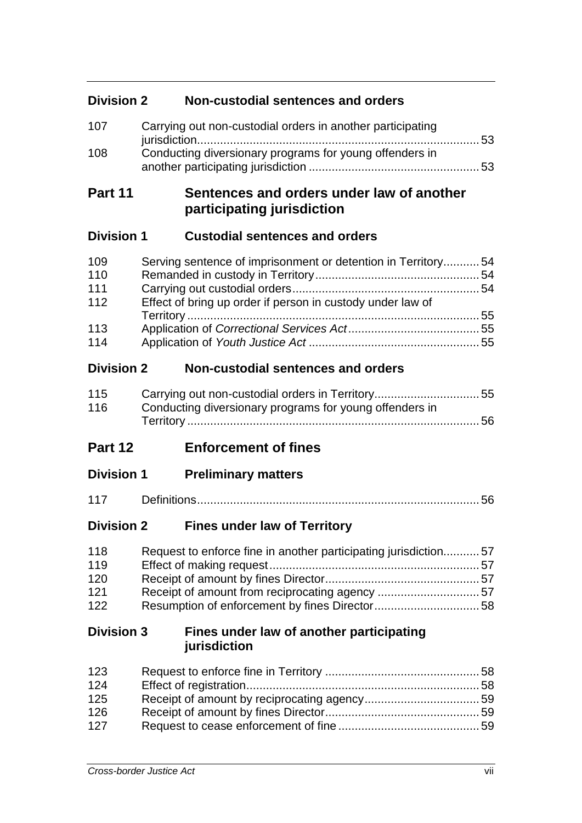## **Division 2 Non-custodial sentences and orders**

| 107 | Carrying out non-custodial orders in another participating |  |
|-----|------------------------------------------------------------|--|
| 108 | Conducting diversionary programs for young offenders in    |  |

# **Part 11 Sentences and orders under law of another participating jurisdiction**

## **Division 1 Custodial sentences and orders**

| 109<br>110        | Serving sentence of imprisonment or detention in Territory54 |  |
|-------------------|--------------------------------------------------------------|--|
| 111               |                                                              |  |
| 112               | Effect of bring up order if person in custody under law of   |  |
|                   |                                                              |  |
| 113               |                                                              |  |
| 114               |                                                              |  |
| <b>Division 2</b> | Non-custodial sentences and orders                           |  |

| 115 | Carrying out non-custodial orders in Territory55        |  |
|-----|---------------------------------------------------------|--|
| 116 | Conducting diversionary programs for young offenders in |  |
|     |                                                         |  |

# **Part 12 Enforcement of fines**

| <b>Division 1</b> | <b>Preliminary matters</b> |  |
|-------------------|----------------------------|--|
|                   |                            |  |

| $\overline{A}$ |  |  |
|----------------|--|--|
|----------------|--|--|

## **Division 2 Fines under law of Territory**

| 118 | Request to enforce fine in another participating jurisdiction57 |  |
|-----|-----------------------------------------------------------------|--|
| 119 |                                                                 |  |
| 120 |                                                                 |  |
| 121 | Receipt of amount from reciprocating agency 57                  |  |
| 122 |                                                                 |  |

## **Division 3 Fines under law of another participating jurisdiction**

| 123 |  |
|-----|--|
| 124 |  |
| 125 |  |
| 126 |  |
| 127 |  |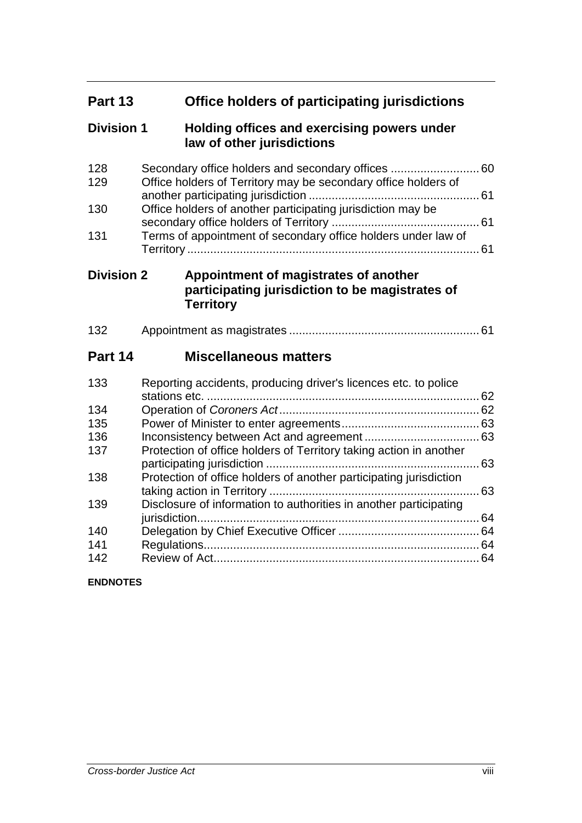| Part 13           | Office holders of participating jurisdictions                                                                |
|-------------------|--------------------------------------------------------------------------------------------------------------|
| <b>Division 1</b> | Holding offices and exercising powers under<br>law of other jurisdictions                                    |
| 128<br>129        | Office holders of Territory may be secondary office holders of                                               |
| 130               | Office holders of another participating jurisdiction may be                                                  |
| 131               | Terms of appointment of secondary office holders under law of                                                |
| <b>Division 2</b> | Appointment of magistrates of another<br>participating jurisdiction to be magistrates of<br><b>Territory</b> |
| 132               |                                                                                                              |
| Part 14           | <b>Miscellaneous matters</b>                                                                                 |
| 133               | Reporting accidents, producing driver's licences etc. to police                                              |
| 134               |                                                                                                              |
| 135               |                                                                                                              |
| 136               |                                                                                                              |
| 137               | Protection of office holders of Territory taking action in another                                           |
| 138               | Protection of office holders of another participating jurisdiction                                           |
| 139               | Disclosure of information to authorities in another participating                                            |
| 140               |                                                                                                              |
| 141               |                                                                                                              |
| 142               |                                                                                                              |

### **ENDNOTES**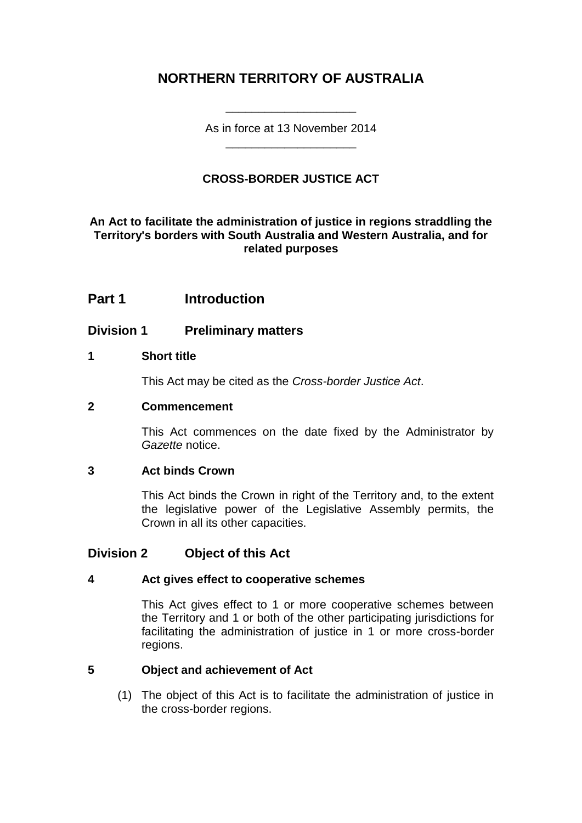# **NORTHERN TERRITORY OF AUSTRALIA**

As in force at 13 November 2014 \_\_\_\_\_\_\_\_\_\_\_\_\_\_\_\_\_\_\_\_

\_\_\_\_\_\_\_\_\_\_\_\_\_\_\_\_\_\_\_\_

## **CROSS-BORDER JUSTICE ACT**

### **An Act to facilitate the administration of justice in regions straddling the Territory's borders with South Australia and Western Australia, and for related purposes**

## **Part 1 Introduction**

## **Division 1 Preliminary matters**

### **1 Short title**

This Act may be cited as the *Cross-border Justice Act*.

#### **2 Commencement**

This Act commences on the date fixed by the Administrator by *Gazette* notice.

### **3 Act binds Crown**

This Act binds the Crown in right of the Territory and, to the extent the legislative power of the Legislative Assembly permits, the Crown in all its other capacities.

## **Division 2 Object of this Act**

### **4 Act gives effect to cooperative schemes**

This Act gives effect to 1 or more cooperative schemes between the Territory and 1 or both of the other participating jurisdictions for facilitating the administration of justice in 1 or more cross-border regions.

### **5 Object and achievement of Act**

(1) The object of this Act is to facilitate the administration of justice in the cross-border regions.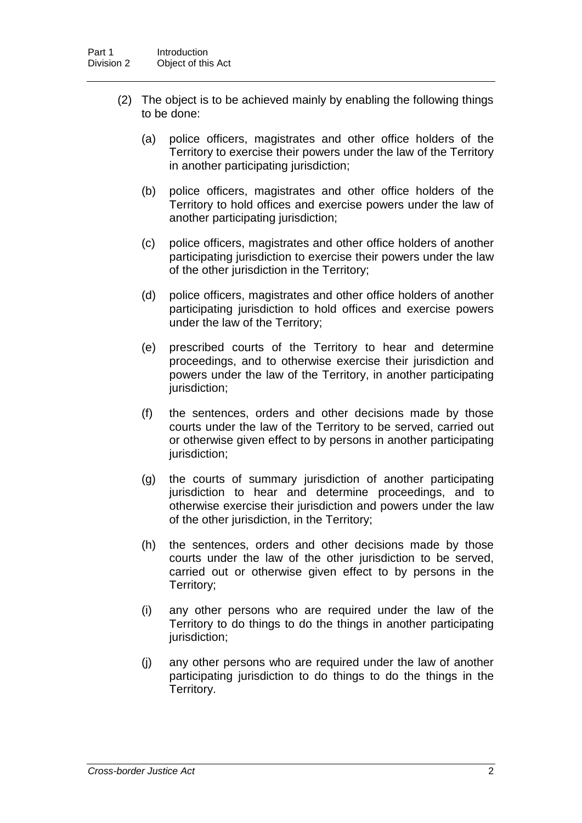- (2) The object is to be achieved mainly by enabling the following things to be done:
	- (a) police officers, magistrates and other office holders of the Territory to exercise their powers under the law of the Territory in another participating jurisdiction;
	- (b) police officers, magistrates and other office holders of the Territory to hold offices and exercise powers under the law of another participating jurisdiction;
	- (c) police officers, magistrates and other office holders of another participating jurisdiction to exercise their powers under the law of the other jurisdiction in the Territory;
	- (d) police officers, magistrates and other office holders of another participating jurisdiction to hold offices and exercise powers under the law of the Territory;
	- (e) prescribed courts of the Territory to hear and determine proceedings, and to otherwise exercise their jurisdiction and powers under the law of the Territory, in another participating jurisdiction;
	- (f) the sentences, orders and other decisions made by those courts under the law of the Territory to be served, carried out or otherwise given effect to by persons in another participating jurisdiction;
	- (g) the courts of summary jurisdiction of another participating jurisdiction to hear and determine proceedings, and to otherwise exercise their jurisdiction and powers under the law of the other jurisdiction, in the Territory;
	- (h) the sentences, orders and other decisions made by those courts under the law of the other jurisdiction to be served, carried out or otherwise given effect to by persons in the Territory;
	- (i) any other persons who are required under the law of the Territory to do things to do the things in another participating jurisdiction;
	- (j) any other persons who are required under the law of another participating jurisdiction to do things to do the things in the Territory.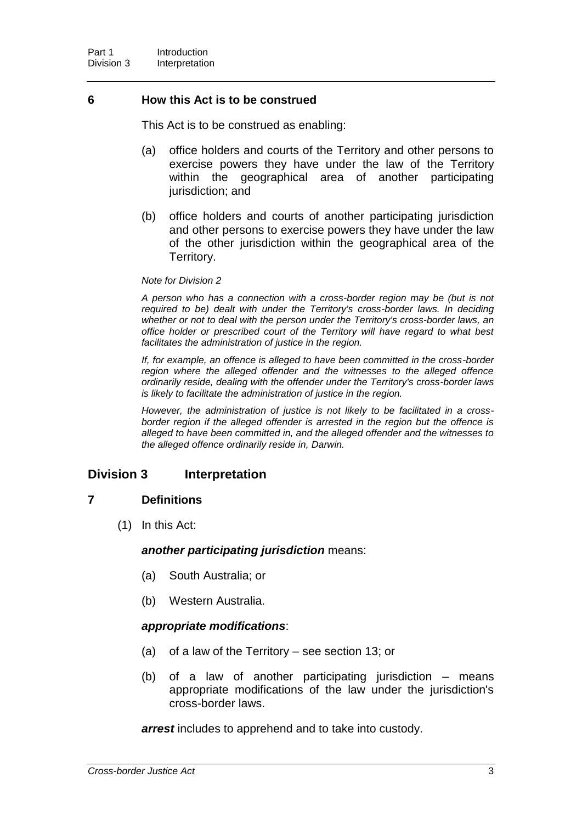### **6 How this Act is to be construed**

This Act is to be construed as enabling:

- (a) office holders and courts of the Territory and other persons to exercise powers they have under the law of the Territory within the geographical area of another participating jurisdiction; and
- (b) office holders and courts of another participating jurisdiction and other persons to exercise powers they have under the law of the other jurisdiction within the geographical area of the Territory.

#### *Note for Division 2*

*A person who has a connection with a cross-border region may be (but is not required to be) dealt with under the Territory's cross-border laws. In deciding whether or not to deal with the person under the Territory's cross-border laws, an office holder or prescribed court of the Territory will have regard to what best facilitates the administration of justice in the region.*

*If, for example, an offence is alleged to have been committed in the cross-border region where the alleged offender and the witnesses to the alleged offence ordinarily reside, dealing with the offender under the Territory's cross-border laws is likely to facilitate the administration of justice in the region.*

*However, the administration of justice is not likely to be facilitated in a crossborder region if the alleged offender is arrested in the region but the offence is alleged to have been committed in, and the alleged offender and the witnesses to the alleged offence ordinarily reside in, Darwin.*

### **Division 3 Interpretation**

### **7 Definitions**

(1) In this Act:

#### *another participating jurisdiction* means:

- (a) South Australia; or
- (b) Western Australia.

#### *appropriate modifications*:

- (a) of a law of the Territory see section 13; or
- (b) of a law of another participating jurisdiction means appropriate modifications of the law under the jurisdiction's cross-border laws.

*arrest* includes to apprehend and to take into custody.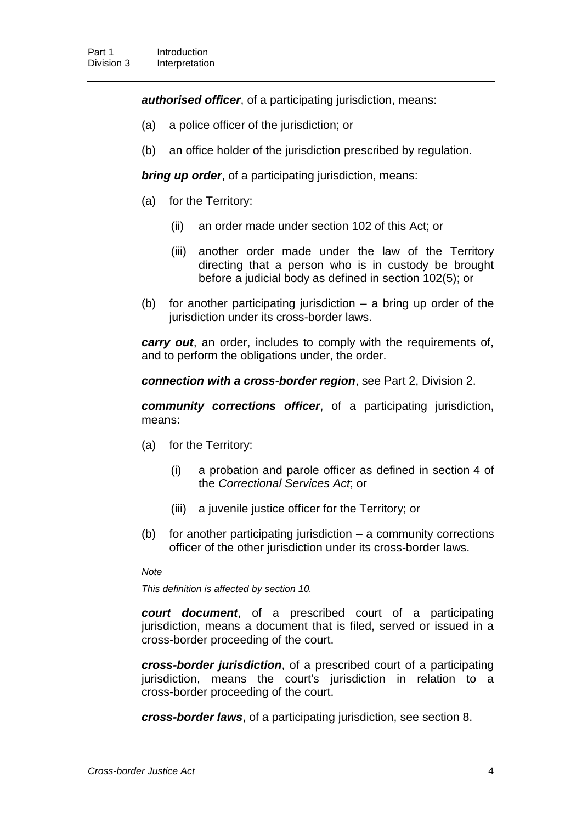*authorised officer*, of a participating jurisdiction, means:

- (a) a police officer of the jurisdiction; or
- (b) an office holder of the jurisdiction prescribed by regulation.

*bring up order, of a participating jurisdiction, means:* 

- (a) for the Territory:
	- (ii) an order made under section 102 of this Act; or
	- (iii) another order made under the law of the Territory directing that a person who is in custody be brought before a judicial body as defined in section 102(5); or
- (b) for another participating jurisdiction a bring up order of the jurisdiction under its cross-border laws.

*carry out*, an order, includes to comply with the requirements of, and to perform the obligations under, the order.

*connection with a cross-border region*, see Part 2, Division 2.

*community corrections officer*, of a participating jurisdiction, means:

- (a) for the Territory:
	- (i) a probation and parole officer as defined in section 4 of the *Correctional Services Act*; or
	- (iii) a juvenile justice officer for the Territory; or
- (b) for another participating jurisdiction a community corrections officer of the other jurisdiction under its cross-border laws.

#### *Note*

*This definition is affected by section 10.*

*court document*, of a prescribed court of a participating jurisdiction, means a document that is filed, served or issued in a cross-border proceeding of the court.

*cross-border jurisdiction*, of a prescribed court of a participating jurisdiction, means the court's jurisdiction in relation to a cross-border proceeding of the court.

*cross-border laws*, of a participating jurisdiction, see section 8.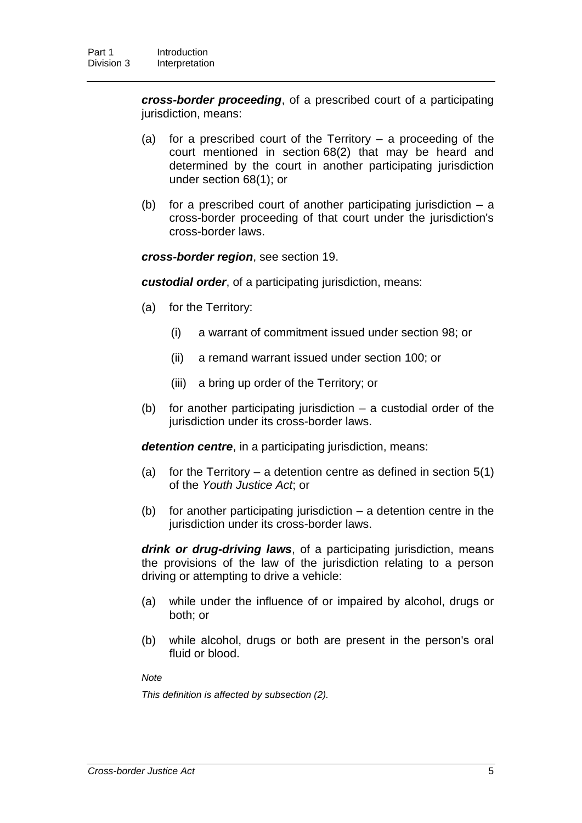*cross-border proceeding*, of a prescribed court of a participating jurisdiction, means:

- (a) for a prescribed court of the Territory a proceeding of the court mentioned in section 68(2) that may be heard and determined by the court in another participating jurisdiction under section 68(1); or
- (b) for a prescribed court of another participating jurisdiction a cross-border proceeding of that court under the jurisdiction's cross-border laws.

*cross-border region*, see section 19.

*custodial order*, of a participating jurisdiction, means:

- (a) for the Territory:
	- (i) a warrant of commitment issued under section 98; or
	- (ii) a remand warrant issued under section 100; or
	- (iii) a bring up order of the Territory; or
- (b) for another participating jurisdiction a custodial order of the jurisdiction under its cross-border laws.

*detention centre*, in a participating jurisdiction, means:

- (a) for the Territory a detention centre as defined in section  $5(1)$ of the *Youth Justice Act*; or
- (b) for another participating jurisdiction  $-$  a detention centre in the jurisdiction under its cross-border laws.

*drink or drug-driving laws*, of a participating jurisdiction, means the provisions of the law of the jurisdiction relating to a person driving or attempting to drive a vehicle:

- (a) while under the influence of or impaired by alcohol, drugs or both; or
- (b) while alcohol, drugs or both are present in the person's oral fluid or blood.

*Note*

*This definition is affected by subsection (2).*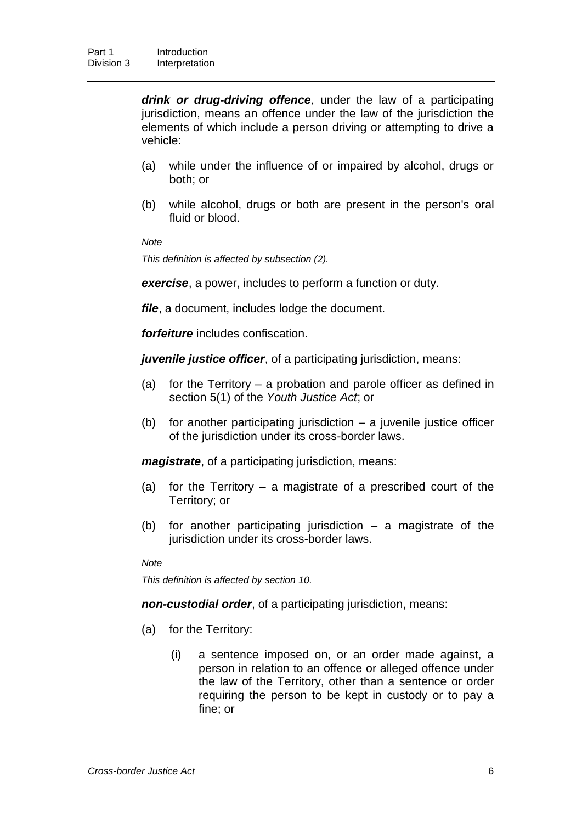*drink or drug-driving offence*, under the law of a participating jurisdiction, means an offence under the law of the jurisdiction the elements of which include a person driving or attempting to drive a vehicle:

- (a) while under the influence of or impaired by alcohol, drugs or both; or
- (b) while alcohol, drugs or both are present in the person's oral fluid or blood.

*Note*

*This definition is affected by subsection (2).*

*exercise*, a power, includes to perform a function or duty.

*file*, a document, includes lodge the document.

*forfeiture* includes confiscation.

*juvenile justice officer*, of a participating jurisdiction, means:

- (a) for the Territory a probation and parole officer as defined in section 5(1) of the *Youth Justice Act*; or
- (b) for another participating jurisdiction  $-$  a juvenile justice officer of the jurisdiction under its cross-border laws.

*magistrate*, of a participating jurisdiction, means:

- (a) for the Territory a magistrate of a prescribed court of the Territory; or
- (b) for another participating jurisdiction a magistrate of the jurisdiction under its cross-border laws.

*Note*

*This definition is affected by section 10.*

*non-custodial order*, of a participating jurisdiction, means:

- (a) for the Territory:
	- (i) a sentence imposed on, or an order made against, a person in relation to an offence or alleged offence under the law of the Territory, other than a sentence or order requiring the person to be kept in custody or to pay a fine; or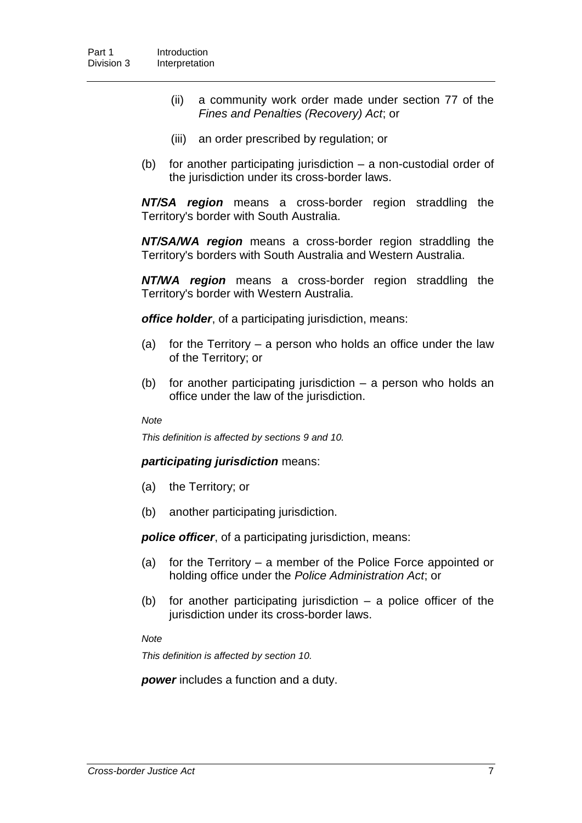- (ii) a community work order made under section 77 of the *Fines and Penalties (Recovery) Act*; or
- (iii) an order prescribed by regulation; or
- (b) for another participating jurisdiction a non-custodial order of the jurisdiction under its cross-border laws.

*NT/SA region* means a cross-border region straddling the Territory's border with South Australia.

*NT/SA/WA region* means a cross-border region straddling the Territory's borders with South Australia and Western Australia.

*NT/WA region* means a cross-border region straddling the Territory's border with Western Australia.

*office holder*, of a participating jurisdiction, means:

- (a) for the Territory a person who holds an office under the law of the Territory; or
- (b) for another participating jurisdiction a person who holds an office under the law of the jurisdiction.

#### *Note*

*This definition is affected by sections 9 and 10.*

#### *participating jurisdiction* means:

- (a) the Territory; or
- (b) another participating jurisdiction.

*police officer*, of a participating jurisdiction, means:

- (a) for the Territory a member of the Police Force appointed or holding office under the *Police Administration Act*; or
- (b) for another participating jurisdiction a police officer of the jurisdiction under its cross-border laws.

*Note*

*This definition is affected by section 10.*

**power** includes a function and a duty.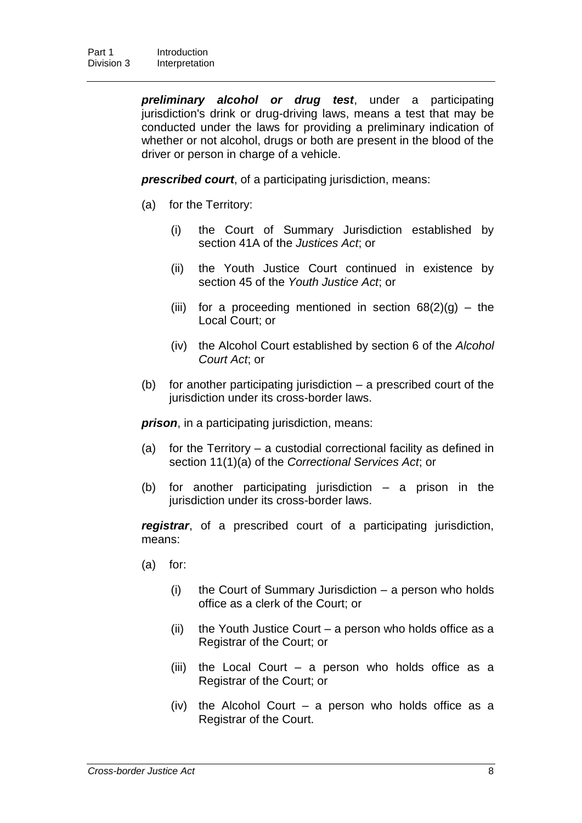*preliminary alcohol or drug test*, under a participating jurisdiction's drink or drug-driving laws, means a test that may be conducted under the laws for providing a preliminary indication of whether or not alcohol, drugs or both are present in the blood of the driver or person in charge of a vehicle.

*prescribed court*, of a participating jurisdiction, means:

- (a) for the Territory:
	- (i) the Court of Summary Jurisdiction established by section 41A of the *Justices Act*; or
	- (ii) the Youth Justice Court continued in existence by section 45 of the *Youth Justice Act*; or
	- (iii) for a proceeding mentioned in section  $68(2)(g)$  the Local Court; or
	- (iv) the Alcohol Court established by section 6 of the *Alcohol Court Act*; or
- (b) for another participating jurisdiction a prescribed court of the jurisdiction under its cross-border laws.

*prison*, in a participating jurisdiction, means:

- (a) for the Territory a custodial correctional facility as defined in section 11(1)(a) of the *Correctional Services Act*; or
- (b) for another participating jurisdiction a prison in the jurisdiction under its cross-border laws.

*registrar*, of a prescribed court of a participating jurisdiction, means:

- (a) for:
	- (i) the Court of Summary Jurisdiction a person who holds office as a clerk of the Court; or
	- (ii) the Youth Justice Court a person who holds office as a Registrar of the Court; or
	- (iii) the Local Court a person who holds office as a Registrar of the Court; or
	- (iv) the Alcohol Court a person who holds office as a Registrar of the Court.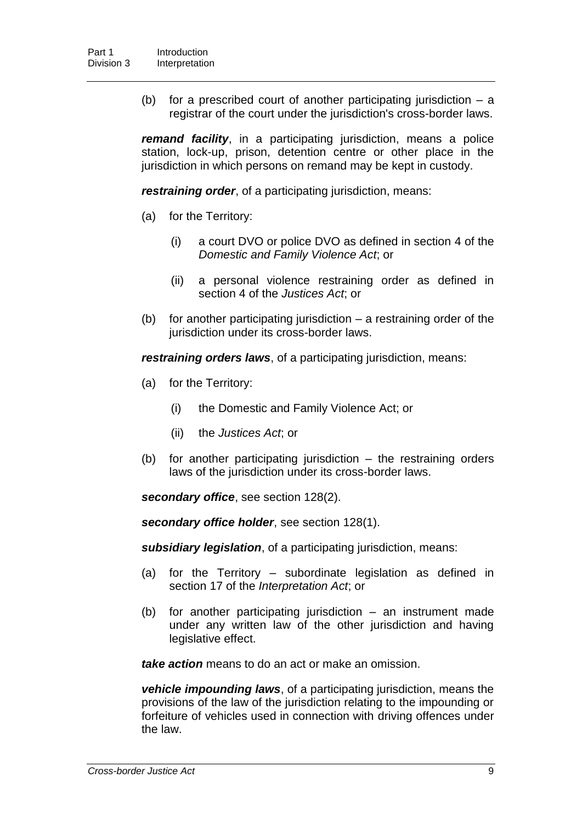(b) for a prescribed court of another participating jurisdiction – a registrar of the court under the jurisdiction's cross-border laws.

*remand facility*, in a participating jurisdiction, means a police station, lock-up, prison, detention centre or other place in the jurisdiction in which persons on remand may be kept in custody.

*restraining order*, of a participating jurisdiction, means:

- (a) for the Territory:
	- (i) a court DVO or police DVO as defined in section 4 of the *Domestic and Family Violence Act*; or
	- (ii) a personal violence restraining order as defined in section 4 of the *Justices Act*; or
- (b) for another participating jurisdiction a restraining order of the jurisdiction under its cross-border laws.

*restraining orders laws*, of a participating jurisdiction, means:

- (a) for the Territory:
	- (i) the Domestic and Family Violence Act; or
	- (ii) the *Justices Act*; or
- (b) for another participating jurisdiction the restraining orders laws of the jurisdiction under its cross-border laws.

*secondary office*, see section 128(2).

*secondary office holder*, see section 128(1).

*subsidiary legislation*, of a participating jurisdiction, means:

- (a) for the Territory subordinate legislation as defined in section 17 of the *Interpretation Act*; or
- (b) for another participating jurisdiction an instrument made under any written law of the other jurisdiction and having legislative effect.

*take action* means to do an act or make an omission.

*vehicle impounding laws*, of a participating jurisdiction, means the provisions of the law of the jurisdiction relating to the impounding or forfeiture of vehicles used in connection with driving offences under the law.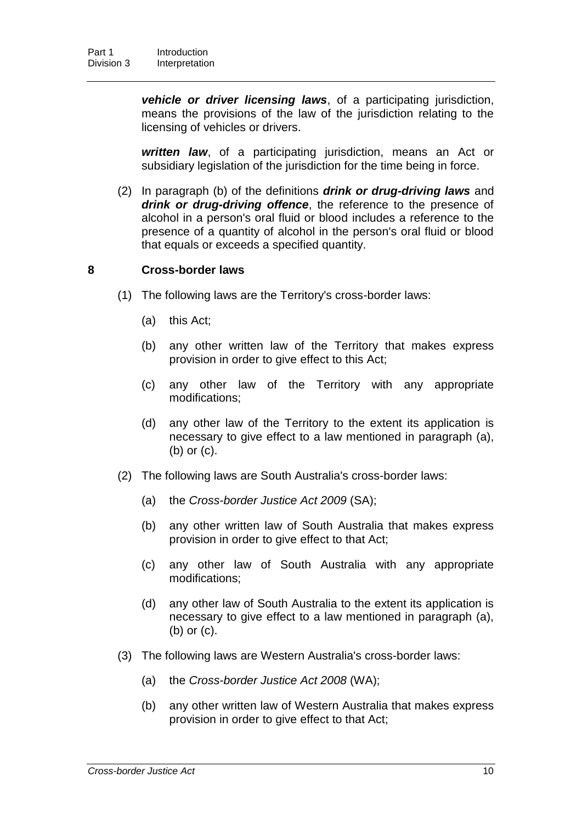*vehicle or driver licensing laws*, of a participating jurisdiction, means the provisions of the law of the jurisdiction relating to the licensing of vehicles or drivers.

*written law*, of a participating jurisdiction, means an Act or subsidiary legislation of the jurisdiction for the time being in force.

(2) In paragraph (b) of the definitions *drink or drug-driving laws* and *drink or drug-driving offence*, the reference to the presence of alcohol in a person's oral fluid or blood includes a reference to the presence of a quantity of alcohol in the person's oral fluid or blood that equals or exceeds a specified quantity.

### **8 Cross-border laws**

- (1) The following laws are the Territory's cross-border laws:
	- (a) this Act;
	- (b) any other written law of the Territory that makes express provision in order to give effect to this Act;
	- (c) any other law of the Territory with any appropriate modifications;
	- (d) any other law of the Territory to the extent its application is necessary to give effect to a law mentioned in paragraph (a), (b) or (c).
- (2) The following laws are South Australia's cross-border laws:
	- (a) the *Cross-border Justice Act 2009* (SA);
	- (b) any other written law of South Australia that makes express provision in order to give effect to that Act;
	- (c) any other law of South Australia with any appropriate modifications;
	- (d) any other law of South Australia to the extent its application is necessary to give effect to a law mentioned in paragraph (a), (b) or (c).
- (3) The following laws are Western Australia's cross-border laws:
	- (a) the *Cross-border Justice Act 2008* (WA);
	- (b) any other written law of Western Australia that makes express provision in order to give effect to that Act;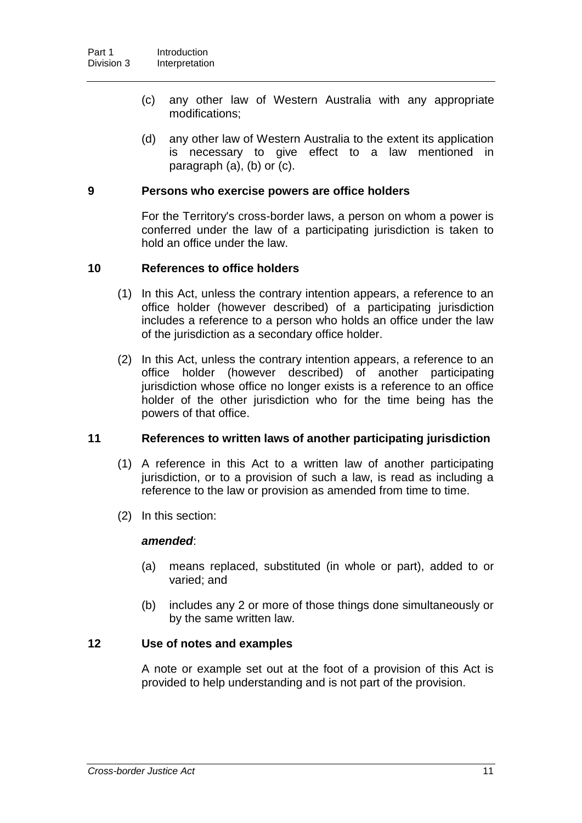- (c) any other law of Western Australia with any appropriate modifications;
- (d) any other law of Western Australia to the extent its application is necessary to give effect to a law mentioned in paragraph (a), (b) or (c).

### **9 Persons who exercise powers are office holders**

For the Territory's cross-border laws, a person on whom a power is conferred under the law of a participating jurisdiction is taken to hold an office under the law.

### **10 References to office holders**

- (1) In this Act, unless the contrary intention appears, a reference to an office holder (however described) of a participating jurisdiction includes a reference to a person who holds an office under the law of the jurisdiction as a secondary office holder.
- (2) In this Act, unless the contrary intention appears, a reference to an office holder (however described) of another participating jurisdiction whose office no longer exists is a reference to an office holder of the other jurisdiction who for the time being has the powers of that office.

### **11 References to written laws of another participating jurisdiction**

- (1) A reference in this Act to a written law of another participating jurisdiction, or to a provision of such a law, is read as including a reference to the law or provision as amended from time to time.
- (2) In this section:

#### *amended*:

- (a) means replaced, substituted (in whole or part), added to or varied; and
- (b) includes any 2 or more of those things done simultaneously or by the same written law.

### **12 Use of notes and examples**

A note or example set out at the foot of a provision of this Act is provided to help understanding and is not part of the provision.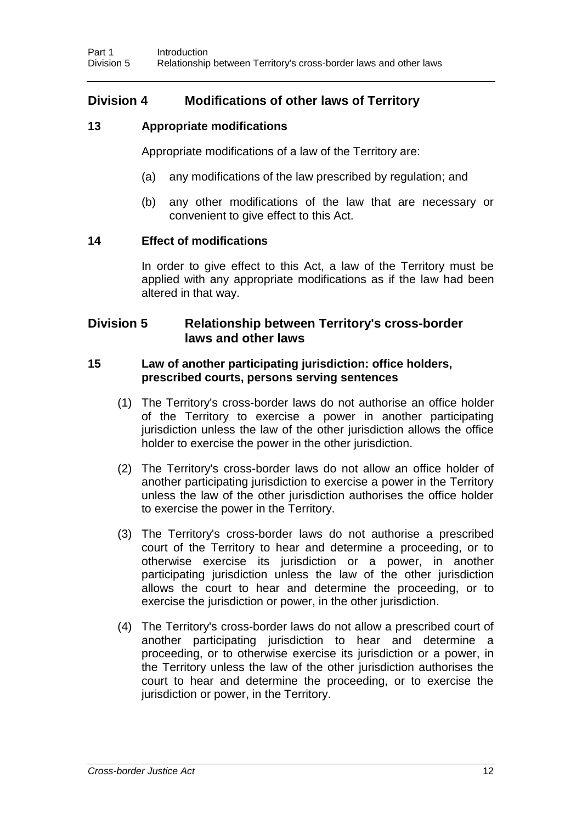## **Division 4 Modifications of other laws of Territory**

### **13 Appropriate modifications**

Appropriate modifications of a law of the Territory are:

- (a) any modifications of the law prescribed by regulation; and
- (b) any other modifications of the law that are necessary or convenient to give effect to this Act.

### **14 Effect of modifications**

In order to give effect to this Act, a law of the Territory must be applied with any appropriate modifications as if the law had been altered in that way.

## **Division 5 Relationship between Territory's cross-border laws and other laws**

### **15 Law of another participating jurisdiction: office holders, prescribed courts, persons serving sentences**

- (1) The Territory's cross-border laws do not authorise an office holder of the Territory to exercise a power in another participating jurisdiction unless the law of the other jurisdiction allows the office holder to exercise the power in the other jurisdiction.
- (2) The Territory's cross-border laws do not allow an office holder of another participating jurisdiction to exercise a power in the Territory unless the law of the other jurisdiction authorises the office holder to exercise the power in the Territory.
- (3) The Territory's cross-border laws do not authorise a prescribed court of the Territory to hear and determine a proceeding, or to otherwise exercise its jurisdiction or a power, in another participating jurisdiction unless the law of the other jurisdiction allows the court to hear and determine the proceeding, or to exercise the jurisdiction or power, in the other jurisdiction.
- (4) The Territory's cross-border laws do not allow a prescribed court of another participating jurisdiction to hear and determine a proceeding, or to otherwise exercise its jurisdiction or a power, in the Territory unless the law of the other jurisdiction authorises the court to hear and determine the proceeding, or to exercise the jurisdiction or power, in the Territory.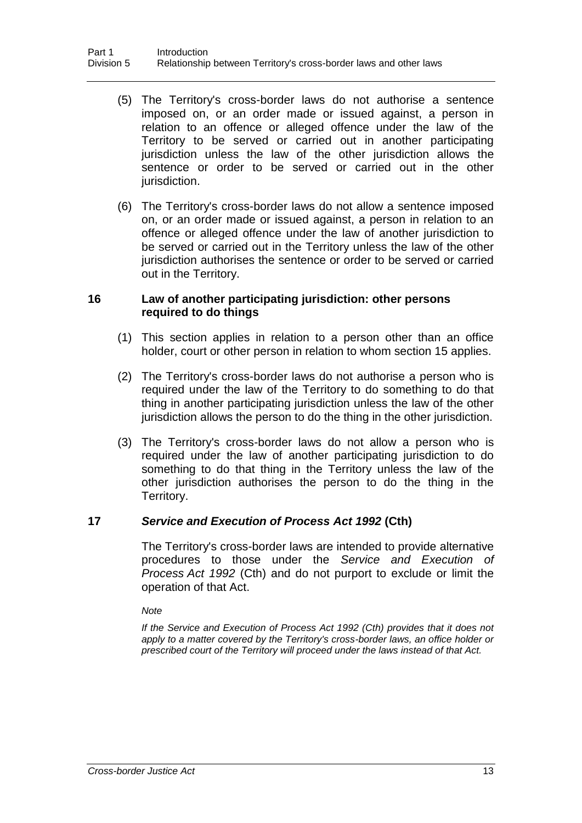- (5) The Territory's cross-border laws do not authorise a sentence imposed on, or an order made or issued against, a person in relation to an offence or alleged offence under the law of the Territory to be served or carried out in another participating jurisdiction unless the law of the other jurisdiction allows the sentence or order to be served or carried out in the other jurisdiction.
- (6) The Territory's cross-border laws do not allow a sentence imposed on, or an order made or issued against, a person in relation to an offence or alleged offence under the law of another jurisdiction to be served or carried out in the Territory unless the law of the other jurisdiction authorises the sentence or order to be served or carried out in the Territory.

### **16 Law of another participating jurisdiction: other persons required to do things**

- (1) This section applies in relation to a person other than an office holder, court or other person in relation to whom section 15 applies.
- (2) The Territory's cross-border laws do not authorise a person who is required under the law of the Territory to do something to do that thing in another participating jurisdiction unless the law of the other jurisdiction allows the person to do the thing in the other jurisdiction.
- (3) The Territory's cross-border laws do not allow a person who is required under the law of another participating jurisdiction to do something to do that thing in the Territory unless the law of the other jurisdiction authorises the person to do the thing in the Territory.

### **17** *Service and Execution of Process Act 1992* **(Cth)**

The Territory's cross-border laws are intended to provide alternative procedures to those under the *Service and Execution of Process Act 1992* (Cth) and do not purport to exclude or limit the operation of that Act.

*Note*

*If the Service and Execution of Process Act 1992 (Cth) provides that it does not apply to a matter covered by the Territory's cross-border laws, an office holder or prescribed court of the Territory will proceed under the laws instead of that Act.*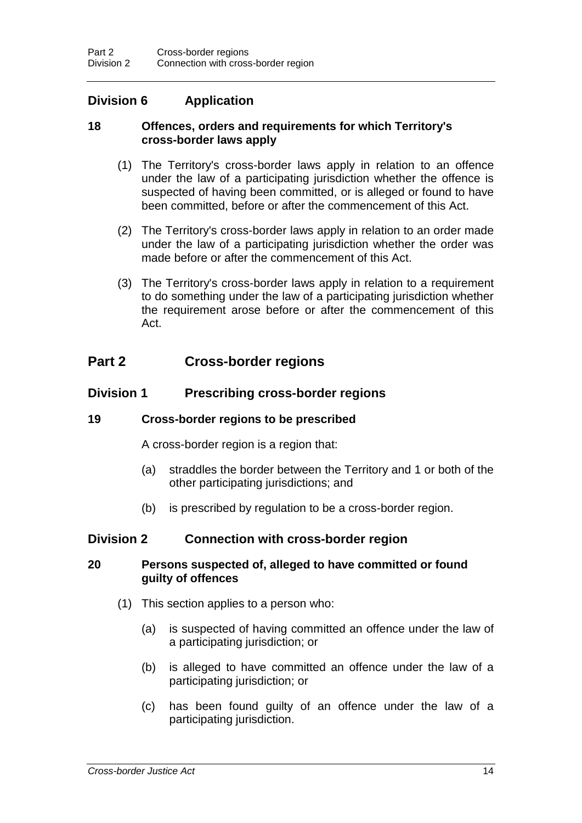## **Division 6 Application**

### **18 Offences, orders and requirements for which Territory's cross-border laws apply**

- (1) The Territory's cross-border laws apply in relation to an offence under the law of a participating jurisdiction whether the offence is suspected of having been committed, or is alleged or found to have been committed, before or after the commencement of this Act.
- (2) The Territory's cross-border laws apply in relation to an order made under the law of a participating jurisdiction whether the order was made before or after the commencement of this Act.
- (3) The Territory's cross-border laws apply in relation to a requirement to do something under the law of a participating jurisdiction whether the requirement arose before or after the commencement of this Act.

## **Part 2 Cross-border regions**

### **Division 1 Prescribing cross-border regions**

### **19 Cross-border regions to be prescribed**

A cross-border region is a region that:

- (a) straddles the border between the Territory and 1 or both of the other participating jurisdictions; and
- (b) is prescribed by regulation to be a cross-border region.

### **Division 2 Connection with cross-border region**

### **20 Persons suspected of, alleged to have committed or found guilty of offences**

- (1) This section applies to a person who:
	- (a) is suspected of having committed an offence under the law of a participating jurisdiction; or
	- (b) is alleged to have committed an offence under the law of a participating jurisdiction; or
	- (c) has been found guilty of an offence under the law of a participating jurisdiction.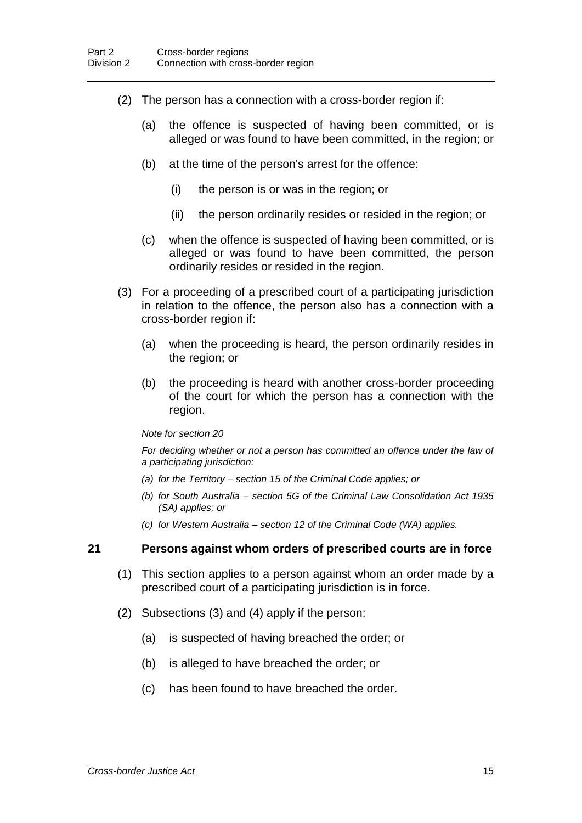- (2) The person has a connection with a cross-border region if:
	- (a) the offence is suspected of having been committed, or is alleged or was found to have been committed, in the region; or
	- (b) at the time of the person's arrest for the offence:
		- (i) the person is or was in the region; or
		- (ii) the person ordinarily resides or resided in the region; or
	- (c) when the offence is suspected of having been committed, or is alleged or was found to have been committed, the person ordinarily resides or resided in the region.
- (3) For a proceeding of a prescribed court of a participating jurisdiction in relation to the offence, the person also has a connection with a cross-border region if:
	- (a) when the proceeding is heard, the person ordinarily resides in the region; or
	- (b) the proceeding is heard with another cross-border proceeding of the court for which the person has a connection with the region.

#### *Note for section 20*

*For deciding whether or not a person has committed an offence under the law of a participating jurisdiction:*

- *(a) for the Territory – section 15 of the Criminal Code applies; or*
- *(b) for South Australia – section 5G of the Criminal Law Consolidation Act 1935 (SA) applies; or*
- *(c) for Western Australia – section 12 of the Criminal Code (WA) applies.*

#### **21 Persons against whom orders of prescribed courts are in force**

- (1) This section applies to a person against whom an order made by a prescribed court of a participating jurisdiction is in force.
- (2) Subsections (3) and (4) apply if the person:
	- (a) is suspected of having breached the order; or
	- (b) is alleged to have breached the order; or
	- (c) has been found to have breached the order.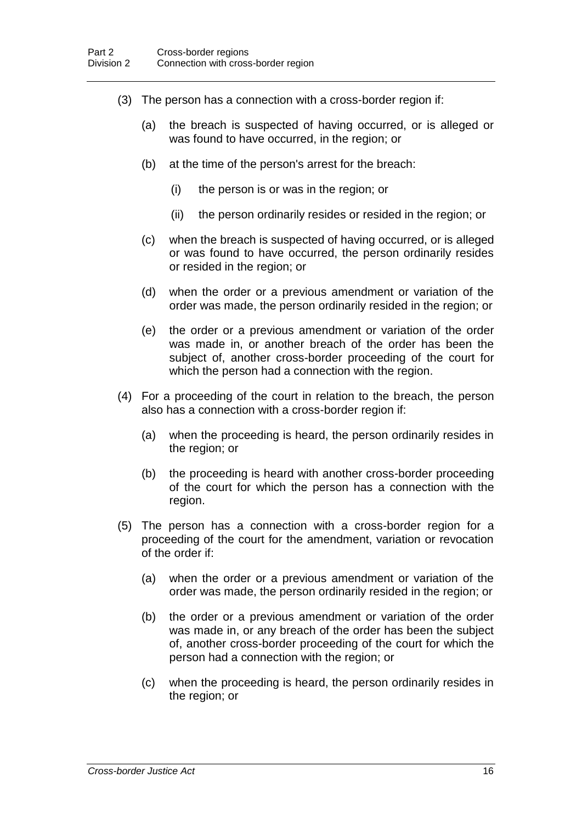- (3) The person has a connection with a cross-border region if:
	- (a) the breach is suspected of having occurred, or is alleged or was found to have occurred, in the region; or
	- (b) at the time of the person's arrest for the breach:
		- (i) the person is or was in the region; or
		- (ii) the person ordinarily resides or resided in the region; or
	- (c) when the breach is suspected of having occurred, or is alleged or was found to have occurred, the person ordinarily resides or resided in the region; or
	- (d) when the order or a previous amendment or variation of the order was made, the person ordinarily resided in the region; or
	- (e) the order or a previous amendment or variation of the order was made in, or another breach of the order has been the subject of, another cross-border proceeding of the court for which the person had a connection with the region.
- (4) For a proceeding of the court in relation to the breach, the person also has a connection with a cross-border region if:
	- (a) when the proceeding is heard, the person ordinarily resides in the region; or
	- (b) the proceeding is heard with another cross-border proceeding of the court for which the person has a connection with the region.
- (5) The person has a connection with a cross-border region for a proceeding of the court for the amendment, variation or revocation of the order if:
	- (a) when the order or a previous amendment or variation of the order was made, the person ordinarily resided in the region; or
	- (b) the order or a previous amendment or variation of the order was made in, or any breach of the order has been the subject of, another cross-border proceeding of the court for which the person had a connection with the region; or
	- (c) when the proceeding is heard, the person ordinarily resides in the region; or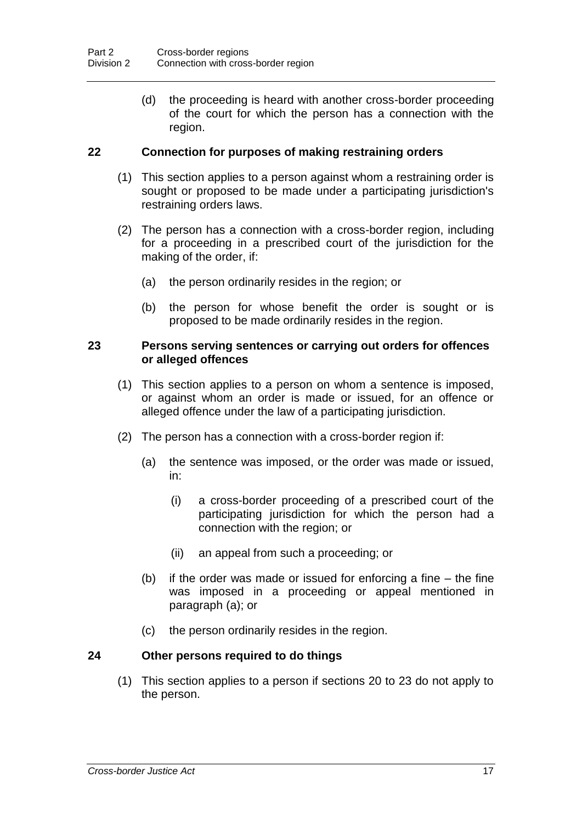(d) the proceeding is heard with another cross-border proceeding of the court for which the person has a connection with the region.

### **22 Connection for purposes of making restraining orders**

- (1) This section applies to a person against whom a restraining order is sought or proposed to be made under a participating jurisdiction's restraining orders laws.
- (2) The person has a connection with a cross-border region, including for a proceeding in a prescribed court of the jurisdiction for the making of the order, if:
	- (a) the person ordinarily resides in the region; or
	- (b) the person for whose benefit the order is sought or is proposed to be made ordinarily resides in the region.

### **23 Persons serving sentences or carrying out orders for offences or alleged offences**

- (1) This section applies to a person on whom a sentence is imposed, or against whom an order is made or issued, for an offence or alleged offence under the law of a participating jurisdiction.
- (2) The person has a connection with a cross-border region if:
	- (a) the sentence was imposed, or the order was made or issued, in:
		- (i) a cross-border proceeding of a prescribed court of the participating jurisdiction for which the person had a connection with the region; or
		- (ii) an appeal from such a proceeding; or
	- (b) if the order was made or issued for enforcing a fine the fine was imposed in a proceeding or appeal mentioned in paragraph (a); or
	- (c) the person ordinarily resides in the region.

### **24 Other persons required to do things**

(1) This section applies to a person if sections 20 to 23 do not apply to the person.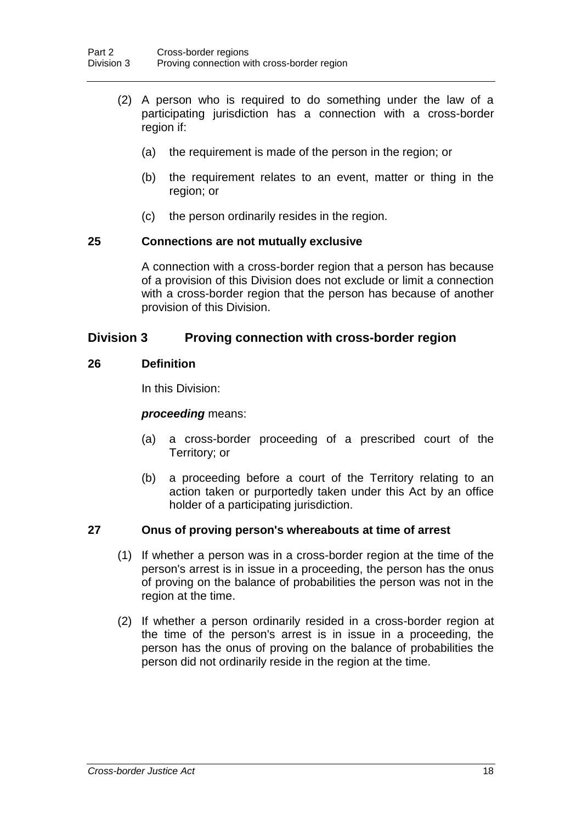- (2) A person who is required to do something under the law of a participating jurisdiction has a connection with a cross-border region if:
	- (a) the requirement is made of the person in the region; or
	- (b) the requirement relates to an event, matter or thing in the region; or
	- (c) the person ordinarily resides in the region.

### **25 Connections are not mutually exclusive**

A connection with a cross-border region that a person has because of a provision of this Division does not exclude or limit a connection with a cross-border region that the person has because of another provision of this Division.

## **Division 3 Proving connection with cross-border region**

### **26 Definition**

In this Division:

### *proceeding* means:

- (a) a cross-border proceeding of a prescribed court of the Territory; or
- (b) a proceeding before a court of the Territory relating to an action taken or purportedly taken under this Act by an office holder of a participating jurisdiction.

## **27 Onus of proving person's whereabouts at time of arrest**

- (1) If whether a person was in a cross-border region at the time of the person's arrest is in issue in a proceeding, the person has the onus of proving on the balance of probabilities the person was not in the region at the time.
- (2) If whether a person ordinarily resided in a cross-border region at the time of the person's arrest is in issue in a proceeding, the person has the onus of proving on the balance of probabilities the person did not ordinarily reside in the region at the time.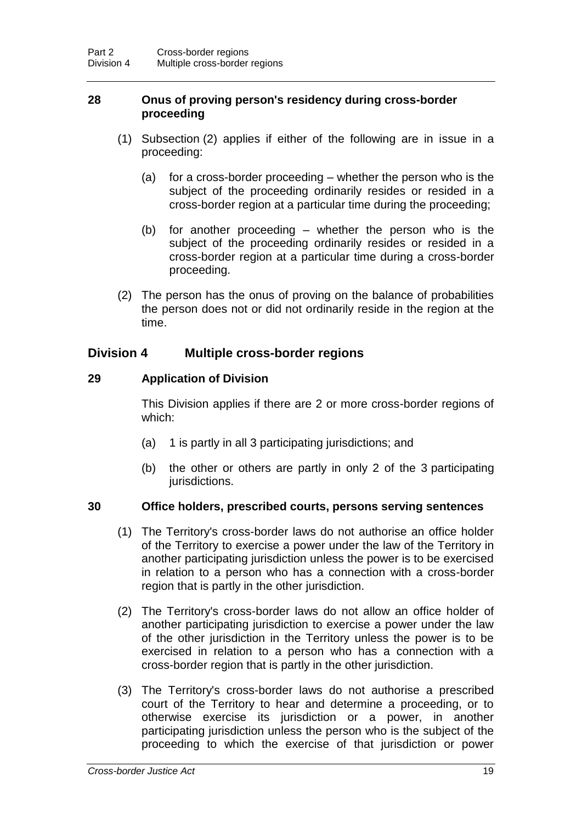### **28 Onus of proving person's residency during cross-border proceeding**

- (1) Subsection (2) applies if either of the following are in issue in a proceeding:
	- (a) for a cross-border proceeding whether the person who is the subject of the proceeding ordinarily resides or resided in a cross-border region at a particular time during the proceeding;
	- (b) for another proceeding whether the person who is the subject of the proceeding ordinarily resides or resided in a cross-border region at a particular time during a cross-border proceeding.
- (2) The person has the onus of proving on the balance of probabilities the person does not or did not ordinarily reside in the region at the time.

## **Division 4 Multiple cross-border regions**

### **29 Application of Division**

This Division applies if there are 2 or more cross-border regions of which:

- (a) 1 is partly in all 3 participating jurisdictions; and
- (b) the other or others are partly in only 2 of the 3 participating jurisdictions.

### **30 Office holders, prescribed courts, persons serving sentences**

- (1) The Territory's cross-border laws do not authorise an office holder of the Territory to exercise a power under the law of the Territory in another participating jurisdiction unless the power is to be exercised in relation to a person who has a connection with a cross-border region that is partly in the other jurisdiction.
- (2) The Territory's cross-border laws do not allow an office holder of another participating jurisdiction to exercise a power under the law of the other jurisdiction in the Territory unless the power is to be exercised in relation to a person who has a connection with a cross-border region that is partly in the other jurisdiction.
- (3) The Territory's cross-border laws do not authorise a prescribed court of the Territory to hear and determine a proceeding, or to otherwise exercise its jurisdiction or a power, in another participating jurisdiction unless the person who is the subject of the proceeding to which the exercise of that jurisdiction or power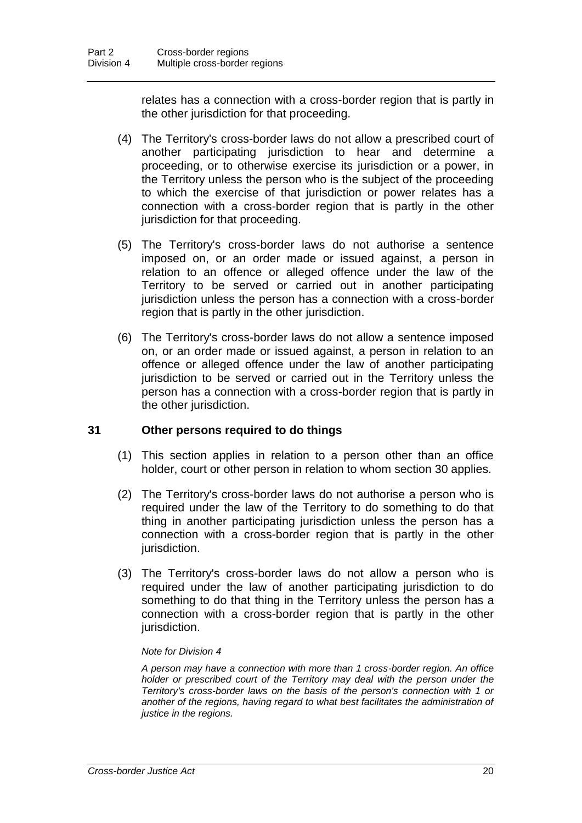relates has a connection with a cross-border region that is partly in the other jurisdiction for that proceeding.

- (4) The Territory's cross-border laws do not allow a prescribed court of another participating jurisdiction to hear and determine a proceeding, or to otherwise exercise its jurisdiction or a power, in the Territory unless the person who is the subject of the proceeding to which the exercise of that jurisdiction or power relates has a connection with a cross-border region that is partly in the other jurisdiction for that proceeding.
- (5) The Territory's cross-border laws do not authorise a sentence imposed on, or an order made or issued against, a person in relation to an offence or alleged offence under the law of the Territory to be served or carried out in another participating jurisdiction unless the person has a connection with a cross-border region that is partly in the other jurisdiction.
- (6) The Territory's cross-border laws do not allow a sentence imposed on, or an order made or issued against, a person in relation to an offence or alleged offence under the law of another participating jurisdiction to be served or carried out in the Territory unless the person has a connection with a cross-border region that is partly in the other jurisdiction.

### **31 Other persons required to do things**

- (1) This section applies in relation to a person other than an office holder, court or other person in relation to whom section 30 applies.
- (2) The Territory's cross-border laws do not authorise a person who is required under the law of the Territory to do something to do that thing in another participating jurisdiction unless the person has a connection with a cross-border region that is partly in the other jurisdiction.
- (3) The Territory's cross-border laws do not allow a person who is required under the law of another participating jurisdiction to do something to do that thing in the Territory unless the person has a connection with a cross-border region that is partly in the other jurisdiction.

#### *Note for Division 4*

*A person may have a connection with more than 1 cross-border region. An office holder or prescribed court of the Territory may deal with the person under the Territory's cross-border laws on the basis of the person's connection with 1 or another of the regions, having regard to what best facilitates the administration of justice in the regions.*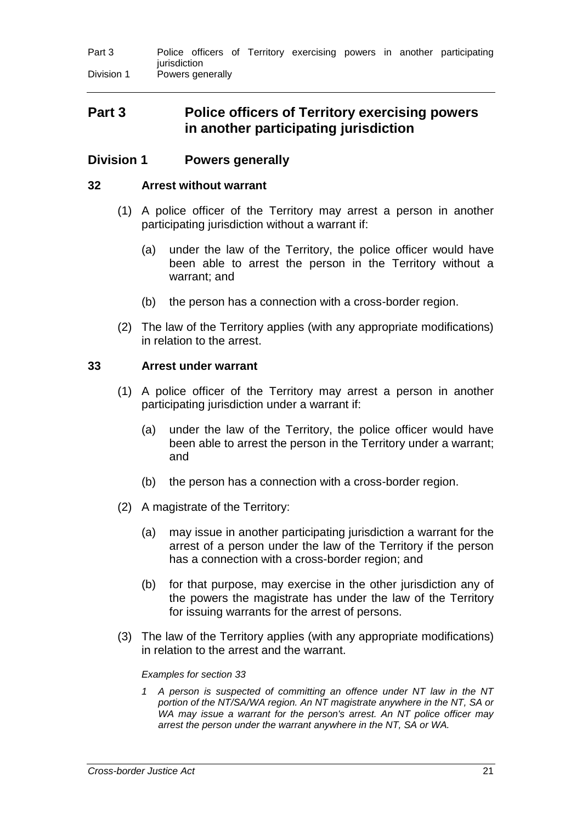| Part 3     |              |                  |  |  |  |  |  |  | Police officers of Territory exercising powers in another participating |  |
|------------|--------------|------------------|--|--|--|--|--|--|-------------------------------------------------------------------------|--|
|            | iurisdiction |                  |  |  |  |  |  |  |                                                                         |  |
| Division 1 |              | Powers generally |  |  |  |  |  |  |                                                                         |  |

## **Part 3 Police officers of Territory exercising powers in another participating jurisdiction**

### **Division 1 Powers generally**

### **32 Arrest without warrant**

- (1) A police officer of the Territory may arrest a person in another participating jurisdiction without a warrant if:
	- (a) under the law of the Territory, the police officer would have been able to arrest the person in the Territory without a warrant; and
	- (b) the person has a connection with a cross-border region.
- (2) The law of the Territory applies (with any appropriate modifications) in relation to the arrest.

### **33 Arrest under warrant**

- (1) A police officer of the Territory may arrest a person in another participating jurisdiction under a warrant if:
	- (a) under the law of the Territory, the police officer would have been able to arrest the person in the Territory under a warrant; and
	- (b) the person has a connection with a cross-border region.
- (2) A magistrate of the Territory:
	- (a) may issue in another participating jurisdiction a warrant for the arrest of a person under the law of the Territory if the person has a connection with a cross-border region; and
	- (b) for that purpose, may exercise in the other jurisdiction any of the powers the magistrate has under the law of the Territory for issuing warrants for the arrest of persons.
- (3) The law of the Territory applies (with any appropriate modifications) in relation to the arrest and the warrant.

#### *Examples for section 33*

*1 A person is suspected of committing an offence under NT law in the NT portion of the NT/SA/WA region. An NT magistrate anywhere in the NT, SA or WA may issue a warrant for the person's arrest. An NT police officer may arrest the person under the warrant anywhere in the NT, SA or WA.*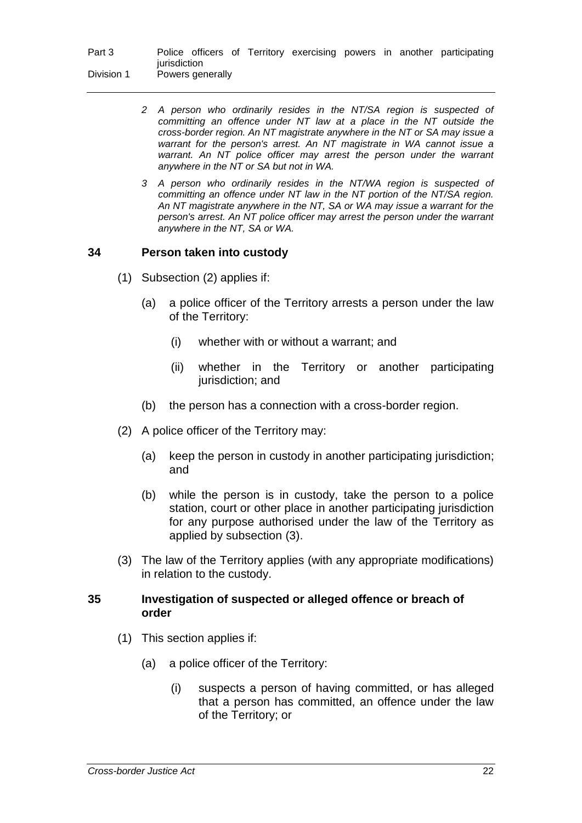| Part 3     |              |                  |  |  |  |  |  |  | Police officers of Territory exercising powers in another participating |  |
|------------|--------------|------------------|--|--|--|--|--|--|-------------------------------------------------------------------------|--|
|            | iurisdiction |                  |  |  |  |  |  |  |                                                                         |  |
| Division 1 |              | Powers generally |  |  |  |  |  |  |                                                                         |  |

- *2 A person who ordinarily resides in the NT/SA region is suspected of committing an offence under NT law at a place in the NT outside the cross-border region. An NT magistrate anywhere in the NT or SA may issue a warrant for the person's arrest. An NT magistrate in WA cannot issue a warrant. An NT police officer may arrest the person under the warrant anywhere in the NT or SA but not in WA.*
- *3 A person who ordinarily resides in the NT/WA region is suspected of committing an offence under NT law in the NT portion of the NT/SA region. An NT magistrate anywhere in the NT, SA or WA may issue a warrant for the person's arrest. An NT police officer may arrest the person under the warrant anywhere in the NT, SA or WA.*

### **34 Person taken into custody**

- (1) Subsection (2) applies if:
	- (a) a police officer of the Territory arrests a person under the law of the Territory:
		- (i) whether with or without a warrant; and
		- (ii) whether in the Territory or another participating jurisdiction; and
	- (b) the person has a connection with a cross-border region.
- (2) A police officer of the Territory may:
	- (a) keep the person in custody in another participating jurisdiction; and
	- (b) while the person is in custody, take the person to a police station, court or other place in another participating jurisdiction for any purpose authorised under the law of the Territory as applied by subsection (3).
- (3) The law of the Territory applies (with any appropriate modifications) in relation to the custody.

### **35 Investigation of suspected or alleged offence or breach of order**

- (1) This section applies if:
	- (a) a police officer of the Territory:
		- (i) suspects a person of having committed, or has alleged that a person has committed, an offence under the law of the Territory; or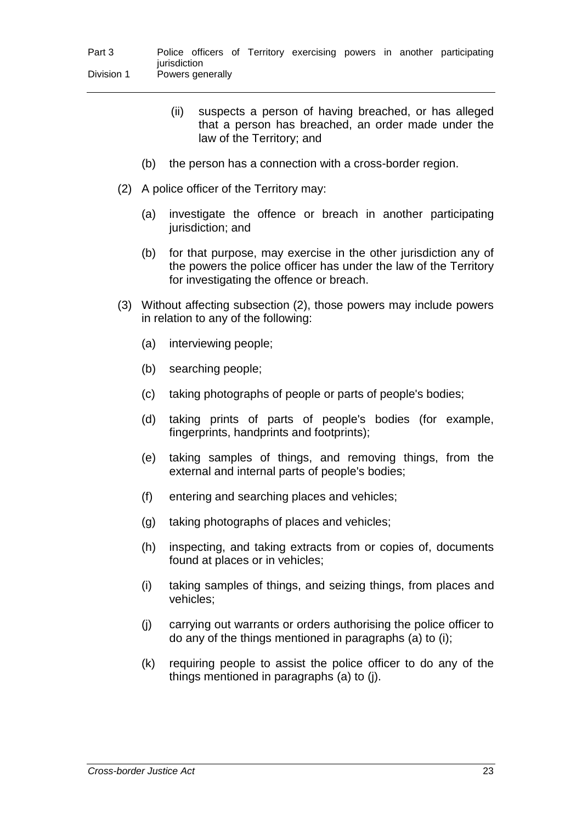- (ii) suspects a person of having breached, or has alleged that a person has breached, an order made under the law of the Territory; and
- (b) the person has a connection with a cross-border region.
- (2) A police officer of the Territory may:
	- (a) investigate the offence or breach in another participating jurisdiction; and
	- (b) for that purpose, may exercise in the other jurisdiction any of the powers the police officer has under the law of the Territory for investigating the offence or breach.
- (3) Without affecting subsection (2), those powers may include powers in relation to any of the following:
	- (a) interviewing people;
	- (b) searching people;
	- (c) taking photographs of people or parts of people's bodies;
	- (d) taking prints of parts of people's bodies (for example, fingerprints, handprints and footprints);
	- (e) taking samples of things, and removing things, from the external and internal parts of people's bodies;
	- (f) entering and searching places and vehicles;
	- (g) taking photographs of places and vehicles;
	- (h) inspecting, and taking extracts from or copies of, documents found at places or in vehicles;
	- (i) taking samples of things, and seizing things, from places and vehicles;
	- (j) carrying out warrants or orders authorising the police officer to do any of the things mentioned in paragraphs (a) to (i);
	- (k) requiring people to assist the police officer to do any of the things mentioned in paragraphs (a) to (j).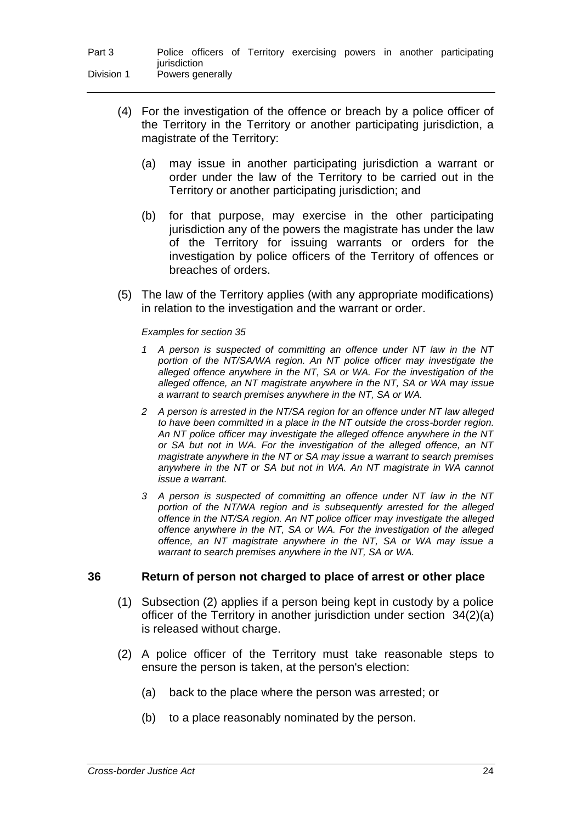| Part 3     |              |                  |  |  |  | Police officers of Territory exercising powers in another participating |
|------------|--------------|------------------|--|--|--|-------------------------------------------------------------------------|
|            | jurisdiction |                  |  |  |  |                                                                         |
| Division 1 |              | Powers generally |  |  |  |                                                                         |

- (4) For the investigation of the offence or breach by a police officer of the Territory in the Territory or another participating jurisdiction, a magistrate of the Territory:
	- (a) may issue in another participating jurisdiction a warrant or order under the law of the Territory to be carried out in the Territory or another participating jurisdiction; and
	- (b) for that purpose, may exercise in the other participating jurisdiction any of the powers the magistrate has under the law of the Territory for issuing warrants or orders for the investigation by police officers of the Territory of offences or breaches of orders.
- (5) The law of the Territory applies (with any appropriate modifications) in relation to the investigation and the warrant or order.

#### *Examples for section 35*

- *1 A person is suspected of committing an offence under NT law in the NT portion of the NT/SA/WA region. An NT police officer may investigate the alleged offence anywhere in the NT, SA or WA. For the investigation of the alleged offence, an NT magistrate anywhere in the NT, SA or WA may issue a warrant to search premises anywhere in the NT, SA or WA.*
- *2 A person is arrested in the NT/SA region for an offence under NT law alleged to have been committed in a place in the NT outside the cross-border region. An NT police officer may investigate the alleged offence anywhere in the NT or SA but not in WA. For the investigation of the alleged offence, an NT magistrate anywhere in the NT or SA may issue a warrant to search premises anywhere in the NT or SA but not in WA. An NT magistrate in WA cannot issue a warrant.*
- *3 A person is suspected of committing an offence under NT law in the NT portion of the NT/WA region and is subsequently arrested for the alleged offence in the NT/SA region. An NT police officer may investigate the alleged offence anywhere in the NT, SA or WA. For the investigation of the alleged offence, an NT magistrate anywhere in the NT, SA or WA may issue a warrant to search premises anywhere in the NT, SA or WA.*

#### **36 Return of person not charged to place of arrest or other place**

- (1) Subsection (2) applies if a person being kept in custody by a police officer of the Territory in another jurisdiction under section 34(2)(a) is released without charge.
- (2) A police officer of the Territory must take reasonable steps to ensure the person is taken, at the person's election:
	- (a) back to the place where the person was arrested; or
	- (b) to a place reasonably nominated by the person.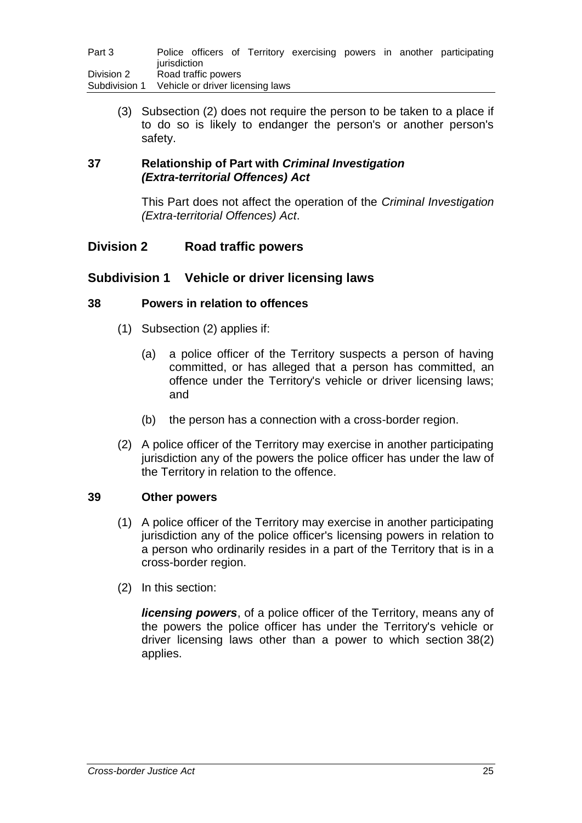| Part 3                      | jurisdiction |                     |                                  |  |  | Police officers of Territory exercising powers in another participating |
|-----------------------------|--------------|---------------------|----------------------------------|--|--|-------------------------------------------------------------------------|
| Division 2<br>Subdivision 1 |              | Road traffic powers | Vehicle or driver licensing laws |  |  |                                                                         |

(3) Subsection (2) does not require the person to be taken to a place if to do so is likely to endanger the person's or another person's safety.

### **37 Relationship of Part with** *Criminal Investigation (Extra-territorial Offences) Act*

This Part does not affect the operation of the *Criminal Investigation (Extra-territorial Offences) Act*.

## **Division 2 Road traffic powers**

### **Subdivision 1 Vehicle or driver licensing laws**

### **38 Powers in relation to offences**

- (1) Subsection (2) applies if:
	- (a) a police officer of the Territory suspects a person of having committed, or has alleged that a person has committed, an offence under the Territory's vehicle or driver licensing laws; and
	- (b) the person has a connection with a cross-border region.
- (2) A police officer of the Territory may exercise in another participating jurisdiction any of the powers the police officer has under the law of the Territory in relation to the offence.

### **39 Other powers**

- (1) A police officer of the Territory may exercise in another participating jurisdiction any of the police officer's licensing powers in relation to a person who ordinarily resides in a part of the Territory that is in a cross-border region.
- (2) In this section:

*licensing powers*, of a police officer of the Territory, means any of the powers the police officer has under the Territory's vehicle or driver licensing laws other than a power to which section 38(2) applies.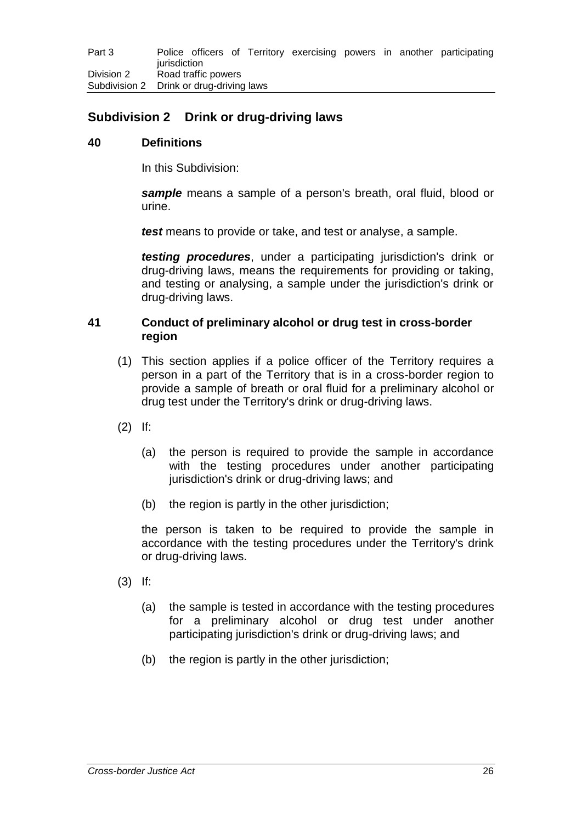## **Subdivision 2 Drink or drug-driving laws**

### **40 Definitions**

In this Subdivision:

*sample* means a sample of a person's breath, oral fluid, blood or urine.

*test* means to provide or take, and test or analyse, a sample.

*testing procedures*, under a participating jurisdiction's drink or drug-driving laws, means the requirements for providing or taking, and testing or analysing, a sample under the jurisdiction's drink or drug-driving laws.

### **41 Conduct of preliminary alcohol or drug test in cross-border region**

- (1) This section applies if a police officer of the Territory requires a person in a part of the Territory that is in a cross-border region to provide a sample of breath or oral fluid for a preliminary alcohol or drug test under the Territory's drink or drug-driving laws.
- (2) If:
	- (a) the person is required to provide the sample in accordance with the testing procedures under another participating jurisdiction's drink or drug-driving laws; and
	- (b) the region is partly in the other jurisdiction;

the person is taken to be required to provide the sample in accordance with the testing procedures under the Territory's drink or drug-driving laws.

- (3) If:
	- (a) the sample is tested in accordance with the testing procedures for a preliminary alcohol or drug test under another participating jurisdiction's drink or drug-driving laws; and
	- (b) the region is partly in the other jurisdiction;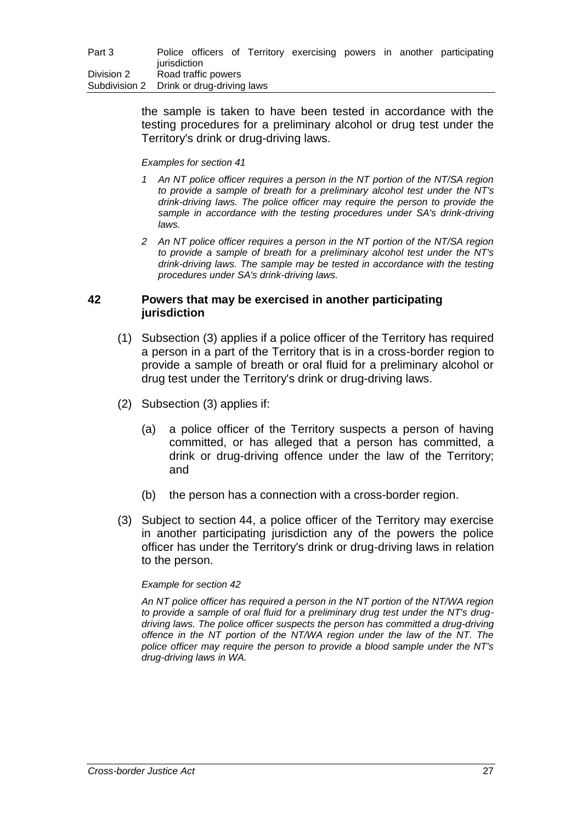the sample is taken to have been tested in accordance with the testing procedures for a preliminary alcohol or drug test under the Territory's drink or drug-driving laws.

#### *Examples for section 41*

- *1 An NT police officer requires a person in the NT portion of the NT/SA region to provide a sample of breath for a preliminary alcohol test under the NT's drink-driving laws. The police officer may require the person to provide the sample in accordance with the testing procedures under SA's drink-driving laws.*
- *2 An NT police officer requires a person in the NT portion of the NT/SA region to provide a sample of breath for a preliminary alcohol test under the NT's drink-driving laws. The sample may be tested in accordance with the testing procedures under SA's drink-driving laws.*

### **42 Powers that may be exercised in another participating jurisdiction**

- (1) Subsection (3) applies if a police officer of the Territory has required a person in a part of the Territory that is in a cross-border region to provide a sample of breath or oral fluid for a preliminary alcohol or drug test under the Territory's drink or drug-driving laws.
- (2) Subsection (3) applies if:
	- (a) a police officer of the Territory suspects a person of having committed, or has alleged that a person has committed, a drink or drug-driving offence under the law of the Territory; and
	- (b) the person has a connection with a cross-border region.
- (3) Subject to section 44, a police officer of the Territory may exercise in another participating jurisdiction any of the powers the police officer has under the Territory's drink or drug-driving laws in relation to the person.

#### *Example for section 42*

*An NT police officer has required a person in the NT portion of the NT/WA region to provide a sample of oral fluid for a preliminary drug test under the NT's drugdriving laws. The police officer suspects the person has committed a drug-driving offence in the NT portion of the NT/WA region under the law of the NT. The police officer may require the person to provide a blood sample under the NT's drug-driving laws in WA.*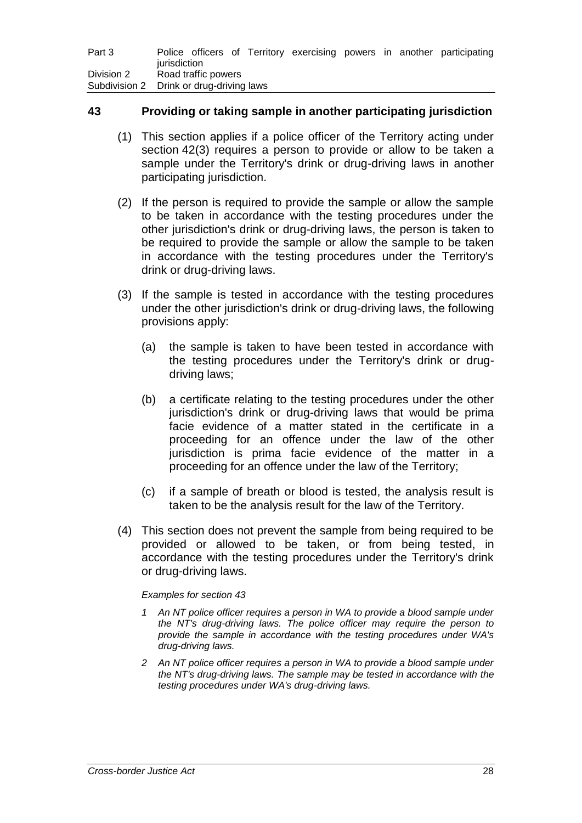| Part 3                                   | jurisdiction |                     |  |  |  | Police officers of Territory exercising powers in another participating |
|------------------------------------------|--------------|---------------------|--|--|--|-------------------------------------------------------------------------|
| Division 2                               |              | Road traffic powers |  |  |  |                                                                         |
| Subdivision 2 Drink or drug-driving laws |              |                     |  |  |  |                                                                         |

### **43 Providing or taking sample in another participating jurisdiction**

- (1) This section applies if a police officer of the Territory acting under section 42(3) requires a person to provide or allow to be taken a sample under the Territory's drink or drug-driving laws in another participating jurisdiction.
- (2) If the person is required to provide the sample or allow the sample to be taken in accordance with the testing procedures under the other jurisdiction's drink or drug-driving laws, the person is taken to be required to provide the sample or allow the sample to be taken in accordance with the testing procedures under the Territory's drink or drug-driving laws.
- (3) If the sample is tested in accordance with the testing procedures under the other jurisdiction's drink or drug-driving laws, the following provisions apply:
	- (a) the sample is taken to have been tested in accordance with the testing procedures under the Territory's drink or drugdriving laws;
	- (b) a certificate relating to the testing procedures under the other jurisdiction's drink or drug-driving laws that would be prima facie evidence of a matter stated in the certificate in a proceeding for an offence under the law of the other jurisdiction is prima facie evidence of the matter in a proceeding for an offence under the law of the Territory;
	- (c) if a sample of breath or blood is tested, the analysis result is taken to be the analysis result for the law of the Territory.
- (4) This section does not prevent the sample from being required to be provided or allowed to be taken, or from being tested, in accordance with the testing procedures under the Territory's drink or drug-driving laws.

#### *Examples for section 43*

- *1 An NT police officer requires a person in WA to provide a blood sample under the NT's drug-driving laws. The police officer may require the person to provide the sample in accordance with the testing procedures under WA's drug-driving laws.*
- *2 An NT police officer requires a person in WA to provide a blood sample under the NT's drug-driving laws. The sample may be tested in accordance with the testing procedures under WA's drug-driving laws.*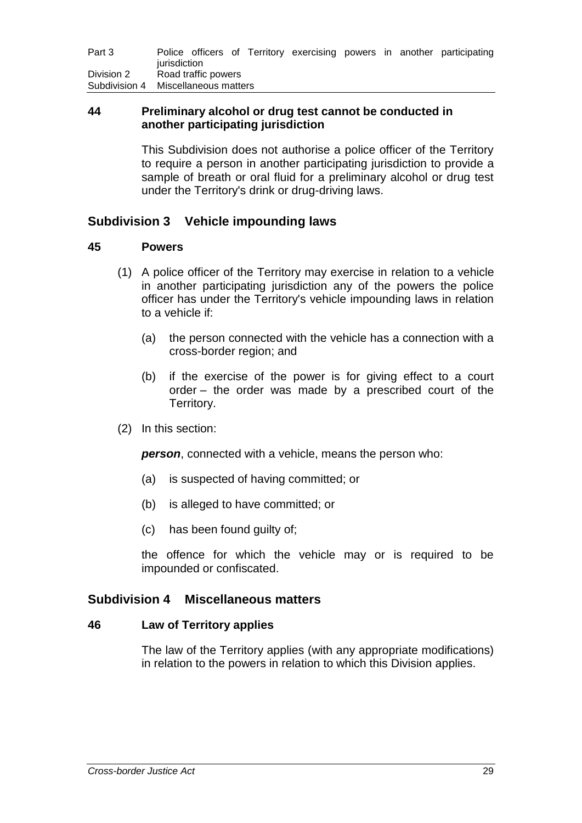| Part 3                              |                     |  |  |  |  |  |  | Police officers of Territory exercising powers in another participating |
|-------------------------------------|---------------------|--|--|--|--|--|--|-------------------------------------------------------------------------|
|                                     | iurisdiction        |  |  |  |  |  |  |                                                                         |
| Division 2                          | Road traffic powers |  |  |  |  |  |  |                                                                         |
| Subdivision 4 Miscellaneous matters |                     |  |  |  |  |  |  |                                                                         |

### **44 Preliminary alcohol or drug test cannot be conducted in another participating jurisdiction**

This Subdivision does not authorise a police officer of the Territory to require a person in another participating jurisdiction to provide a sample of breath or oral fluid for a preliminary alcohol or drug test under the Territory's drink or drug-driving laws.

## **Subdivision 3 Vehicle impounding laws**

### **45 Powers**

- (1) A police officer of the Territory may exercise in relation to a vehicle in another participating jurisdiction any of the powers the police officer has under the Territory's vehicle impounding laws in relation to a vehicle if:
	- (a) the person connected with the vehicle has a connection with a cross-border region; and
	- (b) if the exercise of the power is for giving effect to a court order – the order was made by a prescribed court of the Territory.
- (2) In this section:

*person*, connected with a vehicle, means the person who:

- (a) is suspected of having committed; or
- (b) is alleged to have committed; or
- (c) has been found guilty of;

the offence for which the vehicle may or is required to be impounded or confiscated.

### **Subdivision 4 Miscellaneous matters**

### **46 Law of Territory applies**

The law of the Territory applies (with any appropriate modifications) in relation to the powers in relation to which this Division applies.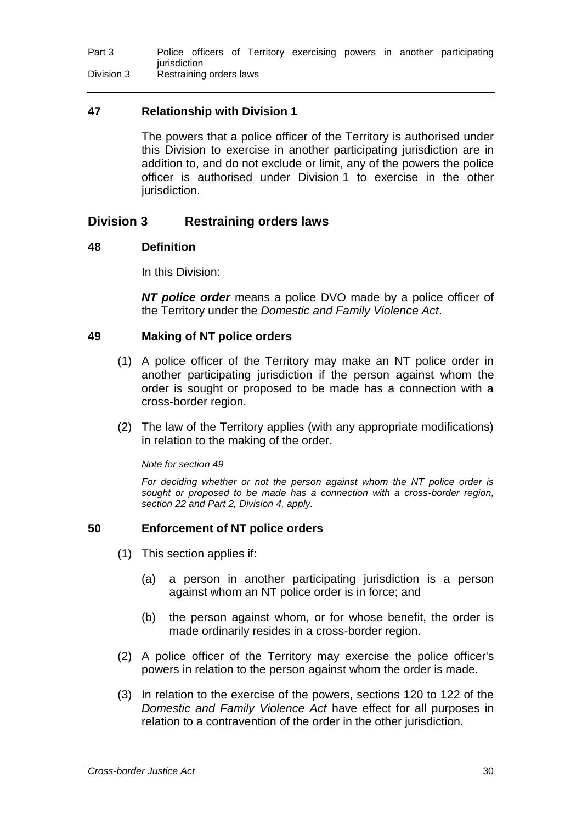## **47 Relationship with Division 1**

The powers that a police officer of the Territory is authorised under this Division to exercise in another participating jurisdiction are in addition to, and do not exclude or limit, any of the powers the police officer is authorised under Division 1 to exercise in the other jurisdiction.

## **Division 3 Restraining orders laws**

## **48 Definition**

In this Division:

*NT police order* means a police DVO made by a police officer of the Territory under the *Domestic and Family Violence Act*.

### **49 Making of NT police orders**

- (1) A police officer of the Territory may make an NT police order in another participating jurisdiction if the person against whom the order is sought or proposed to be made has a connection with a cross-border region.
- (2) The law of the Territory applies (with any appropriate modifications) in relation to the making of the order.

### *Note for section 49*

*For deciding whether or not the person against whom the NT police order is sought or proposed to be made has a connection with a cross-border region, section 22 and Part 2, Division 4, apply.*

### **50 Enforcement of NT police orders**

- (1) This section applies if:
	- (a) a person in another participating jurisdiction is a person against whom an NT police order is in force; and
	- (b) the person against whom, or for whose benefit, the order is made ordinarily resides in a cross-border region.
- (2) A police officer of the Territory may exercise the police officer's powers in relation to the person against whom the order is made.
- (3) In relation to the exercise of the powers, sections 120 to 122 of the *Domestic and Family Violence Act* have effect for all purposes in relation to a contravention of the order in the other jurisdiction.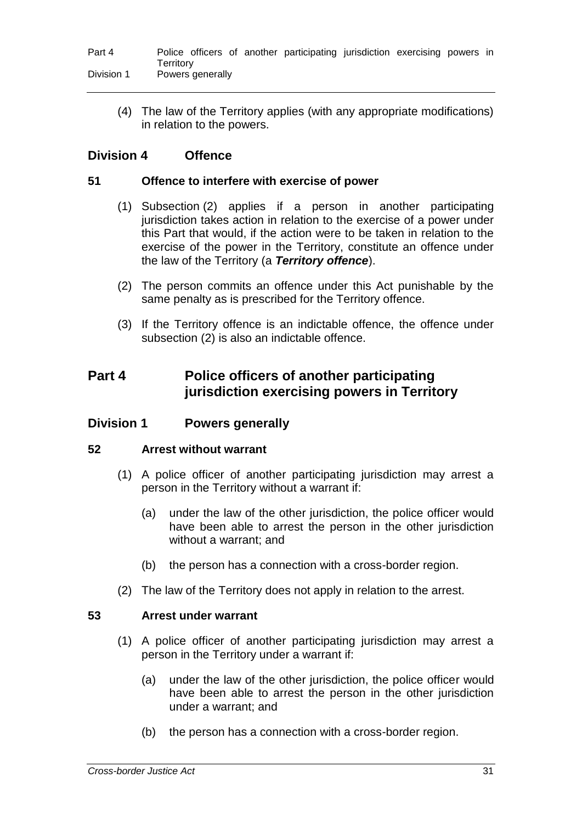#### Part 4 Police officers of another participating jurisdiction exercising powers in **Territory** Division 1 Powers generally

(4) The law of the Territory applies (with any appropriate modifications) in relation to the powers.

## **Division 4 Offence**

### **51 Offence to interfere with exercise of power**

- (1) Subsection (2) applies if a person in another participating jurisdiction takes action in relation to the exercise of a power under this Part that would, if the action were to be taken in relation to the exercise of the power in the Territory, constitute an offence under the law of the Territory (a *Territory offence*).
- (2) The person commits an offence under this Act punishable by the same penalty as is prescribed for the Territory offence.
- (3) If the Territory offence is an indictable offence, the offence under subsection (2) is also an indictable offence.

# **Part 4 Police officers of another participating jurisdiction exercising powers in Territory**

### **Division 1 Powers generally**

### **52 Arrest without warrant**

- (1) A police officer of another participating jurisdiction may arrest a person in the Territory without a warrant if:
	- (a) under the law of the other jurisdiction, the police officer would have been able to arrest the person in the other jurisdiction without a warrant; and
	- (b) the person has a connection with a cross-border region.
- (2) The law of the Territory does not apply in relation to the arrest.

### **53 Arrest under warrant**

- (1) A police officer of another participating jurisdiction may arrest a person in the Territory under a warrant if:
	- (a) under the law of the other jurisdiction, the police officer would have been able to arrest the person in the other jurisdiction under a warrant; and
	- (b) the person has a connection with a cross-border region.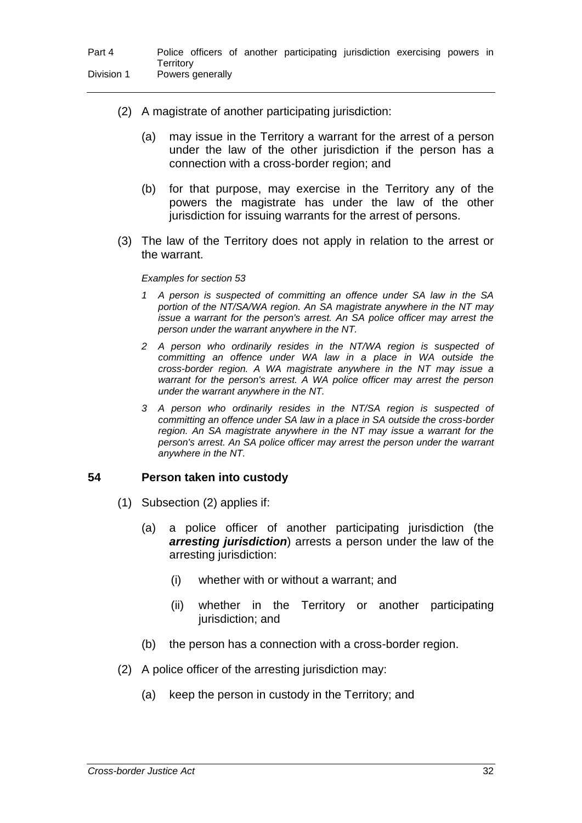- (2) A magistrate of another participating jurisdiction:
	- (a) may issue in the Territory a warrant for the arrest of a person under the law of the other jurisdiction if the person has a connection with a cross-border region; and
	- (b) for that purpose, may exercise in the Territory any of the powers the magistrate has under the law of the other jurisdiction for issuing warrants for the arrest of persons.
- (3) The law of the Territory does not apply in relation to the arrest or the warrant.

#### *Examples for section 53*

- *1 A person is suspected of committing an offence under SA law in the SA portion of the NT/SA/WA region. An SA magistrate anywhere in the NT may issue a warrant for the person's arrest. An SA police officer may arrest the person under the warrant anywhere in the NT.*
- *2 A person who ordinarily resides in the NT/WA region is suspected of committing an offence under WA law in a place in WA outside the cross-border region. A WA magistrate anywhere in the NT may issue a warrant for the person's arrest. A WA police officer may arrest the person under the warrant anywhere in the NT.*
- *3 A person who ordinarily resides in the NT/SA region is suspected of committing an offence under SA law in a place in SA outside the cross-border region. An SA magistrate anywhere in the NT may issue a warrant for the person's arrest. An SA police officer may arrest the person under the warrant anywhere in the NT.*

### **54 Person taken into custody**

- (1) Subsection (2) applies if:
	- (a) a police officer of another participating jurisdiction (the *arresting jurisdiction*) arrests a person under the law of the arresting jurisdiction:
		- (i) whether with or without a warrant; and
		- (ii) whether in the Territory or another participating jurisdiction; and
	- (b) the person has a connection with a cross-border region.
- (2) A police officer of the arresting jurisdiction may:
	- (a) keep the person in custody in the Territory; and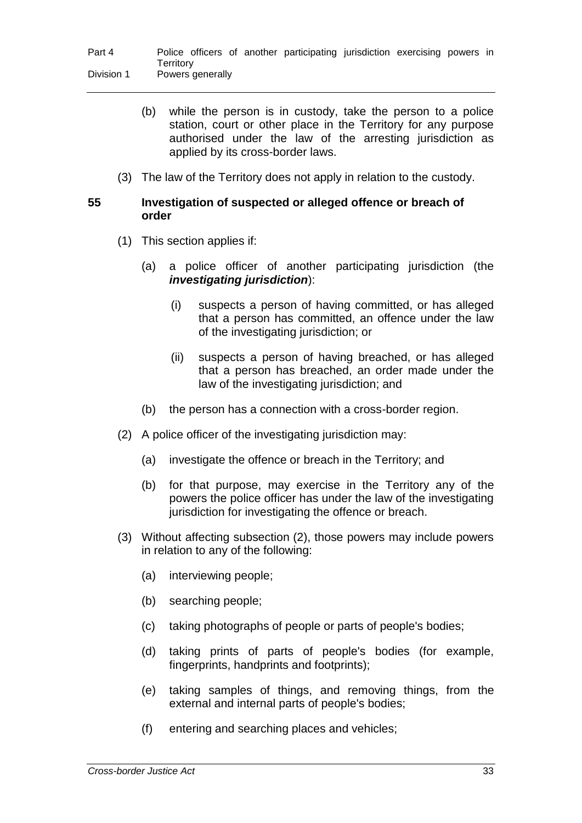- (b) while the person is in custody, take the person to a police station, court or other place in the Territory for any purpose authorised under the law of the arresting jurisdiction as applied by its cross-border laws.
- (3) The law of the Territory does not apply in relation to the custody.

### **55 Investigation of suspected or alleged offence or breach of order**

- (1) This section applies if:
	- (a) a police officer of another participating jurisdiction (the *investigating jurisdiction*):
		- (i) suspects a person of having committed, or has alleged that a person has committed, an offence under the law of the investigating jurisdiction; or
		- (ii) suspects a person of having breached, or has alleged that a person has breached, an order made under the law of the investigating jurisdiction; and
	- (b) the person has a connection with a cross-border region.
- (2) A police officer of the investigating jurisdiction may:
	- (a) investigate the offence or breach in the Territory; and
	- (b) for that purpose, may exercise in the Territory any of the powers the police officer has under the law of the investigating jurisdiction for investigating the offence or breach.
- (3) Without affecting subsection (2), those powers may include powers in relation to any of the following:
	- (a) interviewing people;
	- (b) searching people;
	- (c) taking photographs of people or parts of people's bodies;
	- (d) taking prints of parts of people's bodies (for example, fingerprints, handprints and footprints);
	- (e) taking samples of things, and removing things, from the external and internal parts of people's bodies;
	- (f) entering and searching places and vehicles;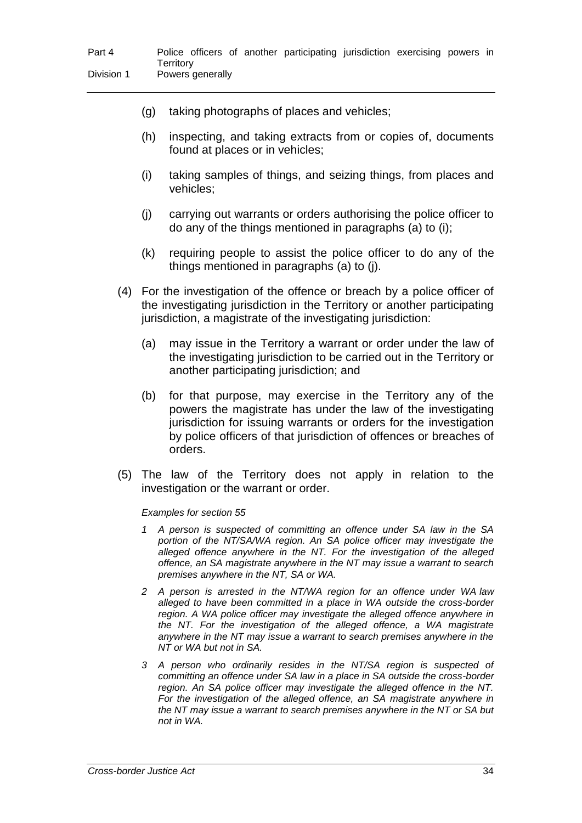|  | (g) taking photographs of places and vehicles; |
|--|------------------------------------------------|
|  |                                                |

- (h) inspecting, and taking extracts from or copies of, documents found at places or in vehicles;
- (i) taking samples of things, and seizing things, from places and vehicles;
- (j) carrying out warrants or orders authorising the police officer to do any of the things mentioned in paragraphs (a) to (i);
- (k) requiring people to assist the police officer to do any of the things mentioned in paragraphs (a) to (j).
- (4) For the investigation of the offence or breach by a police officer of the investigating jurisdiction in the Territory or another participating jurisdiction, a magistrate of the investigating jurisdiction:
	- (a) may issue in the Territory a warrant or order under the law of the investigating jurisdiction to be carried out in the Territory or another participating jurisdiction; and
	- (b) for that purpose, may exercise in the Territory any of the powers the magistrate has under the law of the investigating jurisdiction for issuing warrants or orders for the investigation by police officers of that jurisdiction of offences or breaches of orders.
- (5) The law of the Territory does not apply in relation to the investigation or the warrant or order.

#### *Examples for section 55*

- *1 A person is suspected of committing an offence under SA law in the SA portion of the NT/SA/WA region. An SA police officer may investigate the alleged offence anywhere in the NT. For the investigation of the alleged offence, an SA magistrate anywhere in the NT may issue a warrant to search premises anywhere in the NT, SA or WA.*
- *2 A person is arrested in the NT/WA region for an offence under WA law alleged to have been committed in a place in WA outside the cross-border region. A WA police officer may investigate the alleged offence anywhere in the NT. For the investigation of the alleged offence, a WA magistrate anywhere in the NT may issue a warrant to search premises anywhere in the NT or WA but not in SA.*
- *3 A person who ordinarily resides in the NT/SA region is suspected of committing an offence under SA law in a place in SA outside the cross-border region. An SA police officer may investigate the alleged offence in the NT. For the investigation of the alleged offence, an SA magistrate anywhere in the NT may issue a warrant to search premises anywhere in the NT or SA but not in WA.*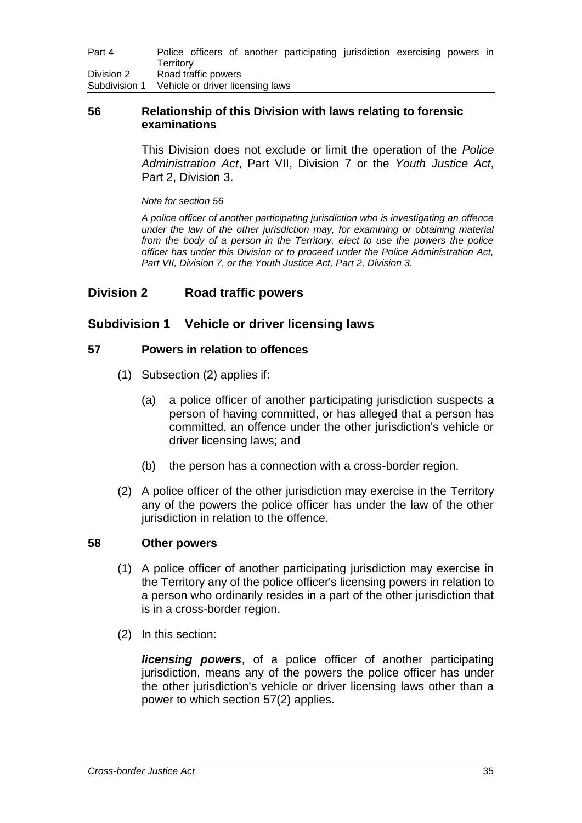| Part 4        | Police officers of another participating jurisdiction exercising powers in<br>Territorv |
|---------------|-----------------------------------------------------------------------------------------|
| Division 2    | Road traffic powers                                                                     |
| Subdivision 1 | Vehicle or driver licensing laws                                                        |

### **56 Relationship of this Division with laws relating to forensic examinations**

This Division does not exclude or limit the operation of the *Police Administration Act*, Part VII, Division 7 or the *Youth Justice Act*, Part 2, Division 3.

*Note for section 56*

*A police officer of another participating jurisdiction who is investigating an offence under the law of the other jurisdiction may, for examining or obtaining material from the body of a person in the Territory, elect to use the powers the police officer has under this Division or to proceed under the Police Administration Act, Part VII, Division 7, or the Youth Justice Act, Part 2, Division 3.*

## **Division 2 Road traffic powers**

## **Subdivision 1 Vehicle or driver licensing laws**

### **57 Powers in relation to offences**

- (1) Subsection (2) applies if:
	- (a) a police officer of another participating jurisdiction suspects a person of having committed, or has alleged that a person has committed, an offence under the other jurisdiction's vehicle or driver licensing laws; and
	- (b) the person has a connection with a cross-border region.
- (2) A police officer of the other jurisdiction may exercise in the Territory any of the powers the police officer has under the law of the other jurisdiction in relation to the offence.

### **58 Other powers**

- (1) A police officer of another participating jurisdiction may exercise in the Territory any of the police officer's licensing powers in relation to a person who ordinarily resides in a part of the other jurisdiction that is in a cross-border region.
- (2) In this section:

*licensing powers*, of a police officer of another participating jurisdiction, means any of the powers the police officer has under the other jurisdiction's vehicle or driver licensing laws other than a power to which section 57(2) applies.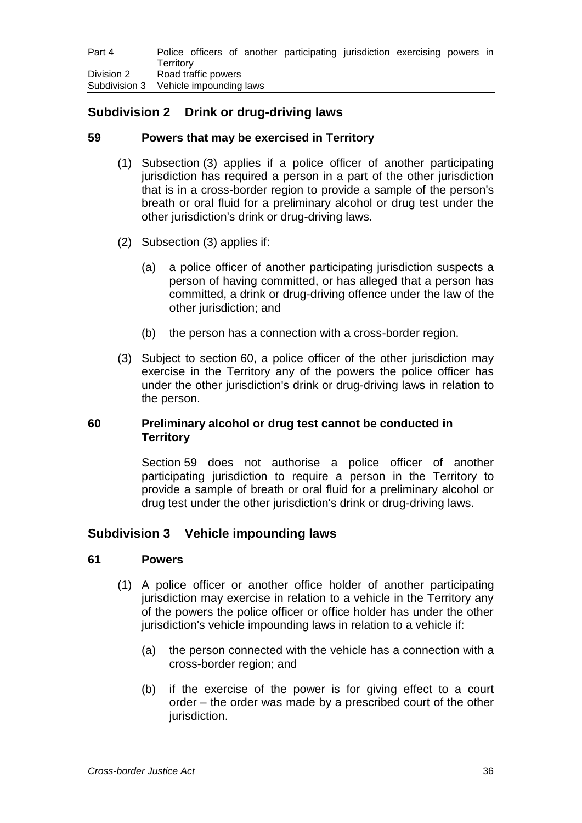# **Subdivision 2 Drink or drug-driving laws**

## **59 Powers that may be exercised in Territory**

- (1) Subsection (3) applies if a police officer of another participating jurisdiction has required a person in a part of the other jurisdiction that is in a cross-border region to provide a sample of the person's breath or oral fluid for a preliminary alcohol or drug test under the other jurisdiction's drink or drug-driving laws.
- (2) Subsection (3) applies if:
	- (a) a police officer of another participating jurisdiction suspects a person of having committed, or has alleged that a person has committed, a drink or drug-driving offence under the law of the other jurisdiction; and
	- (b) the person has a connection with a cross-border region.
- (3) Subject to section 60, a police officer of the other jurisdiction may exercise in the Territory any of the powers the police officer has under the other jurisdiction's drink or drug-driving laws in relation to the person.

## **60 Preliminary alcohol or drug test cannot be conducted in Territory**

Section 59 does not authorise a police officer of another participating jurisdiction to require a person in the Territory to provide a sample of breath or oral fluid for a preliminary alcohol or drug test under the other jurisdiction's drink or drug-driving laws.

## **Subdivision 3 Vehicle impounding laws**

### **61 Powers**

- (1) A police officer or another office holder of another participating jurisdiction may exercise in relation to a vehicle in the Territory any of the powers the police officer or office holder has under the other jurisdiction's vehicle impounding laws in relation to a vehicle if:
	- (a) the person connected with the vehicle has a connection with a cross-border region; and
	- (b) if the exercise of the power is for giving effect to a court order – the order was made by a prescribed court of the other jurisdiction.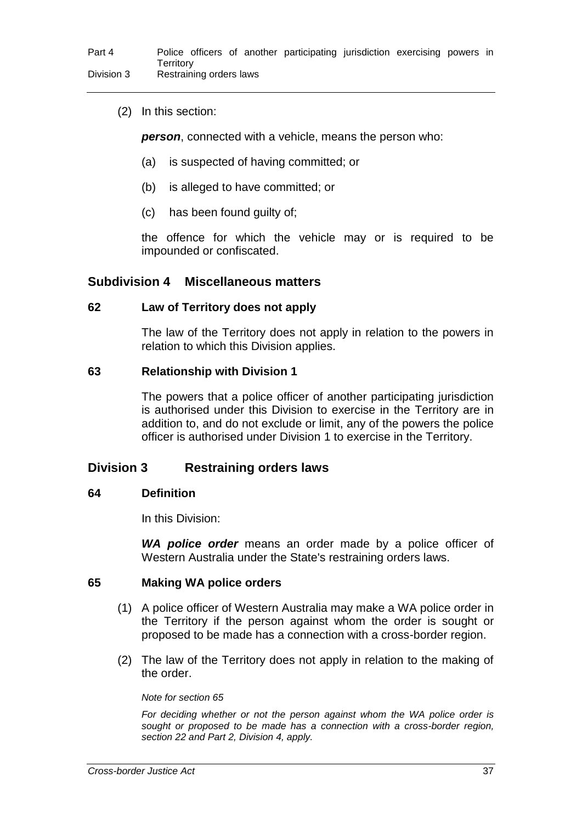(2) In this section:

*person*, connected with a vehicle, means the person who:

- (a) is suspected of having committed; or
- (b) is alleged to have committed; or
- (c) has been found guilty of;

the offence for which the vehicle may or is required to be impounded or confiscated.

### **Subdivision 4 Miscellaneous matters**

### **62 Law of Territory does not apply**

The law of the Territory does not apply in relation to the powers in relation to which this Division applies.

### **63 Relationship with Division 1**

The powers that a police officer of another participating jurisdiction is authorised under this Division to exercise in the Territory are in addition to, and do not exclude or limit, any of the powers the police officer is authorised under Division 1 to exercise in the Territory.

## **Division 3 Restraining orders laws**

### **64 Definition**

In this Division:

*WA police order* means an order made by a police officer of Western Australia under the State's restraining orders laws.

### **65 Making WA police orders**

- (1) A police officer of Western Australia may make a WA police order in the Territory if the person against whom the order is sought or proposed to be made has a connection with a cross-border region.
- (2) The law of the Territory does not apply in relation to the making of the order.

*Note for section 65*

*For deciding whether or not the person against whom the WA police order is sought or proposed to be made has a connection with a cross-border region, section 22 and Part 2, Division 4, apply.*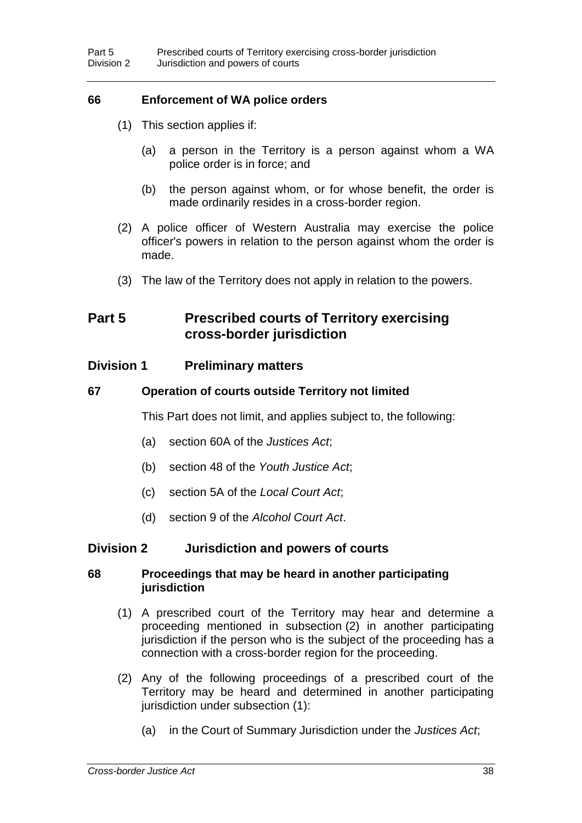## **66 Enforcement of WA police orders**

- (1) This section applies if:
	- (a) a person in the Territory is a person against whom a WA police order is in force; and
	- (b) the person against whom, or for whose benefit, the order is made ordinarily resides in a cross-border region.
- (2) A police officer of Western Australia may exercise the police officer's powers in relation to the person against whom the order is made.
- (3) The law of the Territory does not apply in relation to the powers.

## **Part 5 Prescribed courts of Territory exercising cross-border jurisdiction**

### **Division 1 Preliminary matters**

### **67 Operation of courts outside Territory not limited**

This Part does not limit, and applies subject to, the following:

- (a) section 60A of the *Justices Act*;
- (b) section 48 of the *Youth Justice Act*;
- (c) section 5A of the *Local Court Act*;
- (d) section 9 of the *Alcohol Court Act*.

### **Division 2 Jurisdiction and powers of courts**

### **68 Proceedings that may be heard in another participating jurisdiction**

- (1) A prescribed court of the Territory may hear and determine a proceeding mentioned in subsection (2) in another participating jurisdiction if the person who is the subject of the proceeding has a connection with a cross-border region for the proceeding.
- (2) Any of the following proceedings of a prescribed court of the Territory may be heard and determined in another participating jurisdiction under subsection (1):
	- (a) in the Court of Summary Jurisdiction under the *Justices Act*;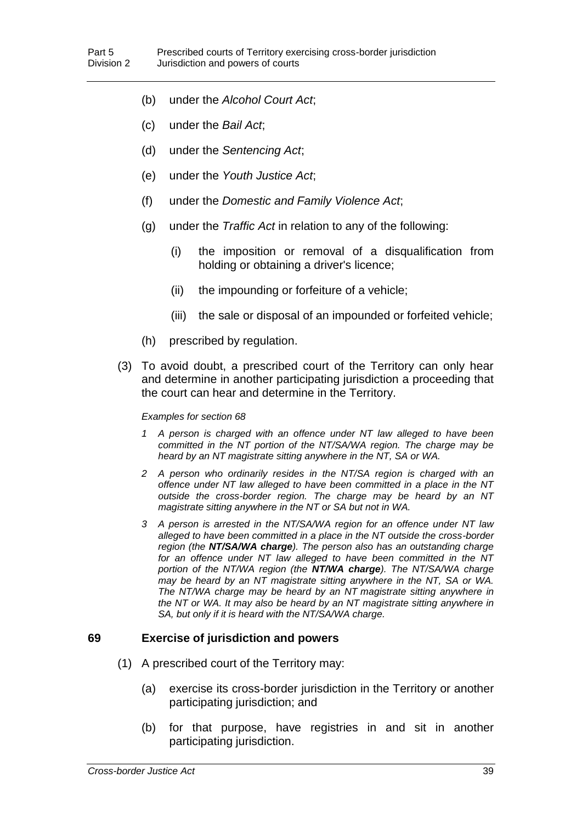- (b) under the *Alcohol Court Act*;
- (c) under the *Bail Act*;
- (d) under the *Sentencing Act*;
- (e) under the *Youth Justice Act*;
- (f) under the *Domestic and Family Violence Act*;
- (g) under the *Traffic Act* in relation to any of the following:
	- (i) the imposition or removal of a disqualification from holding or obtaining a driver's licence;
	- (ii) the impounding or forfeiture of a vehicle;
	- (iii) the sale or disposal of an impounded or forfeited vehicle;
- (h) prescribed by regulation.
- (3) To avoid doubt, a prescribed court of the Territory can only hear and determine in another participating jurisdiction a proceeding that the court can hear and determine in the Territory.

#### *Examples for section 68*

- *1 A person is charged with an offence under NT law alleged to have been committed in the NT portion of the NT/SA/WA region. The charge may be heard by an NT magistrate sitting anywhere in the NT, SA or WA.*
- *2 A person who ordinarily resides in the NT/SA region is charged with an offence under NT law alleged to have been committed in a place in the NT outside the cross-border region. The charge may be heard by an NT magistrate sitting anywhere in the NT or SA but not in WA.*
- *3 A person is arrested in the NT/SA/WA region for an offence under NT law alleged to have been committed in a place in the NT outside the cross-border region (the NT/SA/WA charge). The person also has an outstanding charge for an offence under NT law alleged to have been committed in the NT portion of the NT/WA region (the NT/WA charge). The NT/SA/WA charge may be heard by an NT magistrate sitting anywhere in the NT, SA or WA. The NT/WA charge may be heard by an NT magistrate sitting anywhere in the NT or WA. It may also be heard by an NT magistrate sitting anywhere in SA, but only if it is heard with the NT/SA/WA charge.*

### **69 Exercise of jurisdiction and powers**

- (1) A prescribed court of the Territory may:
	- (a) exercise its cross-border jurisdiction in the Territory or another participating jurisdiction; and
	- (b) for that purpose, have registries in and sit in another participating jurisdiction.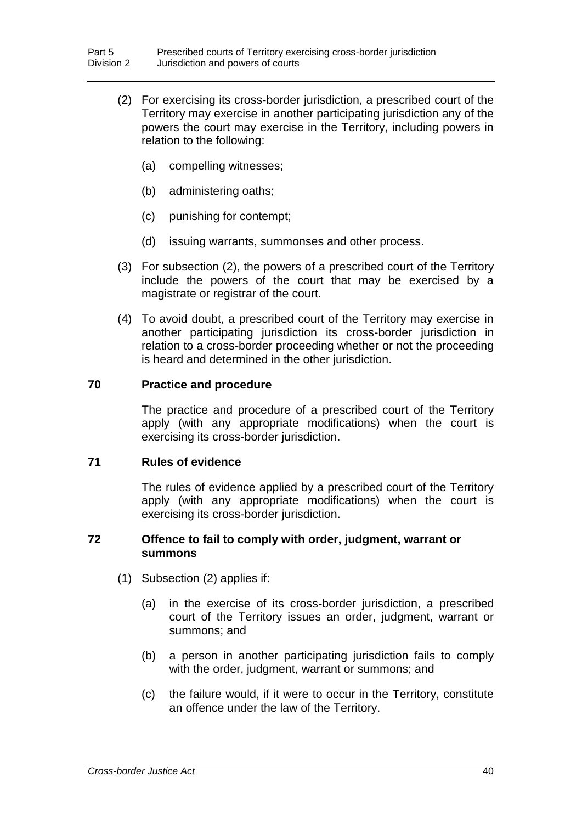- (2) For exercising its cross-border jurisdiction, a prescribed court of the Territory may exercise in another participating jurisdiction any of the powers the court may exercise in the Territory, including powers in relation to the following:
	- (a) compelling witnesses;
	- (b) administering oaths;
	- (c) punishing for contempt;
	- (d) issuing warrants, summonses and other process.
- (3) For subsection (2), the powers of a prescribed court of the Territory include the powers of the court that may be exercised by a magistrate or registrar of the court.
- (4) To avoid doubt, a prescribed court of the Territory may exercise in another participating jurisdiction its cross-border jurisdiction in relation to a cross-border proceeding whether or not the proceeding is heard and determined in the other jurisdiction.

### **70 Practice and procedure**

The practice and procedure of a prescribed court of the Territory apply (with any appropriate modifications) when the court is exercising its cross-border jurisdiction.

### **71 Rules of evidence**

The rules of evidence applied by a prescribed court of the Territory apply (with any appropriate modifications) when the court is exercising its cross-border jurisdiction.

### **72 Offence to fail to comply with order, judgment, warrant or summons**

- (1) Subsection (2) applies if:
	- (a) in the exercise of its cross-border jurisdiction, a prescribed court of the Territory issues an order, judgment, warrant or summons; and
	- (b) a person in another participating jurisdiction fails to comply with the order, judgment, warrant or summons; and
	- (c) the failure would, if it were to occur in the Territory, constitute an offence under the law of the Territory.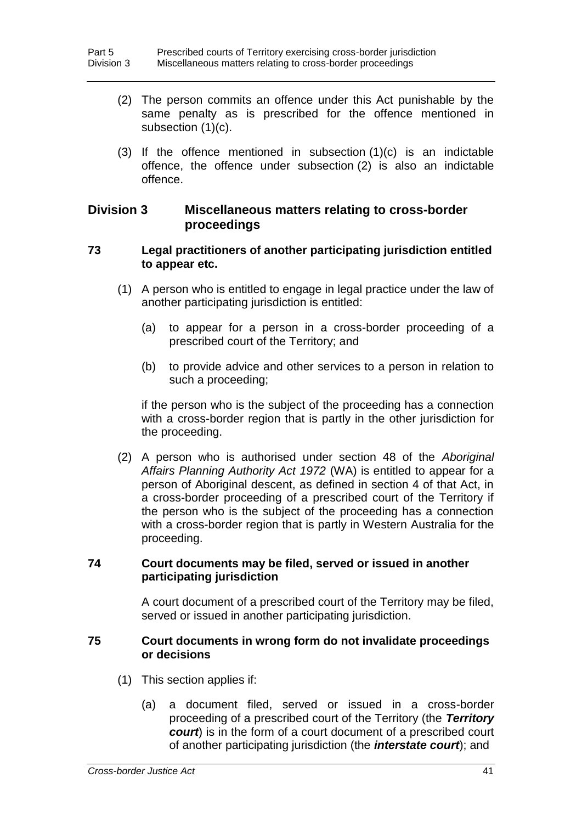- (2) The person commits an offence under this Act punishable by the same penalty as is prescribed for the offence mentioned in subsection (1)(c).
- (3) If the offence mentioned in subsection (1)(c) is an indictable offence, the offence under subsection (2) is also an indictable offence.

### **Division 3 Miscellaneous matters relating to cross-border proceedings**

### **73 Legal practitioners of another participating jurisdiction entitled to appear etc.**

- (1) A person who is entitled to engage in legal practice under the law of another participating jurisdiction is entitled:
	- (a) to appear for a person in a cross-border proceeding of a prescribed court of the Territory; and
	- (b) to provide advice and other services to a person in relation to such a proceeding;

if the person who is the subject of the proceeding has a connection with a cross-border region that is partly in the other jurisdiction for the proceeding.

(2) A person who is authorised under section 48 of the *Aboriginal Affairs Planning Authority Act 1972* (WA) is entitled to appear for a person of Aboriginal descent, as defined in section 4 of that Act, in a cross-border proceeding of a prescribed court of the Territory if the person who is the subject of the proceeding has a connection with a cross-border region that is partly in Western Australia for the proceeding.

## **74 Court documents may be filed, served or issued in another participating jurisdiction**

A court document of a prescribed court of the Territory may be filed, served or issued in another participating jurisdiction.

### **75 Court documents in wrong form do not invalidate proceedings or decisions**

- (1) This section applies if:
	- (a) a document filed, served or issued in a cross-border proceeding of a prescribed court of the Territory (the *Territory court*) is in the form of a court document of a prescribed court of another participating jurisdiction (the *interstate court*); and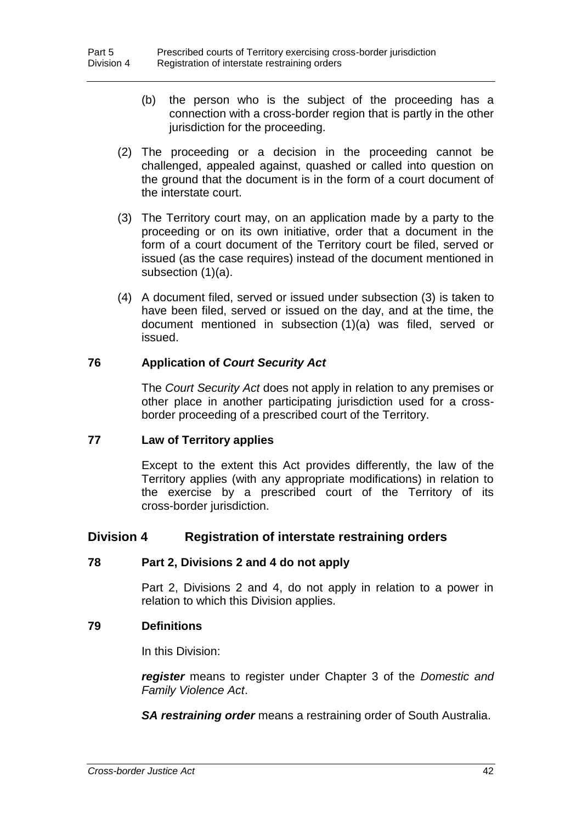- (b) the person who is the subject of the proceeding has a connection with a cross-border region that is partly in the other jurisdiction for the proceeding.
- (2) The proceeding or a decision in the proceeding cannot be challenged, appealed against, quashed or called into question on the ground that the document is in the form of a court document of the interstate court.
- (3) The Territory court may, on an application made by a party to the proceeding or on its own initiative, order that a document in the form of a court document of the Territory court be filed, served or issued (as the case requires) instead of the document mentioned in subsection (1)(a).
- (4) A document filed, served or issued under subsection (3) is taken to have been filed, served or issued on the day, and at the time, the document mentioned in subsection (1)(a) was filed, served or issued.

### **76 Application of** *Court Security Act*

The *Court Security Act* does not apply in relation to any premises or other place in another participating jurisdiction used for a crossborder proceeding of a prescribed court of the Territory.

### **77 Law of Territory applies**

Except to the extent this Act provides differently, the law of the Territory applies (with any appropriate modifications) in relation to the exercise by a prescribed court of the Territory of its cross-border jurisdiction.

### **Division 4 Registration of interstate restraining orders**

### **78 Part 2, Divisions 2 and 4 do not apply**

Part 2, Divisions 2 and 4, do not apply in relation to a power in relation to which this Division applies.

### **79 Definitions**

In this Division:

*register* means to register under Chapter 3 of the *Domestic and Family Violence Act*.

*SA restraining order* means a restraining order of South Australia.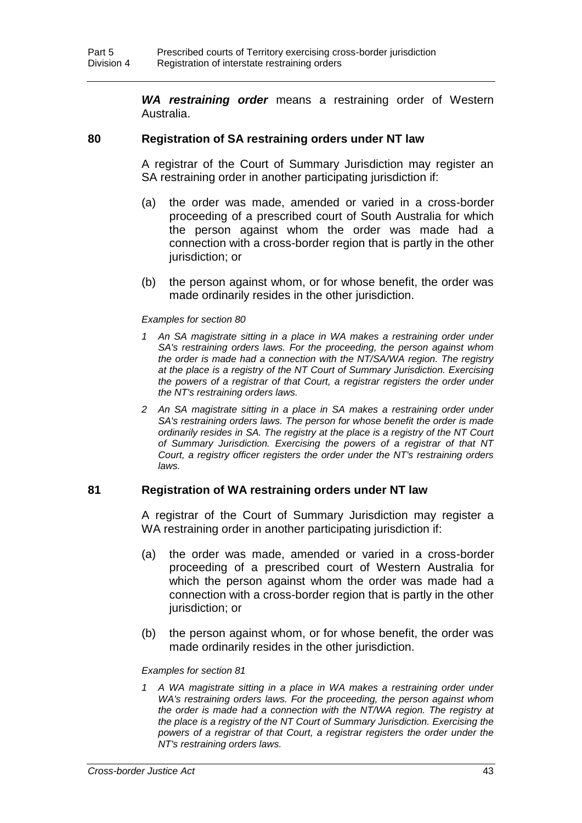*WA restraining order* means a restraining order of Western Australia.

### **80 Registration of SA restraining orders under NT law**

A registrar of the Court of Summary Jurisdiction may register an SA restraining order in another participating jurisdiction if:

- (a) the order was made, amended or varied in a cross-border proceeding of a prescribed court of South Australia for which the person against whom the order was made had a connection with a cross-border region that is partly in the other jurisdiction; or
- (b) the person against whom, or for whose benefit, the order was made ordinarily resides in the other jurisdiction.

#### *Examples for section 80*

- 1 An SA magistrate sitting in a place in WA makes a restraining order under *SA's restraining orders laws. For the proceeding, the person against whom the order is made had a connection with the NT/SA/WA region. The registry at the place is a registry of the NT Court of Summary Jurisdiction. Exercising the powers of a registrar of that Court, a registrar registers the order under the NT's restraining orders laws.*
- 2 An SA magistrate sitting in a place in SA makes a restraining order under *SA's restraining orders laws. The person for whose benefit the order is made ordinarily resides in SA. The registry at the place is a registry of the NT Court of Summary Jurisdiction. Exercising the powers of a registrar of that NT Court, a registry officer registers the order under the NT's restraining orders laws.*

### **81 Registration of WA restraining orders under NT law**

A registrar of the Court of Summary Jurisdiction may register a WA restraining order in another participating jurisdiction if:

- (a) the order was made, amended or varied in a cross-border proceeding of a prescribed court of Western Australia for which the person against whom the order was made had a connection with a cross-border region that is partly in the other jurisdiction; or
- (b) the person against whom, or for whose benefit, the order was made ordinarily resides in the other jurisdiction.

#### *Examples for section 81*

1 A WA magistrate sitting in a place in WA makes a restraining order under *WA's restraining orders laws. For the proceeding, the person against whom the order is made had a connection with the NT/WA region. The registry at the place is a registry of the NT Court of Summary Jurisdiction. Exercising the powers of a registrar of that Court, a registrar registers the order under the NT's restraining orders laws.*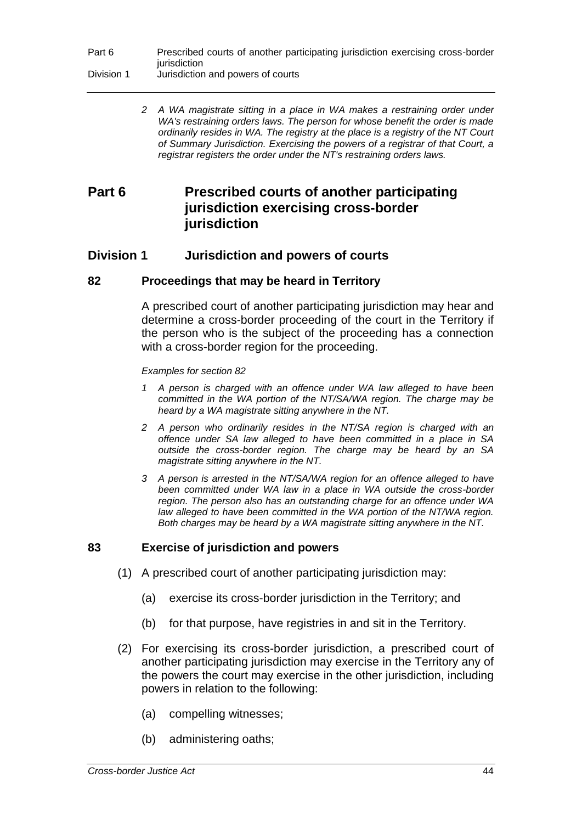*2 A WA magistrate sitting in a place in WA makes a restraining order under WA's restraining orders laws. The person for whose benefit the order is made ordinarily resides in WA. The registry at the place is a registry of the NT Court of Summary Jurisdiction. Exercising the powers of a registrar of that Court, a registrar registers the order under the NT's restraining orders laws.*

# **Part 6 Prescribed courts of another participating jurisdiction exercising cross-border jurisdiction**

## **Division 1 Jurisdiction and powers of courts**

## **82 Proceedings that may be heard in Territory**

A prescribed court of another participating jurisdiction may hear and determine a cross-border proceeding of the court in the Territory if the person who is the subject of the proceeding has a connection with a cross-border region for the proceeding.

*Examples for section 82*

- *1 A person is charged with an offence under WA law alleged to have been committed in the WA portion of the NT/SA/WA region. The charge may be heard by a WA magistrate sitting anywhere in the NT.*
- *2 A person who ordinarily resides in the NT/SA region is charged with an offence under SA law alleged to have been committed in a place in SA outside the cross-border region. The charge may be heard by an SA magistrate sitting anywhere in the NT.*
- *3 A person is arrested in the NT/SA/WA region for an offence alleged to have been committed under WA law in a place in WA outside the cross-border region. The person also has an outstanding charge for an offence under WA*  law alleged to have been committed in the WA portion of the NT/WA region. *Both charges may be heard by a WA magistrate sitting anywhere in the NT.*

## **83 Exercise of jurisdiction and powers**

- (1) A prescribed court of another participating jurisdiction may:
	- (a) exercise its cross-border jurisdiction in the Territory; and
	- (b) for that purpose, have registries in and sit in the Territory.
- (2) For exercising its cross-border jurisdiction, a prescribed court of another participating jurisdiction may exercise in the Territory any of the powers the court may exercise in the other jurisdiction, including powers in relation to the following:
	- (a) compelling witnesses;
	- (b) administering oaths;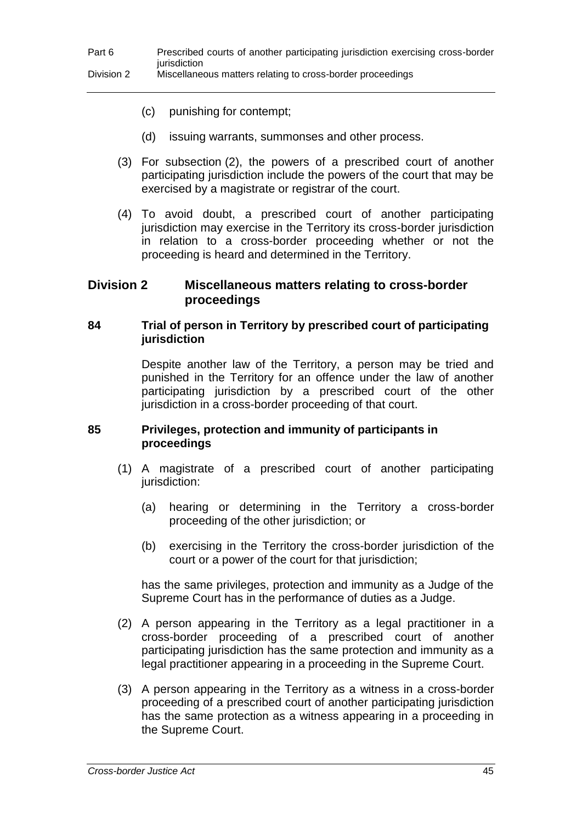- (c) punishing for contempt;
- (d) issuing warrants, summonses and other process.
- (3) For subsection (2), the powers of a prescribed court of another participating jurisdiction include the powers of the court that may be exercised by a magistrate or registrar of the court.
- (4) To avoid doubt, a prescribed court of another participating jurisdiction may exercise in the Territory its cross-border jurisdiction in relation to a cross-border proceeding whether or not the proceeding is heard and determined in the Territory.

## **Division 2 Miscellaneous matters relating to cross-border proceedings**

### **84 Trial of person in Territory by prescribed court of participating jurisdiction**

Despite another law of the Territory, a person may be tried and punished in the Territory for an offence under the law of another participating jurisdiction by a prescribed court of the other jurisdiction in a cross-border proceeding of that court.

### **85 Privileges, protection and immunity of participants in proceedings**

- (1) A magistrate of a prescribed court of another participating jurisdiction:
	- (a) hearing or determining in the Territory a cross-border proceeding of the other jurisdiction; or
	- (b) exercising in the Territory the cross-border jurisdiction of the court or a power of the court for that jurisdiction;

has the same privileges, protection and immunity as a Judge of the Supreme Court has in the performance of duties as a Judge.

- (2) A person appearing in the Territory as a legal practitioner in a cross-border proceeding of a prescribed court of another participating jurisdiction has the same protection and immunity as a legal practitioner appearing in a proceeding in the Supreme Court.
- (3) A person appearing in the Territory as a witness in a cross-border proceeding of a prescribed court of another participating jurisdiction has the same protection as a witness appearing in a proceeding in the Supreme Court.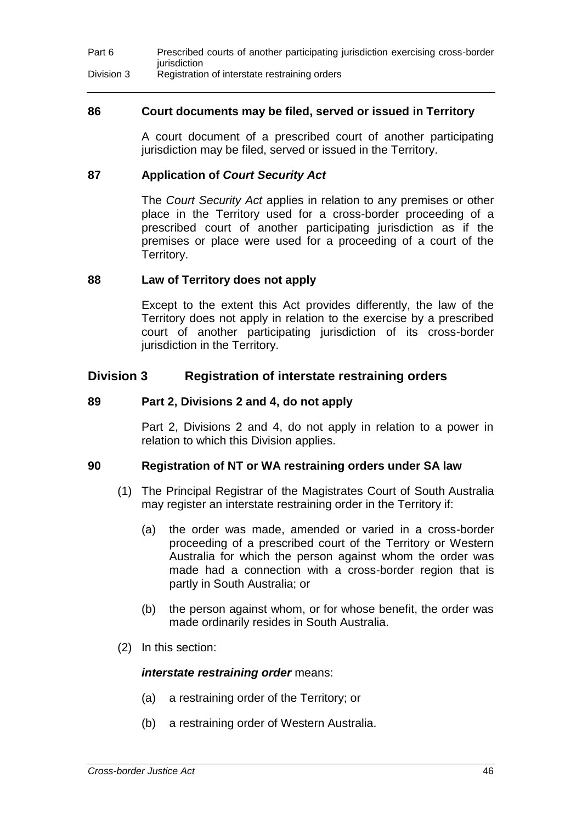### **86 Court documents may be filed, served or issued in Territory**

A court document of a prescribed court of another participating jurisdiction may be filed, served or issued in the Territory.

### **87 Application of** *Court Security Act*

The *Court Security Act* applies in relation to any premises or other place in the Territory used for a cross-border proceeding of a prescribed court of another participating jurisdiction as if the premises or place were used for a proceeding of a court of the Territory.

### **88 Law of Territory does not apply**

Except to the extent this Act provides differently, the law of the Territory does not apply in relation to the exercise by a prescribed court of another participating jurisdiction of its cross-border jurisdiction in the Territory.

## **Division 3 Registration of interstate restraining orders**

### **89 Part 2, Divisions 2 and 4, do not apply**

Part 2, Divisions 2 and 4, do not apply in relation to a power in relation to which this Division applies.

### **90 Registration of NT or WA restraining orders under SA law**

- (1) The Principal Registrar of the Magistrates Court of South Australia may register an interstate restraining order in the Territory if:
	- (a) the order was made, amended or varied in a cross-border proceeding of a prescribed court of the Territory or Western Australia for which the person against whom the order was made had a connection with a cross-border region that is partly in South Australia; or
	- (b) the person against whom, or for whose benefit, the order was made ordinarily resides in South Australia.
- (2) In this section:

### *interstate restraining order* means:

- (a) a restraining order of the Territory; or
- (b) a restraining order of Western Australia.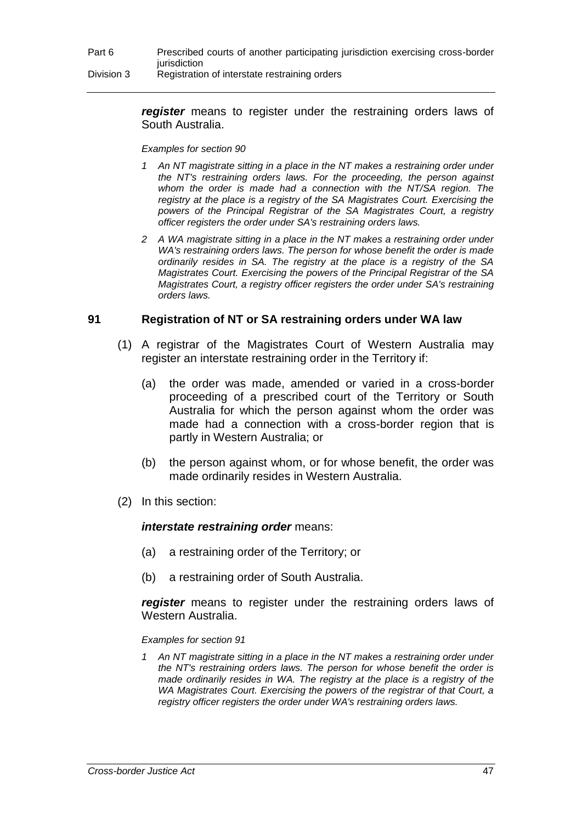### *register* means to register under the restraining orders laws of South Australia.

#### *Examples for section 90*

- *1 An NT magistrate sitting in a place in the NT makes a restraining order under the NT's restraining orders laws. For the proceeding, the person against whom the order is made had a connection with the NT/SA region. The registry at the place is a registry of the SA Magistrates Court. Exercising the powers of the Principal Registrar of the SA Magistrates Court, a registry officer registers the order under SA's restraining orders laws.*
- *2 A WA magistrate sitting in a place in the NT makes a restraining order under WA's restraining orders laws. The person for whose benefit the order is made ordinarily resides in SA. The registry at the place is a registry of the SA Magistrates Court. Exercising the powers of the Principal Registrar of the SA Magistrates Court, a registry officer registers the order under SA's restraining orders laws.*

### **91 Registration of NT or SA restraining orders under WA law**

- (1) A registrar of the Magistrates Court of Western Australia may register an interstate restraining order in the Territory if:
	- (a) the order was made, amended or varied in a cross-border proceeding of a prescribed court of the Territory or South Australia for which the person against whom the order was made had a connection with a cross-border region that is partly in Western Australia; or
	- (b) the person against whom, or for whose benefit, the order was made ordinarily resides in Western Australia.
- (2) In this section:

### *interstate restraining order* means:

- (a) a restraining order of the Territory; or
- (b) a restraining order of South Australia.

*register* means to register under the restraining orders laws of Western Australia.

### *Examples for section 91*

*1 An NT magistrate sitting in a place in the NT makes a restraining order under the NT's restraining orders laws. The person for whose benefit the order is made ordinarily resides in WA. The registry at the place is a registry of the WA Magistrates Court. Exercising the powers of the registrar of that Court, a registry officer registers the order under WA's restraining orders laws.*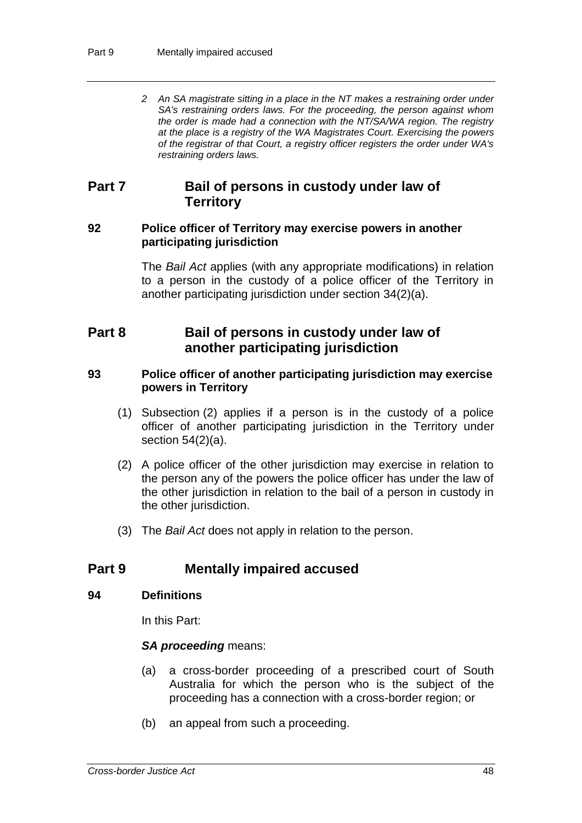*2 An SA magistrate sitting in a place in the NT makes a restraining order under SA's restraining orders laws. For the proceeding, the person against whom the order is made had a connection with the NT/SA/WA region. The registry at the place is a registry of the WA Magistrates Court. Exercising the powers of the registrar of that Court, a registry officer registers the order under WA's restraining orders laws.*

## **Part 7 Bail of persons in custody under law of Territory**

### **92 Police officer of Territory may exercise powers in another participating jurisdiction**

The *Bail Act* applies (with any appropriate modifications) in relation to a person in the custody of a police officer of the Territory in another participating jurisdiction under section 34(2)(a).

# **Part 8 Bail of persons in custody under law of another participating jurisdiction**

### **93 Police officer of another participating jurisdiction may exercise powers in Territory**

- (1) Subsection (2) applies if a person is in the custody of a police officer of another participating jurisdiction in the Territory under section  $54(2)(a)$ .
- (2) A police officer of the other jurisdiction may exercise in relation to the person any of the powers the police officer has under the law of the other jurisdiction in relation to the bail of a person in custody in the other jurisdiction.
- (3) The *Bail Act* does not apply in relation to the person.

# **Part 9 Mentally impaired accused**

### **94 Definitions**

In this Part:

### *SA proceeding* means:

- (a) a cross-border proceeding of a prescribed court of South Australia for which the person who is the subject of the proceeding has a connection with a cross-border region; or
- (b) an appeal from such a proceeding.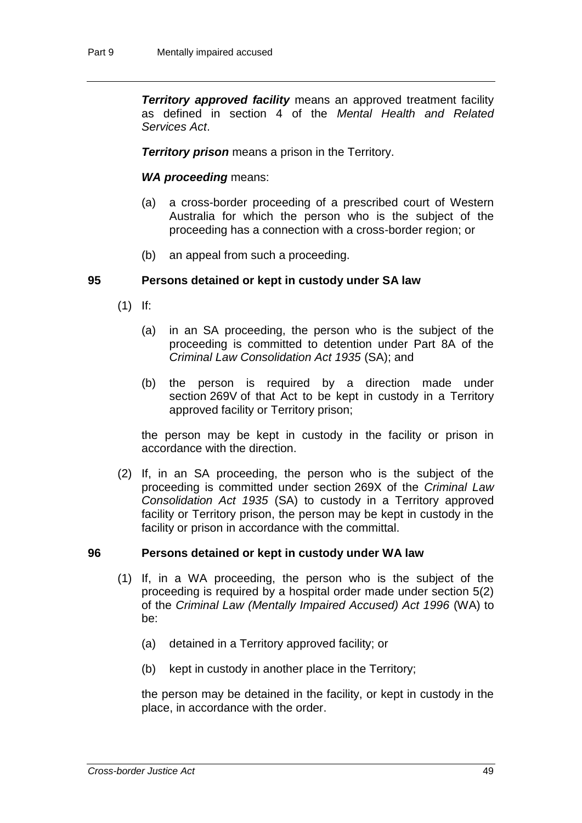**Territory approved facility** means an approved treatment facility as defined in section 4 of the *Mental Health and Related Services Act*.

*Territory prison* means a prison in the Territory.

### *WA proceeding* means:

- (a) a cross-border proceeding of a prescribed court of Western Australia for which the person who is the subject of the proceeding has a connection with a cross-border region; or
- (b) an appeal from such a proceeding.

### **95 Persons detained or kept in custody under SA law**

- (1) If:
	- (a) in an SA proceeding, the person who is the subject of the proceeding is committed to detention under Part 8A of the *Criminal Law Consolidation Act 1935* (SA); and
	- (b) the person is required by a direction made under section 269V of that Act to be kept in custody in a Territory approved facility or Territory prison;

the person may be kept in custody in the facility or prison in accordance with the direction.

(2) If, in an SA proceeding, the person who is the subject of the proceeding is committed under section 269X of the *Criminal Law Consolidation Act 1935* (SA) to custody in a Territory approved facility or Territory prison, the person may be kept in custody in the facility or prison in accordance with the committal.

### **96 Persons detained or kept in custody under WA law**

- (1) If, in a WA proceeding, the person who is the subject of the proceeding is required by a hospital order made under section 5(2) of the *Criminal Law (Mentally Impaired Accused) Act 1996* (WA) to be:
	- (a) detained in a Territory approved facility; or
	- (b) kept in custody in another place in the Territory;

the person may be detained in the facility, or kept in custody in the place, in accordance with the order.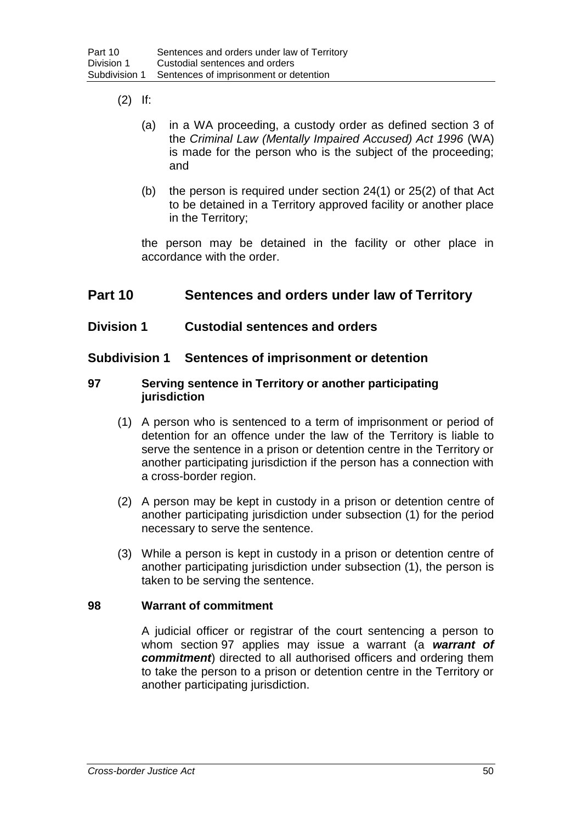- (2) If:
	- (a) in a WA proceeding, a custody order as defined section 3 of the *Criminal Law (Mentally Impaired Accused) Act 1996* (WA) is made for the person who is the subject of the proceeding; and
	- (b) the person is required under section 24(1) or 25(2) of that Act to be detained in a Territory approved facility or another place in the Territory;

the person may be detained in the facility or other place in accordance with the order.

# **Part 10 Sentences and orders under law of Territory**

## **Division 1 Custodial sentences and orders**

## **Subdivision 1 Sentences of imprisonment or detention**

### **97 Serving sentence in Territory or another participating jurisdiction**

- (1) A person who is sentenced to a term of imprisonment or period of detention for an offence under the law of the Territory is liable to serve the sentence in a prison or detention centre in the Territory or another participating jurisdiction if the person has a connection with a cross-border region.
- (2) A person may be kept in custody in a prison or detention centre of another participating jurisdiction under subsection (1) for the period necessary to serve the sentence.
- (3) While a person is kept in custody in a prison or detention centre of another participating jurisdiction under subsection (1), the person is taken to be serving the sentence.

### **98 Warrant of commitment**

A judicial officer or registrar of the court sentencing a person to whom section 97 applies may issue a warrant (a *warrant of commitment*) directed to all authorised officers and ordering them to take the person to a prison or detention centre in the Territory or another participating jurisdiction.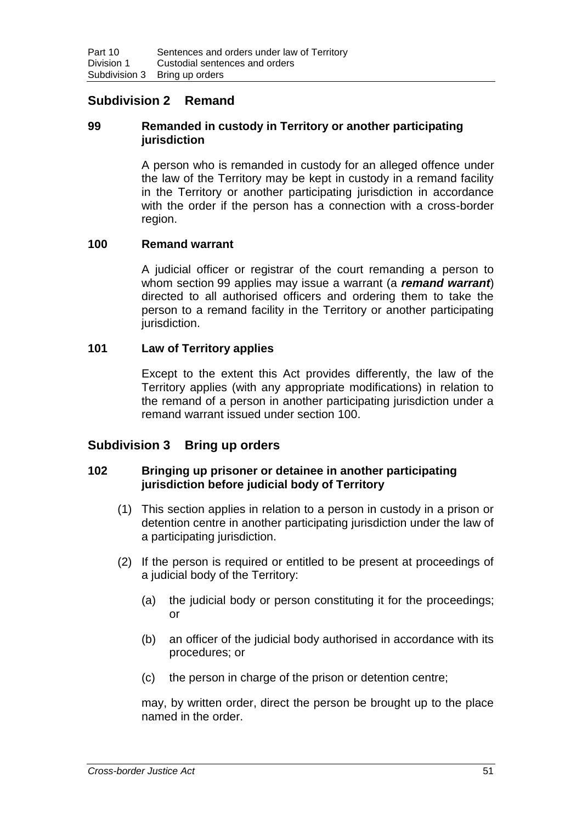## **Subdivision 2 Remand**

### **99 Remanded in custody in Territory or another participating jurisdiction**

A person who is remanded in custody for an alleged offence under the law of the Territory may be kept in custody in a remand facility in the Territory or another participating jurisdiction in accordance with the order if the person has a connection with a cross-border region.

### **100 Remand warrant**

A judicial officer or registrar of the court remanding a person to whom section 99 applies may issue a warrant (a *remand warrant*) directed to all authorised officers and ordering them to take the person to a remand facility in the Territory or another participating jurisdiction.

### **101 Law of Territory applies**

Except to the extent this Act provides differently, the law of the Territory applies (with any appropriate modifications) in relation to the remand of a person in another participating jurisdiction under a remand warrant issued under section 100.

### **Subdivision 3 Bring up orders**

### **102 Bringing up prisoner or detainee in another participating jurisdiction before judicial body of Territory**

- (1) This section applies in relation to a person in custody in a prison or detention centre in another participating jurisdiction under the law of a participating jurisdiction.
- (2) If the person is required or entitled to be present at proceedings of a judicial body of the Territory:
	- (a) the judicial body or person constituting it for the proceedings; or
	- (b) an officer of the judicial body authorised in accordance with its procedures; or
	- (c) the person in charge of the prison or detention centre;

may, by written order, direct the person be brought up to the place named in the order.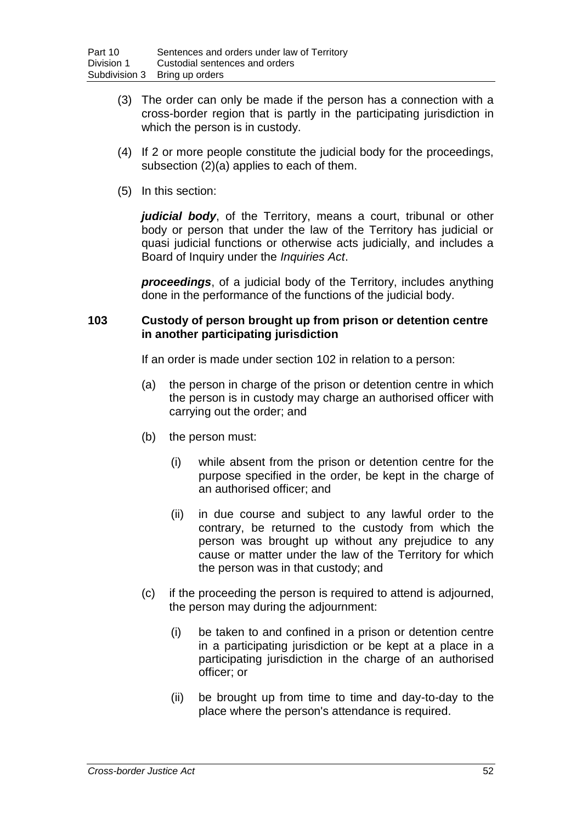- (3) The order can only be made if the person has a connection with a cross-border region that is partly in the participating jurisdiction in which the person is in custody.
- (4) If 2 or more people constitute the judicial body for the proceedings, subsection (2)(a) applies to each of them.
- (5) In this section:

*judicial body*, of the Territory, means a court, tribunal or other body or person that under the law of the Territory has judicial or quasi judicial functions or otherwise acts judicially, and includes a Board of Inquiry under the *Inquiries Act*.

*proceedings*, of a judicial body of the Territory, includes anything done in the performance of the functions of the judicial body.

### **103 Custody of person brought up from prison or detention centre in another participating jurisdiction**

If an order is made under section 102 in relation to a person:

- (a) the person in charge of the prison or detention centre in which the person is in custody may charge an authorised officer with carrying out the order; and
- (b) the person must:
	- (i) while absent from the prison or detention centre for the purpose specified in the order, be kept in the charge of an authorised officer; and
	- (ii) in due course and subject to any lawful order to the contrary, be returned to the custody from which the person was brought up without any prejudice to any cause or matter under the law of the Territory for which the person was in that custody; and
- (c) if the proceeding the person is required to attend is adjourned, the person may during the adjournment:
	- (i) be taken to and confined in a prison or detention centre in a participating jurisdiction or be kept at a place in a participating jurisdiction in the charge of an authorised officer; or
	- (ii) be brought up from time to time and day-to-day to the place where the person's attendance is required.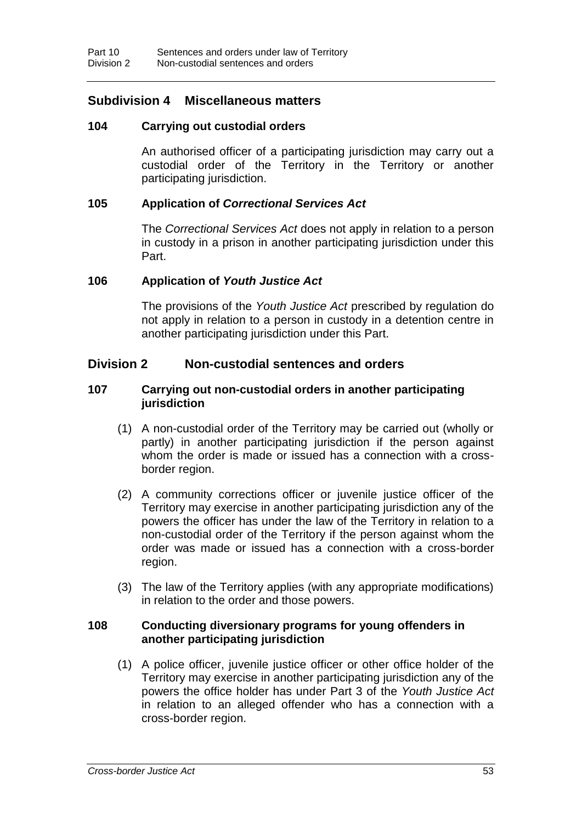## **Subdivision 4 Miscellaneous matters**

### **104 Carrying out custodial orders**

An authorised officer of a participating jurisdiction may carry out a custodial order of the Territory in the Territory or another participating jurisdiction.

### **105 Application of** *Correctional Services Act*

The *Correctional Services Act* does not apply in relation to a person in custody in a prison in another participating jurisdiction under this Part.

### **106 Application of** *Youth Justice Act*

The provisions of the *Youth Justice Act* prescribed by regulation do not apply in relation to a person in custody in a detention centre in another participating jurisdiction under this Part.

## **Division 2 Non-custodial sentences and orders**

### **107 Carrying out non-custodial orders in another participating jurisdiction**

- (1) A non-custodial order of the Territory may be carried out (wholly or partly) in another participating jurisdiction if the person against whom the order is made or issued has a connection with a crossborder region.
- (2) A community corrections officer or juvenile justice officer of the Territory may exercise in another participating jurisdiction any of the powers the officer has under the law of the Territory in relation to a non-custodial order of the Territory if the person against whom the order was made or issued has a connection with a cross-border region.
- (3) The law of the Territory applies (with any appropriate modifications) in relation to the order and those powers.

## **108 Conducting diversionary programs for young offenders in another participating jurisdiction**

(1) A police officer, juvenile justice officer or other office holder of the Territory may exercise in another participating jurisdiction any of the powers the office holder has under Part 3 of the *Youth Justice Act* in relation to an alleged offender who has a connection with a cross-border region.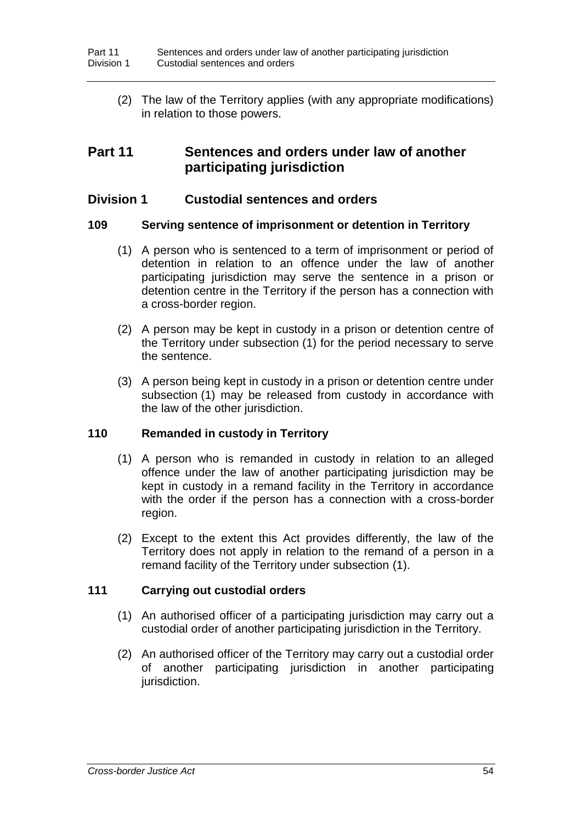(2) The law of the Territory applies (with any appropriate modifications) in relation to those powers.

# **Part 11 Sentences and orders under law of another participating jurisdiction**

## **Division 1 Custodial sentences and orders**

### **109 Serving sentence of imprisonment or detention in Territory**

- (1) A person who is sentenced to a term of imprisonment or period of detention in relation to an offence under the law of another participating jurisdiction may serve the sentence in a prison or detention centre in the Territory if the person has a connection with a cross-border region.
- (2) A person may be kept in custody in a prison or detention centre of the Territory under subsection (1) for the period necessary to serve the sentence.
- (3) A person being kept in custody in a prison or detention centre under subsection (1) may be released from custody in accordance with the law of the other jurisdiction.

### **110 Remanded in custody in Territory**

- (1) A person who is remanded in custody in relation to an alleged offence under the law of another participating jurisdiction may be kept in custody in a remand facility in the Territory in accordance with the order if the person has a connection with a cross-border region.
- (2) Except to the extent this Act provides differently, the law of the Territory does not apply in relation to the remand of a person in a remand facility of the Territory under subsection (1).

### **111 Carrying out custodial orders**

- (1) An authorised officer of a participating jurisdiction may carry out a custodial order of another participating jurisdiction in the Territory.
- (2) An authorised officer of the Territory may carry out a custodial order of another participating jurisdiction in another participating jurisdiction.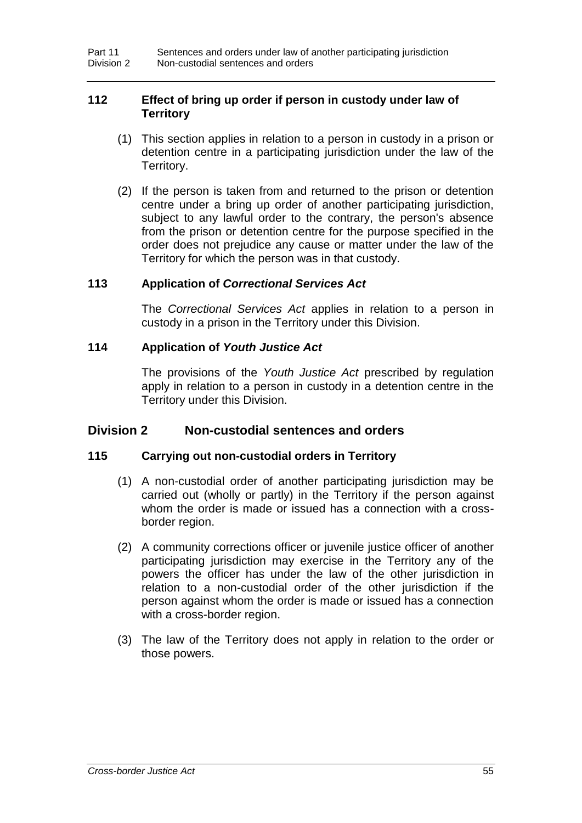## **112 Effect of bring up order if person in custody under law of Territory**

- (1) This section applies in relation to a person in custody in a prison or detention centre in a participating jurisdiction under the law of the Territory.
- (2) If the person is taken from and returned to the prison or detention centre under a bring up order of another participating jurisdiction, subject to any lawful order to the contrary, the person's absence from the prison or detention centre for the purpose specified in the order does not prejudice any cause or matter under the law of the Territory for which the person was in that custody.

### **113 Application of** *Correctional Services Act*

The *Correctional Services Act* applies in relation to a person in custody in a prison in the Territory under this Division.

### **114 Application of** *Youth Justice Act*

The provisions of the *Youth Justice Act* prescribed by regulation apply in relation to a person in custody in a detention centre in the Territory under this Division.

## **Division 2 Non-custodial sentences and orders**

### **115 Carrying out non-custodial orders in Territory**

- (1) A non-custodial order of another participating jurisdiction may be carried out (wholly or partly) in the Territory if the person against whom the order is made or issued has a connection with a crossborder region.
- (2) A community corrections officer or juvenile justice officer of another participating jurisdiction may exercise in the Territory any of the powers the officer has under the law of the other jurisdiction in relation to a non-custodial order of the other jurisdiction if the person against whom the order is made or issued has a connection with a cross-border region.
- (3) The law of the Territory does not apply in relation to the order or those powers.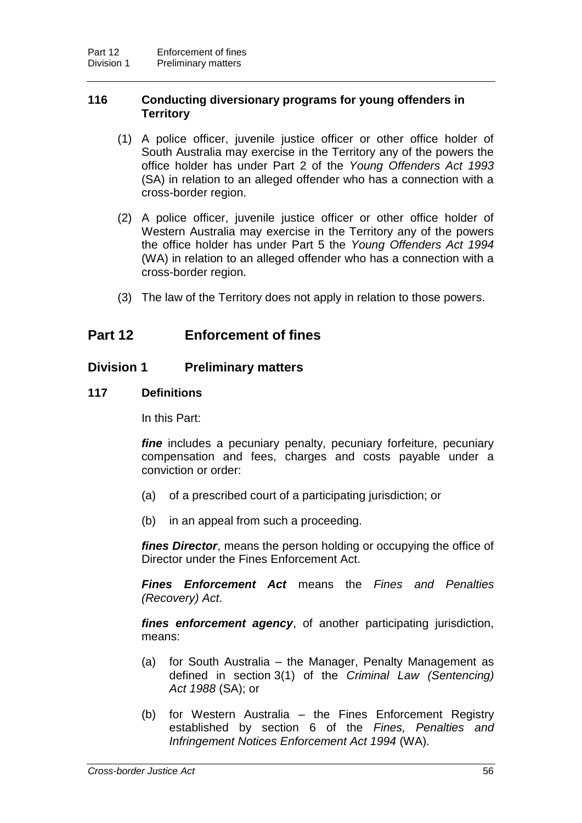### **116 Conducting diversionary programs for young offenders in Territory**

- (1) A police officer, juvenile justice officer or other office holder of South Australia may exercise in the Territory any of the powers the office holder has under Part 2 of the *Young Offenders Act 1993* (SA) in relation to an alleged offender who has a connection with a cross-border region.
- (2) A police officer, juvenile justice officer or other office holder of Western Australia may exercise in the Territory any of the powers the office holder has under Part 5 the *Young Offenders Act 1994* (WA) in relation to an alleged offender who has a connection with a cross-border region.
- (3) The law of the Territory does not apply in relation to those powers.

# **Part 12 Enforcement of fines**

### **Division 1 Preliminary matters**

### **117 Definitions**

In this Part:

*fine* includes a pecuniary penalty, pecuniary forfeiture, pecuniary compensation and fees, charges and costs payable under a conviction or order:

- (a) of a prescribed court of a participating jurisdiction; or
- (b) in an appeal from such a proceeding.

*fines Director*, means the person holding or occupying the office of Director under the Fines Enforcement Act.

*Fines Enforcement Act* means the *Fines and Penalties (Recovery) Act*.

*fines enforcement agency*, of another participating jurisdiction, means:

- (a) for South Australia the Manager, Penalty Management as defined in section 3(1) of the *Criminal Law (Sentencing) Act 1988* (SA); or
- (b) for Western Australia the Fines Enforcement Registry established by section 6 of the *Fines, Penalties and Infringement Notices Enforcement Act 1994* (WA).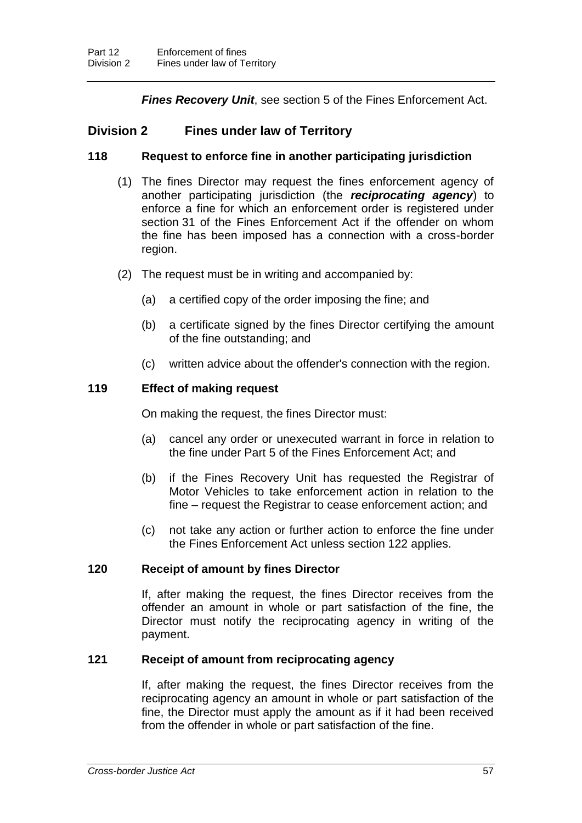*Fines Recovery Unit*, see section 5 of the Fines Enforcement Act.

## **Division 2 Fines under law of Territory**

### **118 Request to enforce fine in another participating jurisdiction**

- (1) The fines Director may request the fines enforcement agency of another participating jurisdiction (the *reciprocating agency*) to enforce a fine for which an enforcement order is registered under section 31 of the Fines Enforcement Act if the offender on whom the fine has been imposed has a connection with a cross-border region.
- (2) The request must be in writing and accompanied by:
	- (a) a certified copy of the order imposing the fine; and
	- (b) a certificate signed by the fines Director certifying the amount of the fine outstanding; and
	- (c) written advice about the offender's connection with the region.

## **119 Effect of making request**

On making the request, the fines Director must:

- (a) cancel any order or unexecuted warrant in force in relation to the fine under Part 5 of the Fines Enforcement Act; and
- (b) if the Fines Recovery Unit has requested the Registrar of Motor Vehicles to take enforcement action in relation to the fine – request the Registrar to cease enforcement action; and
- (c) not take any action or further action to enforce the fine under the Fines Enforcement Act unless section 122 applies.

### **120 Receipt of amount by fines Director**

If, after making the request, the fines Director receives from the offender an amount in whole or part satisfaction of the fine, the Director must notify the reciprocating agency in writing of the payment.

## **121 Receipt of amount from reciprocating agency**

If, after making the request, the fines Director receives from the reciprocating agency an amount in whole or part satisfaction of the fine, the Director must apply the amount as if it had been received from the offender in whole or part satisfaction of the fine.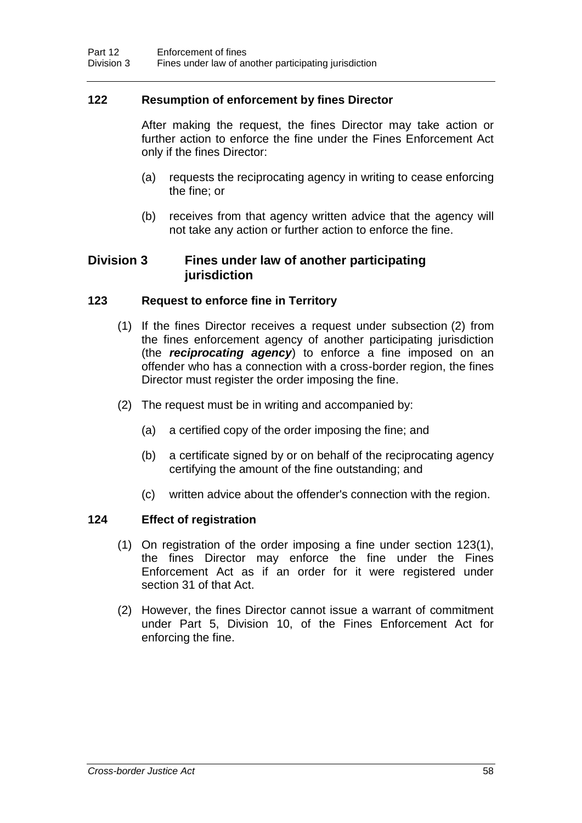### **122 Resumption of enforcement by fines Director**

After making the request, the fines Director may take action or further action to enforce the fine under the Fines Enforcement Act only if the fines Director:

- (a) requests the reciprocating agency in writing to cease enforcing the fine; or
- (b) receives from that agency written advice that the agency will not take any action or further action to enforce the fine.

## **Division 3 Fines under law of another participating jurisdiction**

### **123 Request to enforce fine in Territory**

- (1) If the fines Director receives a request under subsection (2) from the fines enforcement agency of another participating jurisdiction (the *reciprocating agency*) to enforce a fine imposed on an offender who has a connection with a cross-border region, the fines Director must register the order imposing the fine.
- (2) The request must be in writing and accompanied by:
	- (a) a certified copy of the order imposing the fine; and
	- (b) a certificate signed by or on behalf of the reciprocating agency certifying the amount of the fine outstanding; and
	- (c) written advice about the offender's connection with the region.

### **124 Effect of registration**

- (1) On registration of the order imposing a fine under section 123(1), the fines Director may enforce the fine under the Fines Enforcement Act as if an order for it were registered under section 31 of that Act.
- (2) However, the fines Director cannot issue a warrant of commitment under Part 5, Division 10, of the Fines Enforcement Act for enforcing the fine.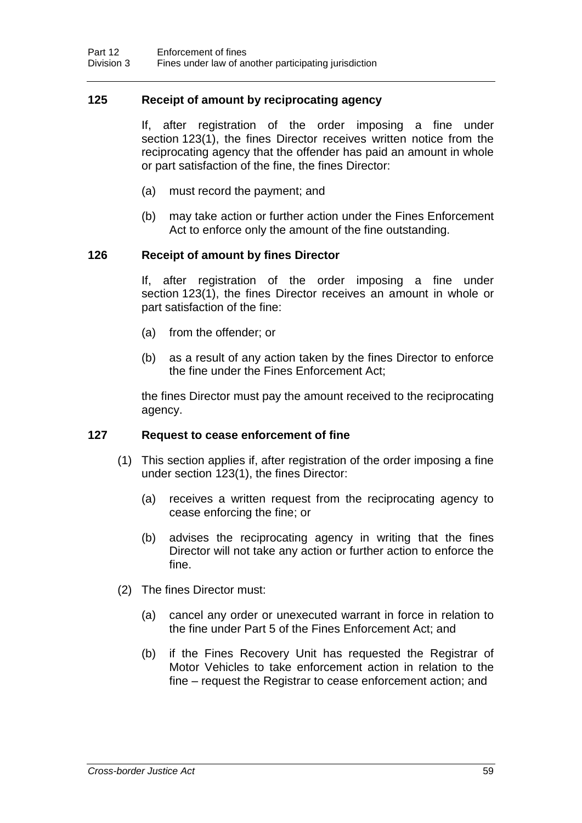### **125 Receipt of amount by reciprocating agency**

If, after registration of the order imposing a fine under section 123(1), the fines Director receives written notice from the reciprocating agency that the offender has paid an amount in whole or part satisfaction of the fine, the fines Director:

- (a) must record the payment; and
- (b) may take action or further action under the Fines Enforcement Act to enforce only the amount of the fine outstanding.

### **126 Receipt of amount by fines Director**

If, after registration of the order imposing a fine under section 123(1), the fines Director receives an amount in whole or part satisfaction of the fine:

- (a) from the offender; or
- (b) as a result of any action taken by the fines Director to enforce the fine under the Fines Enforcement Act;

the fines Director must pay the amount received to the reciprocating agency.

### **127 Request to cease enforcement of fine**

- (1) This section applies if, after registration of the order imposing a fine under section 123(1), the fines Director:
	- (a) receives a written request from the reciprocating agency to cease enforcing the fine; or
	- (b) advises the reciprocating agency in writing that the fines Director will not take any action or further action to enforce the fine.
- (2) The fines Director must:
	- (a) cancel any order or unexecuted warrant in force in relation to the fine under Part 5 of the Fines Enforcement Act; and
	- (b) if the Fines Recovery Unit has requested the Registrar of Motor Vehicles to take enforcement action in relation to the fine – request the Registrar to cease enforcement action; and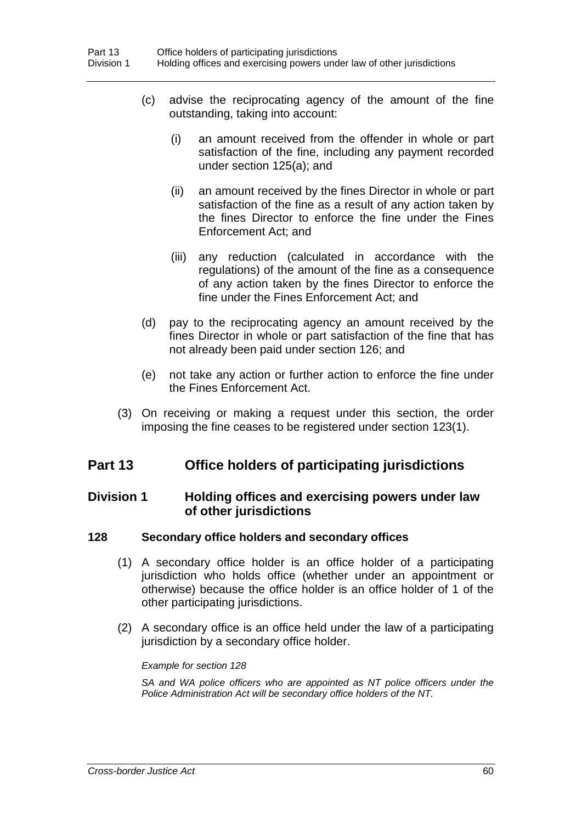- (c) advise the reciprocating agency of the amount of the fine outstanding, taking into account:
	- (i) an amount received from the offender in whole or part satisfaction of the fine, including any payment recorded under section 125(a); and
	- (ii) an amount received by the fines Director in whole or part satisfaction of the fine as a result of any action taken by the fines Director to enforce the fine under the Fines Enforcement Act; and
	- (iii) any reduction (calculated in accordance with the regulations) of the amount of the fine as a consequence of any action taken by the fines Director to enforce the fine under the Fines Enforcement Act; and
- (d) pay to the reciprocating agency an amount received by the fines Director in whole or part satisfaction of the fine that has not already been paid under section 126; and
- (e) not take any action or further action to enforce the fine under the Fines Enforcement Act.
- (3) On receiving or making a request under this section, the order imposing the fine ceases to be registered under section 123(1).

# **Part 13 Office holders of participating jurisdictions**

## **Division 1 Holding offices and exercising powers under law of other jurisdictions**

### **128 Secondary office holders and secondary offices**

- (1) A secondary office holder is an office holder of a participating jurisdiction who holds office (whether under an appointment or otherwise) because the office holder is an office holder of 1 of the other participating jurisdictions.
- (2) A secondary office is an office held under the law of a participating jurisdiction by a secondary office holder.

### *Example for section 128*

*SA and WA police officers who are appointed as NT police officers under the Police Administration Act will be secondary office holders of the NT.*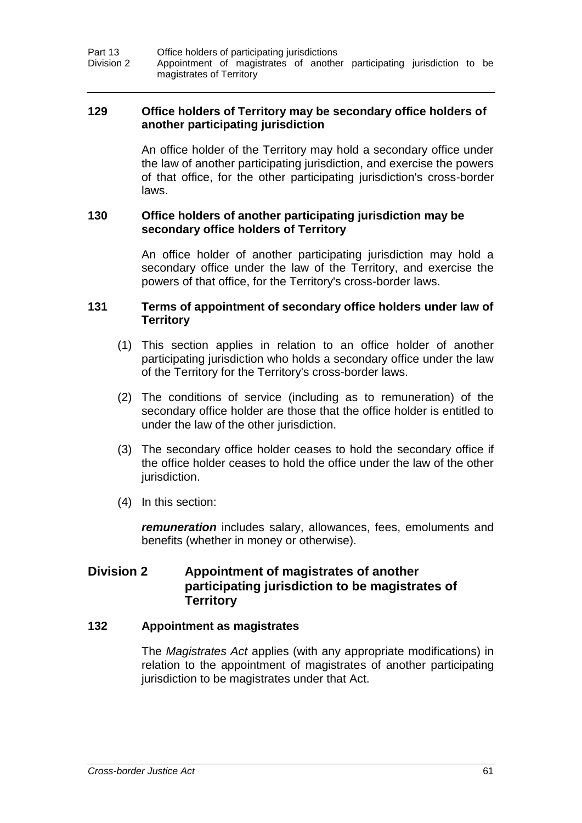Part 13 **Office holders of participating jurisdictions**<br>Division 2 Appointment of magistrates of anothe Appointment of magistrates of another participating jurisdiction to be magistrates of Territory

### **129 Office holders of Territory may be secondary office holders of another participating jurisdiction**

An office holder of the Territory may hold a secondary office under the law of another participating jurisdiction, and exercise the powers of that office, for the other participating jurisdiction's cross-border laws.

### **130 Office holders of another participating jurisdiction may be secondary office holders of Territory**

An office holder of another participating jurisdiction may hold a secondary office under the law of the Territory, and exercise the powers of that office, for the Territory's cross-border laws.

### **131 Terms of appointment of secondary office holders under law of Territory**

- (1) This section applies in relation to an office holder of another participating jurisdiction who holds a secondary office under the law of the Territory for the Territory's cross-border laws.
- (2) The conditions of service (including as to remuneration) of the secondary office holder are those that the office holder is entitled to under the law of the other jurisdiction.
- (3) The secondary office holder ceases to hold the secondary office if the office holder ceases to hold the office under the law of the other jurisdiction.
- (4) In this section:

*remuneration* includes salary, allowances, fees, emoluments and benefits (whether in money or otherwise).

## **Division 2 Appointment of magistrates of another participating jurisdiction to be magistrates of Territory**

### **132 Appointment as magistrates**

The *Magistrates Act* applies (with any appropriate modifications) in relation to the appointment of magistrates of another participating jurisdiction to be magistrates under that Act.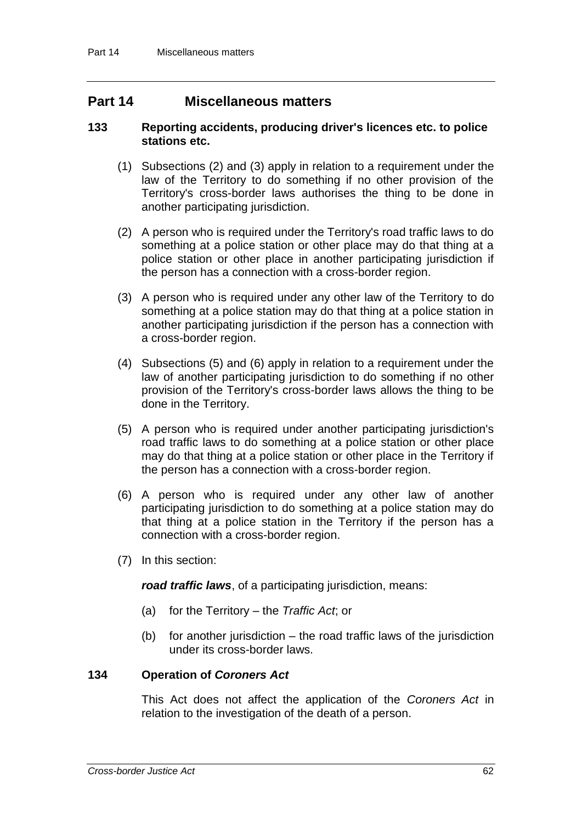## **Part 14 Miscellaneous matters**

### **133 Reporting accidents, producing driver's licences etc. to police stations etc.**

- (1) Subsections (2) and (3) apply in relation to a requirement under the law of the Territory to do something if no other provision of the Territory's cross-border laws authorises the thing to be done in another participating jurisdiction.
- (2) A person who is required under the Territory's road traffic laws to do something at a police station or other place may do that thing at a police station or other place in another participating jurisdiction if the person has a connection with a cross-border region.
- (3) A person who is required under any other law of the Territory to do something at a police station may do that thing at a police station in another participating jurisdiction if the person has a connection with a cross-border region.
- (4) Subsections (5) and (6) apply in relation to a requirement under the law of another participating jurisdiction to do something if no other provision of the Territory's cross-border laws allows the thing to be done in the Territory.
- (5) A person who is required under another participating jurisdiction's road traffic laws to do something at a police station or other place may do that thing at a police station or other place in the Territory if the person has a connection with a cross-border region.
- (6) A person who is required under any other law of another participating jurisdiction to do something at a police station may do that thing at a police station in the Territory if the person has a connection with a cross-border region.
- (7) In this section:

*road traffic laws*, of a participating jurisdiction, means:

- (a) for the Territory the *Traffic Act*; or
- (b) for another jurisdiction  $-$  the road traffic laws of the jurisdiction under its cross-border laws.

### **134 Operation of** *Coroners Act*

This Act does not affect the application of the *Coroners Act* in relation to the investigation of the death of a person.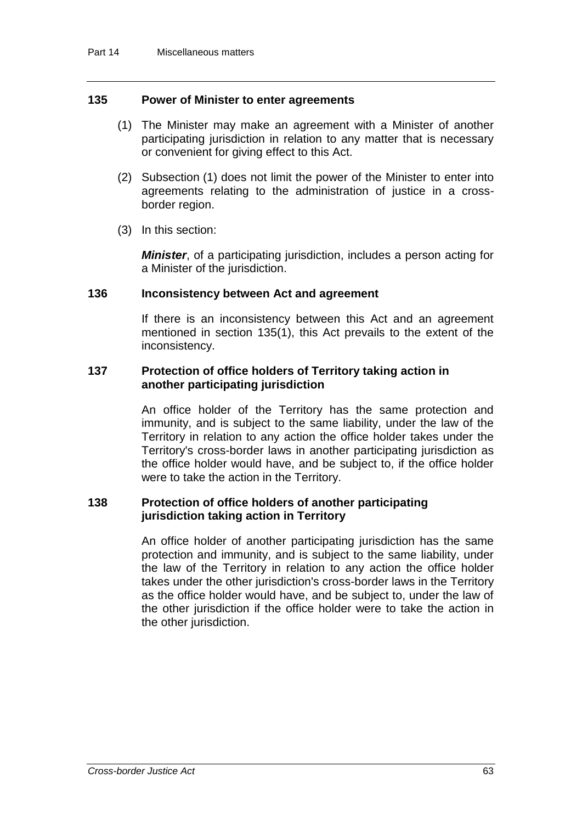### **135 Power of Minister to enter agreements**

- (1) The Minister may make an agreement with a Minister of another participating jurisdiction in relation to any matter that is necessary or convenient for giving effect to this Act.
- (2) Subsection (1) does not limit the power of the Minister to enter into agreements relating to the administration of justice in a crossborder region.
- (3) In this section:

*Minister*, of a participating jurisdiction, includes a person acting for a Minister of the jurisdiction.

### **136 Inconsistency between Act and agreement**

If there is an inconsistency between this Act and an agreement mentioned in section 135(1), this Act prevails to the extent of the inconsistency.

### **137 Protection of office holders of Territory taking action in another participating jurisdiction**

An office holder of the Territory has the same protection and immunity, and is subject to the same liability, under the law of the Territory in relation to any action the office holder takes under the Territory's cross-border laws in another participating jurisdiction as the office holder would have, and be subject to, if the office holder were to take the action in the Territory.

### **138 Protection of office holders of another participating jurisdiction taking action in Territory**

An office holder of another participating jurisdiction has the same protection and immunity, and is subject to the same liability, under the law of the Territory in relation to any action the office holder takes under the other jurisdiction's cross-border laws in the Territory as the office holder would have, and be subject to, under the law of the other jurisdiction if the office holder were to take the action in the other jurisdiction.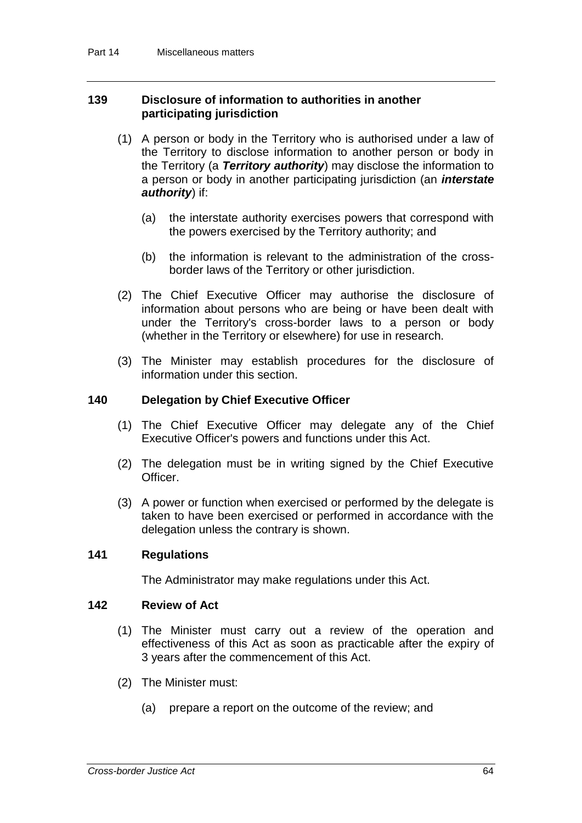### **139 Disclosure of information to authorities in another participating jurisdiction**

- (1) A person or body in the Territory who is authorised under a law of the Territory to disclose information to another person or body in the Territory (a *Territory authority*) may disclose the information to a person or body in another participating jurisdiction (an *interstate authority*) if:
	- (a) the interstate authority exercises powers that correspond with the powers exercised by the Territory authority; and
	- (b) the information is relevant to the administration of the crossborder laws of the Territory or other jurisdiction.
- (2) The Chief Executive Officer may authorise the disclosure of information about persons who are being or have been dealt with under the Territory's cross-border laws to a person or body (whether in the Territory or elsewhere) for use in research.
- (3) The Minister may establish procedures for the disclosure of information under this section.

### **140 Delegation by Chief Executive Officer**

- (1) The Chief Executive Officer may delegate any of the Chief Executive Officer's powers and functions under this Act.
- (2) The delegation must be in writing signed by the Chief Executive Officer.
- (3) A power or function when exercised or performed by the delegate is taken to have been exercised or performed in accordance with the delegation unless the contrary is shown.

### **141 Regulations**

The Administrator may make regulations under this Act.

### **142 Review of Act**

- (1) The Minister must carry out a review of the operation and effectiveness of this Act as soon as practicable after the expiry of 3 years after the commencement of this Act.
- (2) The Minister must:
	- (a) prepare a report on the outcome of the review; and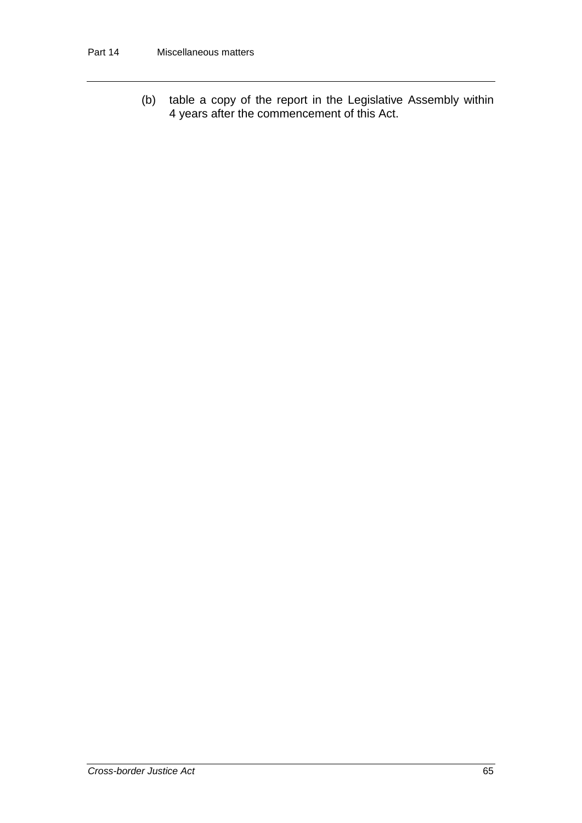(b) table a copy of the report in the Legislative Assembly within 4 years after the commencement of this Act.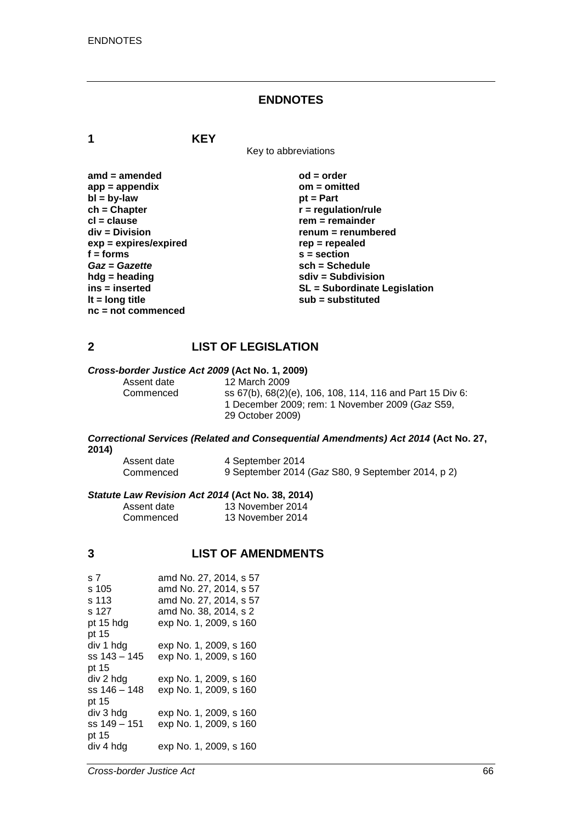### **ENDNOTES**

**1 KEY**

Key to abbreviations

| $amd = amended$         | $od = order$                        |
|-------------------------|-------------------------------------|
| $app = appendix$        | $om = omitted$                      |
| $bl = by-law$           | $pt = Part$                         |
| $ch = Chapter$          | $r =$ regulation/rule               |
| $cl = clause$           | $rem = remainder$                   |
| $div = Division$        | renum = renumbered                  |
| $exp = expires/expired$ | $rep = repeated$                    |
| $f = form$              | $s = section$                       |
| Gaz = Gazette           | $sch = Schedule$                    |
| $h dg =$ heading        | $sdiv = Subdivision$                |
| ins = inserted          | <b>SL = Subordinate Legislation</b> |
| It = $long$ title       | $sub =$ substituted                 |
| $nc = not commenced$    |                                     |

## **2 LIST OF LEGISLATION**

# *Cross-border Justice Act 2009* **(Act No. 1, 2009)**

Assent date 12 March 2009<br>Commenced ss 67(b), 68(2)(

ss 67(b), 68(2)(e), 106, 108, 114, 116 and Part 15 Div 6: 1 December 2009; rem: 1 November 2009 (*Gaz* S59, 29 October 2009)

#### *Correctional Services (Related and Consequential Amendments) Act 2014* **(Act No. 27, 2014)**

| Assent date | 4 September 2014                                  |
|-------------|---------------------------------------------------|
| Commenced   | 9 September 2014 (Gaz S80, 9 September 2014, p 2) |

#### *Statute Law Revision Act 2014* **(Act No. 38, 2014)**

| Assent date | 13 November 2014 |
|-------------|------------------|
| Commenced   | 13 November 2014 |

# **3 LIST OF AMENDMENTS**

| amd No. 27, 2014, s 57 |
|------------------------|
| amd No. 27, 2014, s 57 |
| amd No. 27, 2014, s 57 |
| amd No. 38, 2014, s 2  |
| exp No. 1, 2009, s 160 |
|                        |
| exp No. 1, 2009, s 160 |
| exp No. 1, 2009, s 160 |
|                        |
| exp No. 1, 2009, s 160 |
| exp No. 1, 2009, s 160 |
|                        |
| exp No. 1, 2009, s 160 |
| exp No. 1, 2009, s 160 |
|                        |
| exp No. 1, 2009, s 160 |
|                        |